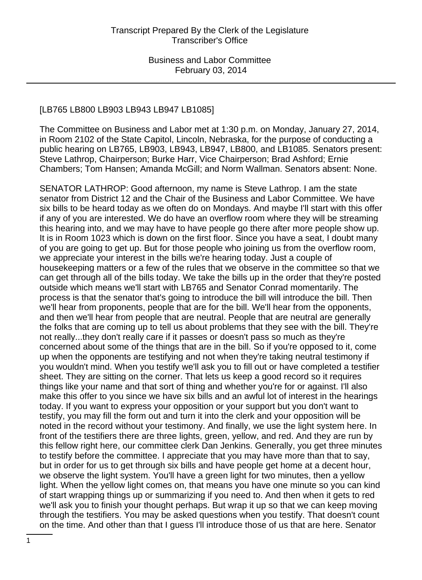#### [LB765 LB800 LB903 LB943 LB947 LB1085]

The Committee on Business and Labor met at 1:30 p.m. on Monday, January 27, 2014, in Room 2102 of the State Capitol, Lincoln, Nebraska, for the purpose of conducting a public hearing on LB765, LB903, LB943, LB947, LB800, and LB1085. Senators present: Steve Lathrop, Chairperson; Burke Harr, Vice Chairperson; Brad Ashford; Ernie Chambers; Tom Hansen; Amanda McGill; and Norm Wallman. Senators absent: None.

SENATOR LATHROP: Good afternoon, my name is Steve Lathrop. I am the state senator from District 12 and the Chair of the Business and Labor Committee. We have six bills to be heard today as we often do on Mondays. And maybe I'll start with this offer if any of you are interested. We do have an overflow room where they will be streaming this hearing into, and we may have to have people go there after more people show up. It is in Room 1023 which is down on the first floor. Since you have a seat, I doubt many of you are going to get up. But for those people who joining us from the overflow room, we appreciate your interest in the bills we're hearing today. Just a couple of housekeeping matters or a few of the rules that we observe in the committee so that we can get through all of the bills today. We take the bills up in the order that they're posted outside which means we'll start with LB765 and Senator Conrad momentarily. The process is that the senator that's going to introduce the bill will introduce the bill. Then we'll hear from proponents, people that are for the bill. We'll hear from the opponents, and then we'll hear from people that are neutral. People that are neutral are generally the folks that are coming up to tell us about problems that they see with the bill. They're not really...they don't really care if it passes or doesn't pass so much as they're concerned about some of the things that are in the bill. So if you're opposed to it, come up when the opponents are testifying and not when they're taking neutral testimony if you wouldn't mind. When you testify we'll ask you to fill out or have completed a testifier sheet. They are sitting on the corner. That lets us keep a good record so it requires things like your name and that sort of thing and whether you're for or against. I'll also make this offer to you since we have six bills and an awful lot of interest in the hearings today. If you want to express your opposition or your support but you don't want to testify, you may fill the form out and turn it into the clerk and your opposition will be noted in the record without your testimony. And finally, we use the light system here. In front of the testifiers there are three lights, green, yellow, and red. And they are run by this fellow right here, our committee clerk Dan Jenkins. Generally, you get three minutes to testify before the committee. I appreciate that you may have more than that to say, but in order for us to get through six bills and have people get home at a decent hour, we observe the light system. You'll have a green light for two minutes, then a yellow light. When the yellow light comes on, that means you have one minute so you can kind of start wrapping things up or summarizing if you need to. And then when it gets to red we'll ask you to finish your thought perhaps. But wrap it up so that we can keep moving through the testifiers. You may be asked questions when you testify. That doesn't count on the time. And other than that I guess I'll introduce those of us that are here. Senator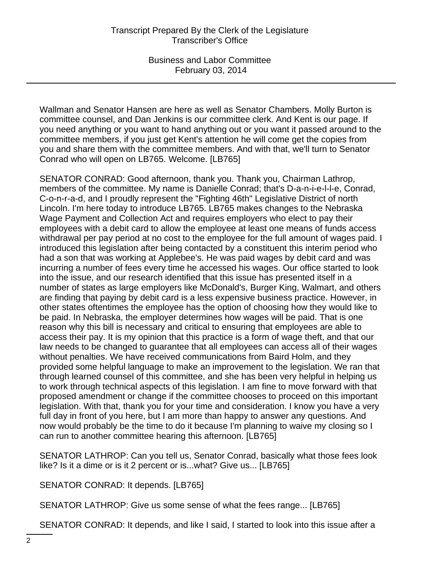Wallman and Senator Hansen are here as well as Senator Chambers. Molly Burton is committee counsel, and Dan Jenkins is our committee clerk. And Kent is our page. If you need anything or you want to hand anything out or you want it passed around to the committee members, if you just get Kent's attention he will come get the copies from you and share them with the committee members. And with that, we'll turn to Senator Conrad who will open on LB765. Welcome. [LB765]

SENATOR CONRAD: Good afternoon, thank you. Thank you, Chairman Lathrop, members of the committee. My name is Danielle Conrad; that's D-a-n-i-e-l-l-e, Conrad, C-o-n-r-a-d, and I proudly represent the "Fighting 46th" Legislative District of north Lincoln. I'm here today to introduce LB765. LB765 makes changes to the Nebraska Wage Payment and Collection Act and requires employers who elect to pay their employees with a debit card to allow the employee at least one means of funds access withdrawal per pay period at no cost to the employee for the full amount of wages paid. I introduced this legislation after being contacted by a constituent this interim period who had a son that was working at Applebee's. He was paid wages by debit card and was incurring a number of fees every time he accessed his wages. Our office started to look into the issue, and our research identified that this issue has presented itself in a number of states as large employers like McDonald's, Burger King, Walmart, and others are finding that paying by debit card is a less expensive business practice. However, in other states oftentimes the employee has the option of choosing how they would like to be paid. In Nebraska, the employer determines how wages will be paid. That is one reason why this bill is necessary and critical to ensuring that employees are able to access their pay. It is my opinion that this practice is a form of wage theft, and that our law needs to be changed to guarantee that all employees can access all of their wages without penalties. We have received communications from Baird Holm, and they provided some helpful language to make an improvement to the legislation. We ran that through learned counsel of this committee, and she has been very helpful in helping us to work through technical aspects of this legislation. I am fine to move forward with that proposed amendment or change if the committee chooses to proceed on this important legislation. With that, thank you for your time and consideration. I know you have a very full day in front of you here, but I am more than happy to answer any questions. And now would probably be the time to do it because I'm planning to waive my closing so I can run to another committee hearing this afternoon. [LB765]

SENATOR LATHROP: Can you tell us, Senator Conrad, basically what those fees look like? Is it a dime or is it 2 percent or is...what? Give us... [LB765]

SENATOR CONRAD: It depends. [LB765]

SENATOR LATHROP: Give us some sense of what the fees range... [LB765]

SENATOR CONRAD: It depends, and like I said, I started to look into this issue after a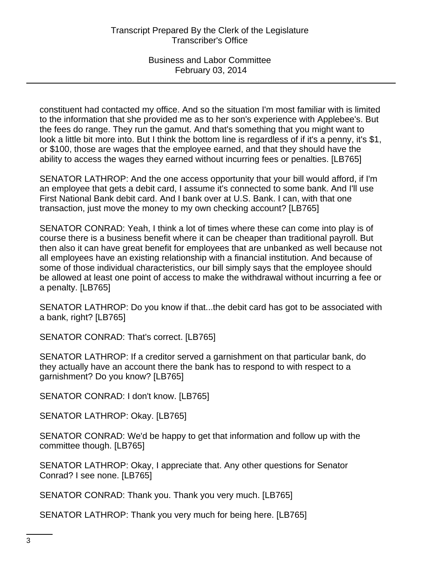constituent had contacted my office. And so the situation I'm most familiar with is limited to the information that she provided me as to her son's experience with Applebee's. But the fees do range. They run the gamut. And that's something that you might want to look a little bit more into. But I think the bottom line is regardless of if it's a penny, it's \$1, or \$100, those are wages that the employee earned, and that they should have the ability to access the wages they earned without incurring fees or penalties. [LB765]

SENATOR LATHROP: And the one access opportunity that your bill would afford, if I'm an employee that gets a debit card, I assume it's connected to some bank. And I'll use First National Bank debit card. And I bank over at U.S. Bank. I can, with that one transaction, just move the money to my own checking account? [LB765]

SENATOR CONRAD: Yeah, I think a lot of times where these can come into play is of course there is a business benefit where it can be cheaper than traditional payroll. But then also it can have great benefit for employees that are unbanked as well because not all employees have an existing relationship with a financial institution. And because of some of those individual characteristics, our bill simply says that the employee should be allowed at least one point of access to make the withdrawal without incurring a fee or a penalty. [LB765]

SENATOR LATHROP: Do you know if that...the debit card has got to be associated with a bank, right? [LB765]

SENATOR CONRAD: That's correct. [LB765]

SENATOR LATHROP: If a creditor served a garnishment on that particular bank, do they actually have an account there the bank has to respond to with respect to a garnishment? Do you know? [LB765]

SENATOR CONRAD: I don't know. [LB765]

SENATOR LATHROP: Okay. [LB765]

SENATOR CONRAD: We'd be happy to get that information and follow up with the committee though. [LB765]

SENATOR LATHROP: Okay, I appreciate that. Any other questions for Senator Conrad? I see none. [LB765]

SENATOR CONRAD: Thank you. Thank you very much. [LB765]

SENATOR LATHROP: Thank you very much for being here. [LB765]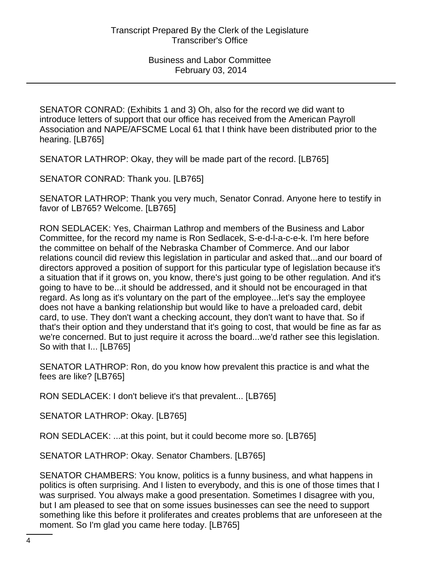SENATOR CONRAD: (Exhibits 1 and 3) Oh, also for the record we did want to introduce letters of support that our office has received from the American Payroll Association and NAPE/AFSCME Local 61 that I think have been distributed prior to the hearing. [LB765]

SENATOR LATHROP: Okay, they will be made part of the record. [LB765]

SENATOR CONRAD: Thank you. [LB765]

SENATOR LATHROP: Thank you very much, Senator Conrad. Anyone here to testify in favor of LB765? Welcome. [LB765]

RON SEDLACEK: Yes, Chairman Lathrop and members of the Business and Labor Committee, for the record my name is Ron Sedlacek, S-e-d-l-a-c-e-k. I'm here before the committee on behalf of the Nebraska Chamber of Commerce. And our labor relations council did review this legislation in particular and asked that...and our board of directors approved a position of support for this particular type of legislation because it's a situation that if it grows on, you know, there's just going to be other regulation. And it's going to have to be...it should be addressed, and it should not be encouraged in that regard. As long as it's voluntary on the part of the employee...let's say the employee does not have a banking relationship but would like to have a preloaded card, debit card, to use. They don't want a checking account, they don't want to have that. So if that's their option and they understand that it's going to cost, that would be fine as far as we're concerned. But to just require it across the board...we'd rather see this legislation. So with that I... [LB765]

SENATOR LATHROP: Ron, do you know how prevalent this practice is and what the fees are like? [LB765]

RON SEDLACEK: I don't believe it's that prevalent... [LB765]

SENATOR LATHROP: Okay. [LB765]

RON SEDLACEK: ...at this point, but it could become more so. [LB765]

SENATOR LATHROP: Okay. Senator Chambers. [LB765]

SENATOR CHAMBERS: You know, politics is a funny business, and what happens in politics is often surprising. And I listen to everybody, and this is one of those times that I was surprised. You always make a good presentation. Sometimes I disagree with you, but I am pleased to see that on some issues businesses can see the need to support something like this before it proliferates and creates problems that are unforeseen at the moment. So I'm glad you came here today. [LB765]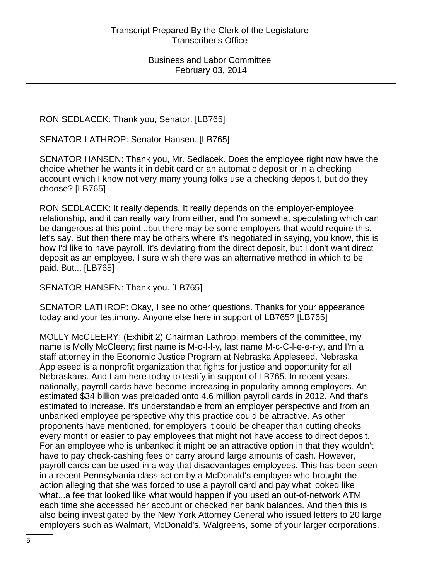RON SEDLACEK: Thank you, Senator. [LB765]

SENATOR LATHROP: Senator Hansen. [LB765]

SENATOR HANSEN: Thank you, Mr. Sedlacek. Does the employee right now have the choice whether he wants it in debit card or an automatic deposit or in a checking account which I know not very many young folks use a checking deposit, but do they choose? [LB765]

RON SEDLACEK: It really depends. It really depends on the employer-employee relationship, and it can really vary from either, and I'm somewhat speculating which can be dangerous at this point...but there may be some employers that would require this, let's say. But then there may be others where it's negotiated in saying, you know, this is how I'd like to have payroll. It's deviating from the direct deposit, but I don't want direct deposit as an employee. I sure wish there was an alternative method in which to be paid. But... [LB765]

SENATOR HANSEN: Thank you. [LB765]

SENATOR LATHROP: Okay, I see no other questions. Thanks for your appearance today and your testimony. Anyone else here in support of LB765? [LB765]

MOLLY McCLEERY: (Exhibit 2) Chairman Lathrop, members of the committee, my name is Molly McCleery; first name is M-o-l-l-y, last name M-c-C-l-e-e-r-y, and I'm a staff attorney in the Economic Justice Program at Nebraska Appleseed. Nebraska Appleseed is a nonprofit organization that fights for justice and opportunity for all Nebraskans. And I am here today to testify in support of LB765. In recent years, nationally, payroll cards have become increasing in popularity among employers. An estimated \$34 billion was preloaded onto 4.6 million payroll cards in 2012. And that's estimated to increase. It's understandable from an employer perspective and from an unbanked employee perspective why this practice could be attractive. As other proponents have mentioned, for employers it could be cheaper than cutting checks every month or easier to pay employees that might not have access to direct deposit. For an employee who is unbanked it might be an attractive option in that they wouldn't have to pay check-cashing fees or carry around large amounts of cash. However, payroll cards can be used in a way that disadvantages employees. This has been seen in a recent Pennsylvania class action by a McDonald's employee who brought the action alleging that she was forced to use a payroll card and pay what looked like what...a fee that looked like what would happen if you used an out-of-network ATM each time she accessed her account or checked her bank balances. And then this is also being investigated by the New York Attorney General who issued letters to 20 large employers such as Walmart, McDonald's, Walgreens, some of your larger corporations.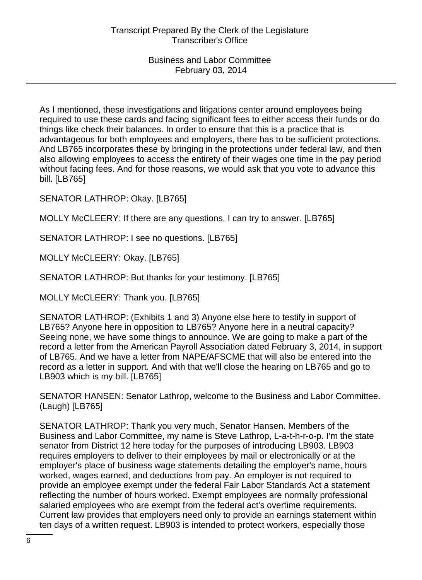As I mentioned, these investigations and litigations center around employees being required to use these cards and facing significant fees to either access their funds or do things like check their balances. In order to ensure that this is a practice that is advantageous for both employees and employers, there has to be sufficient protections. And LB765 incorporates these by bringing in the protections under federal law, and then also allowing employees to access the entirety of their wages one time in the pay period without facing fees. And for those reasons, we would ask that you vote to advance this bill. [LB765]

SENATOR LATHROP: Okay. [LB765]

MOLLY McCLEERY: If there are any questions, I can try to answer. [LB765]

SENATOR LATHROP: I see no questions. [LB765]

MOLLY McCLEERY: Okay. [LB765]

SENATOR LATHROP: But thanks for your testimony. [LB765]

MOLLY McCLEERY: Thank you. [LB765]

SENATOR LATHROP: (Exhibits 1 and 3) Anyone else here to testify in support of LB765? Anyone here in opposition to LB765? Anyone here in a neutral capacity? Seeing none, we have some things to announce. We are going to make a part of the record a letter from the American Payroll Association dated February 3, 2014, in support of LB765. And we have a letter from NAPE/AFSCME that will also be entered into the record as a letter in support. And with that we'll close the hearing on LB765 and go to LB903 which is my bill. [LB765]

SENATOR HANSEN: Senator Lathrop, welcome to the Business and Labor Committee. (Laugh) [LB765]

SENATOR LATHROP: Thank you very much, Senator Hansen. Members of the Business and Labor Committee, my name is Steve Lathrop, L-a-t-h-r-o-p. I'm the state senator from District 12 here today for the purposes of introducing LB903. LB903 requires employers to deliver to their employees by mail or electronically or at the employer's place of business wage statements detailing the employer's name, hours worked, wages earned, and deductions from pay. An employer is not required to provide an employee exempt under the federal Fair Labor Standards Act a statement reflecting the number of hours worked. Exempt employees are normally professional salaried employees who are exempt from the federal act's overtime requirements. Current law provides that employers need only to provide an earnings statement within ten days of a written request. LB903 is intended to protect workers, especially those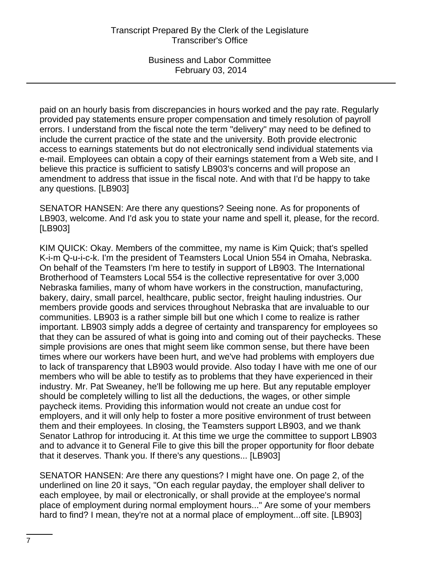paid on an hourly basis from discrepancies in hours worked and the pay rate. Regularly provided pay statements ensure proper compensation and timely resolution of payroll errors. I understand from the fiscal note the term "delivery" may need to be defined to include the current practice of the state and the university. Both provide electronic access to earnings statements but do not electronically send individual statements via e-mail. Employees can obtain a copy of their earnings statement from a Web site, and I believe this practice is sufficient to satisfy LB903's concerns and will propose an amendment to address that issue in the fiscal note. And with that I'd be happy to take any questions. [LB903]

SENATOR HANSEN: Are there any questions? Seeing none. As for proponents of LB903, welcome. And I'd ask you to state your name and spell it, please, for the record. [LB903]

KIM QUICK: Okay. Members of the committee, my name is Kim Quick; that's spelled K-i-m Q-u-i-c-k. I'm the president of Teamsters Local Union 554 in Omaha, Nebraska. On behalf of the Teamsters I'm here to testify in support of LB903. The International Brotherhood of Teamsters Local 554 is the collective representative for over 3,000 Nebraska families, many of whom have workers in the construction, manufacturing, bakery, dairy, small parcel, healthcare, public sector, freight hauling industries. Our members provide goods and services throughout Nebraska that are invaluable to our communities. LB903 is a rather simple bill but one which I come to realize is rather important. LB903 simply adds a degree of certainty and transparency for employees so that they can be assured of what is going into and coming out of their paychecks. These simple provisions are ones that might seem like common sense, but there have been times where our workers have been hurt, and we've had problems with employers due to lack of transparency that LB903 would provide. Also today I have with me one of our members who will be able to testify as to problems that they have experienced in their industry. Mr. Pat Sweaney, he'll be following me up here. But any reputable employer should be completely willing to list all the deductions, the wages, or other simple paycheck items. Providing this information would not create an undue cost for employers, and it will only help to foster a more positive environment of trust between them and their employees. In closing, the Teamsters support LB903, and we thank Senator Lathrop for introducing it. At this time we urge the committee to support LB903 and to advance it to General File to give this bill the proper opportunity for floor debate that it deserves. Thank you. If there's any questions... [LB903]

SENATOR HANSEN: Are there any questions? I might have one. On page 2, of the underlined on line 20 it says, "On each regular payday, the employer shall deliver to each employee, by mail or electronically, or shall provide at the employee's normal place of employment during normal employment hours..." Are some of your members hard to find? I mean, they're not at a normal place of employment...off site. [LB903]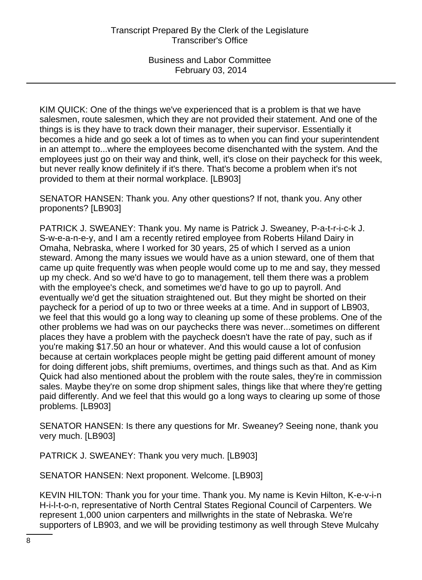KIM QUICK: One of the things we've experienced that is a problem is that we have salesmen, route salesmen, which they are not provided their statement. And one of the things is is they have to track down their manager, their supervisor. Essentially it becomes a hide and go seek a lot of times as to when you can find your superintendent in an attempt to...where the employees become disenchanted with the system. And the employees just go on their way and think, well, it's close on their paycheck for this week, but never really know definitely if it's there. That's become a problem when it's not provided to them at their normal workplace. [LB903]

SENATOR HANSEN: Thank you. Any other questions? If not, thank you. Any other proponents? [LB903]

PATRICK J. SWEANEY: Thank you. My name is Patrick J. Sweaney, P-a-t-r-i-c-k J. S-w-e-a-n-e-y, and I am a recently retired employee from Roberts Hiland Dairy in Omaha, Nebraska, where I worked for 30 years, 25 of which I served as a union steward. Among the many issues we would have as a union steward, one of them that came up quite frequently was when people would come up to me and say, they messed up my check. And so we'd have to go to management, tell them there was a problem with the employee's check, and sometimes we'd have to go up to payroll. And eventually we'd get the situation straightened out. But they might be shorted on their paycheck for a period of up to two or three weeks at a time. And in support of LB903, we feel that this would go a long way to cleaning up some of these problems. One of the other problems we had was on our paychecks there was never...sometimes on different places they have a problem with the paycheck doesn't have the rate of pay, such as if you're making \$17.50 an hour or whatever. And this would cause a lot of confusion because at certain workplaces people might be getting paid different amount of money for doing different jobs, shift premiums, overtimes, and things such as that. And as Kim Quick had also mentioned about the problem with the route sales, they're in commission sales. Maybe they're on some drop shipment sales, things like that where they're getting paid differently. And we feel that this would go a long ways to clearing up some of those problems. [LB903]

SENATOR HANSEN: Is there any questions for Mr. Sweaney? Seeing none, thank you very much. [LB903]

PATRICK J. SWEANEY: Thank you very much. [LB903]

SENATOR HANSEN: Next proponent. Welcome. [LB903]

KEVIN HILTON: Thank you for your time. Thank you. My name is Kevin Hilton, K-e-v-i-n H-i-l-t-o-n, representative of North Central States Regional Council of Carpenters. We represent 1,000 union carpenters and millwrights in the state of Nebraska. We're supporters of LB903, and we will be providing testimony as well through Steve Mulcahy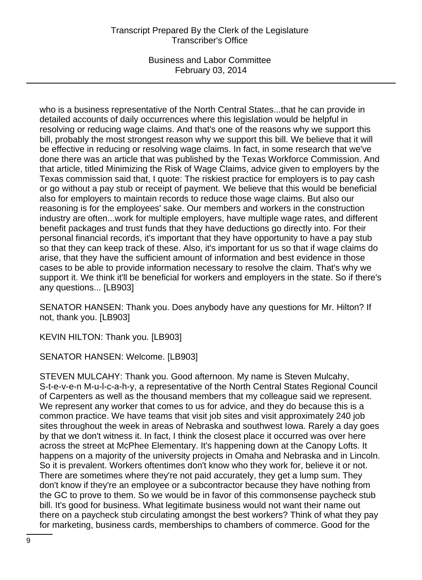# Transcript Prepared By the Clerk of the Legislature Transcriber's Office

Business and Labor Committee February 03, 2014

who is a business representative of the North Central States...that he can provide in detailed accounts of daily occurrences where this legislation would be helpful in resolving or reducing wage claims. And that's one of the reasons why we support this bill, probably the most strongest reason why we support this bill. We believe that it will be effective in reducing or resolving wage claims. In fact, in some research that we've done there was an article that was published by the Texas Workforce Commission. And that article, titled Minimizing the Risk of Wage Claims, advice given to employers by the Texas commission said that, I quote: The riskiest practice for employers is to pay cash or go without a pay stub or receipt of payment. We believe that this would be beneficial also for employers to maintain records to reduce those wage claims. But also our reasoning is for the employees' sake. Our members and workers in the construction industry are often...work for multiple employers, have multiple wage rates, and different benefit packages and trust funds that they have deductions go directly into. For their personal financial records, it's important that they have opportunity to have a pay stub so that they can keep track of these. Also, it's important for us so that if wage claims do arise, that they have the sufficient amount of information and best evidence in those cases to be able to provide information necessary to resolve the claim. That's why we support it. We think it'll be beneficial for workers and employers in the state. So if there's any questions... [LB903]

SENATOR HANSEN: Thank you. Does anybody have any questions for Mr. Hilton? If not, thank you. [LB903]

KEVIN HILTON: Thank you. [LB903]

SENATOR HANSEN: Welcome. [LB903]

STEVEN MULCAHY: Thank you. Good afternoon. My name is Steven Mulcahy, S-t-e-v-e-n M-u-l-c-a-h-y, a representative of the North Central States Regional Council of Carpenters as well as the thousand members that my colleague said we represent. We represent any worker that comes to us for advice, and they do because this is a common practice. We have teams that visit job sites and visit approximately 240 job sites throughout the week in areas of Nebraska and southwest Iowa. Rarely a day goes by that we don't witness it. In fact, I think the closest place it occurred was over here across the street at McPhee Elementary. It's happening down at the Canopy Lofts. It happens on a majority of the university projects in Omaha and Nebraska and in Lincoln. So it is prevalent. Workers oftentimes don't know who they work for, believe it or not. There are sometimes where they're not paid accurately, they get a lump sum. They don't know if they're an employee or a subcontractor because they have nothing from the GC to prove to them. So we would be in favor of this commonsense paycheck stub bill. It's good for business. What legitimate business would not want their name out there on a paycheck stub circulating amongst the best workers? Think of what they pay for marketing, business cards, memberships to chambers of commerce. Good for the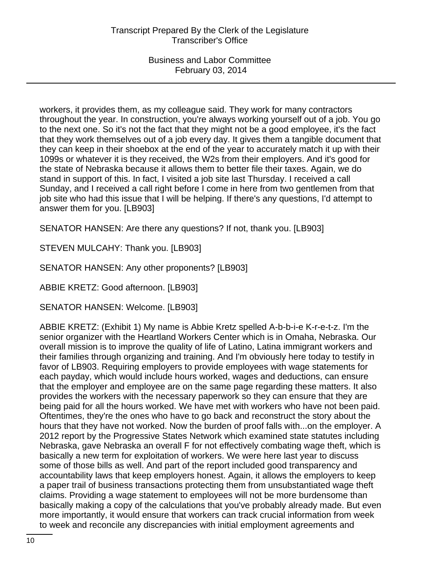workers, it provides them, as my colleague said. They work for many contractors throughout the year. In construction, you're always working yourself out of a job. You go to the next one. So it's not the fact that they might not be a good employee, it's the fact that they work themselves out of a job every day. It gives them a tangible document that they can keep in their shoebox at the end of the year to accurately match it up with their 1099s or whatever it is they received, the W2s from their employers. And it's good for the state of Nebraska because it allows them to better file their taxes. Again, we do stand in support of this. In fact, I visited a job site last Thursday. I received a call Sunday, and I received a call right before I come in here from two gentlemen from that job site who had this issue that I will be helping. If there's any questions, I'd attempt to answer them for you. [LB903]

SENATOR HANSEN: Are there any questions? If not, thank you. [LB903]

STEVEN MULCAHY: Thank you. [LB903]

SENATOR HANSEN: Any other proponents? [LB903]

ABBIE KRETZ: Good afternoon. [LB903]

SENATOR HANSEN: Welcome. [LB903]

ABBIE KRETZ: (Exhibit 1) My name is Abbie Kretz spelled A-b-b-i-e K-r-e-t-z. I'm the senior organizer with the Heartland Workers Center which is in Omaha, Nebraska. Our overall mission is to improve the quality of life of Latino, Latina immigrant workers and their families through organizing and training. And I'm obviously here today to testify in favor of LB903. Requiring employers to provide employees with wage statements for each payday, which would include hours worked, wages and deductions, can ensure that the employer and employee are on the same page regarding these matters. It also provides the workers with the necessary paperwork so they can ensure that they are being paid for all the hours worked. We have met with workers who have not been paid. Oftentimes, they're the ones who have to go back and reconstruct the story about the hours that they have not worked. Now the burden of proof falls with...on the employer. A 2012 report by the Progressive States Network which examined state statutes including Nebraska, gave Nebraska an overall F for not effectively combating wage theft, which is basically a new term for exploitation of workers. We were here last year to discuss some of those bills as well. And part of the report included good transparency and accountability laws that keep employers honest. Again, it allows the employers to keep a paper trail of business transactions protecting them from unsubstantiated wage theft claims. Providing a wage statement to employees will not be more burdensome than basically making a copy of the calculations that you've probably already made. But even more importantly, it would ensure that workers can track crucial information from week to week and reconcile any discrepancies with initial employment agreements and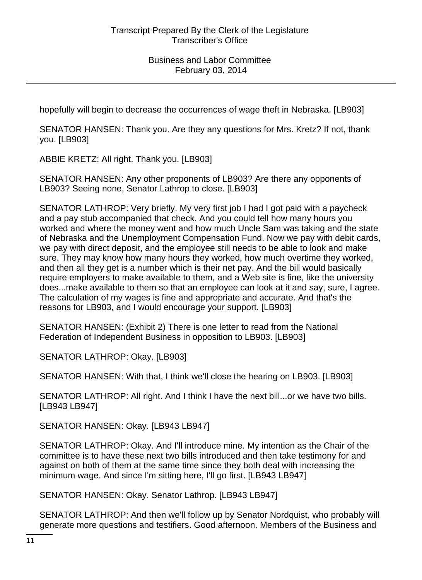hopefully will begin to decrease the occurrences of wage theft in Nebraska. [LB903]

SENATOR HANSEN: Thank you. Are they any questions for Mrs. Kretz? If not, thank you. [LB903]

ABBIE KRETZ: All right. Thank you. [LB903]

SENATOR HANSEN: Any other proponents of LB903? Are there any opponents of LB903? Seeing none, Senator Lathrop to close. [LB903]

SENATOR LATHROP: Very briefly. My very first job I had I got paid with a paycheck and a pay stub accompanied that check. And you could tell how many hours you worked and where the money went and how much Uncle Sam was taking and the state of Nebraska and the Unemployment Compensation Fund. Now we pay with debit cards, we pay with direct deposit, and the employee still needs to be able to look and make sure. They may know how many hours they worked, how much overtime they worked, and then all they get is a number which is their net pay. And the bill would basically require employers to make available to them, and a Web site is fine, like the university does...make available to them so that an employee can look at it and say, sure, I agree. The calculation of my wages is fine and appropriate and accurate. And that's the reasons for LB903, and I would encourage your support. [LB903]

SENATOR HANSEN: (Exhibit 2) There is one letter to read from the National Federation of Independent Business in opposition to LB903. [LB903]

SENATOR LATHROP: Okay. [LB903]

SENATOR HANSEN: With that, I think we'll close the hearing on LB903. [LB903]

SENATOR LATHROP: All right. And I think I have the next bill...or we have two bills. [LB943 LB947]

SENATOR HANSEN: Okay. [LB943 LB947]

SENATOR LATHROP: Okay. And I'll introduce mine. My intention as the Chair of the committee is to have these next two bills introduced and then take testimony for and against on both of them at the same time since they both deal with increasing the minimum wage. And since I'm sitting here, I'll go first. [LB943 LB947]

SENATOR HANSEN: Okay. Senator Lathrop. [LB943 LB947]

SENATOR LATHROP: And then we'll follow up by Senator Nordquist, who probably will generate more questions and testifiers. Good afternoon. Members of the Business and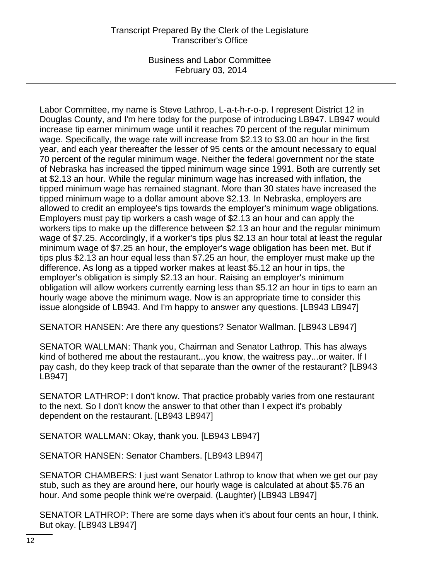# Transcript Prepared By the Clerk of the Legislature Transcriber's Office

Business and Labor Committee February 03, 2014

Labor Committee, my name is Steve Lathrop, L-a-t-h-r-o-p. I represent District 12 in Douglas County, and I'm here today for the purpose of introducing LB947. LB947 would increase tip earner minimum wage until it reaches 70 percent of the regular minimum wage. Specifically, the wage rate will increase from \$2.13 to \$3.00 an hour in the first year, and each year thereafter the lesser of 95 cents or the amount necessary to equal 70 percent of the regular minimum wage. Neither the federal government nor the state of Nebraska has increased the tipped minimum wage since 1991. Both are currently set at \$2.13 an hour. While the regular minimum wage has increased with inflation, the tipped minimum wage has remained stagnant. More than 30 states have increased the tipped minimum wage to a dollar amount above \$2.13. In Nebraska, employers are allowed to credit an employee's tips towards the employer's minimum wage obligations. Employers must pay tip workers a cash wage of \$2.13 an hour and can apply the workers tips to make up the difference between \$2.13 an hour and the regular minimum wage of \$7.25. Accordingly, if a worker's tips plus \$2.13 an hour total at least the regular minimum wage of \$7.25 an hour, the employer's wage obligation has been met. But if tips plus \$2.13 an hour equal less than \$7.25 an hour, the employer must make up the difference. As long as a tipped worker makes at least \$5.12 an hour in tips, the employer's obligation is simply \$2.13 an hour. Raising an employer's minimum obligation will allow workers currently earning less than \$5.12 an hour in tips to earn an hourly wage above the minimum wage. Now is an appropriate time to consider this issue alongside of LB943. And I'm happy to answer any questions. [LB943 LB947]

SENATOR HANSEN: Are there any questions? Senator Wallman. [LB943 LB947]

SENATOR WALLMAN: Thank you, Chairman and Senator Lathrop. This has always kind of bothered me about the restaurant...you know, the waitress pay...or waiter. If I pay cash, do they keep track of that separate than the owner of the restaurant? [LB943 LB947]

SENATOR LATHROP: I don't know. That practice probably varies from one restaurant to the next. So I don't know the answer to that other than I expect it's probably dependent on the restaurant. [LB943 LB947]

SENATOR WALLMAN: Okay, thank you. [LB943 LB947]

SENATOR HANSEN: Senator Chambers. [LB943 LB947]

SENATOR CHAMBERS: I just want Senator Lathrop to know that when we get our pay stub, such as they are around here, our hourly wage is calculated at about \$5.76 an hour. And some people think we're overpaid. (Laughter) [LB943 LB947]

SENATOR LATHROP: There are some days when it's about four cents an hour, I think. But okay. [LB943 LB947]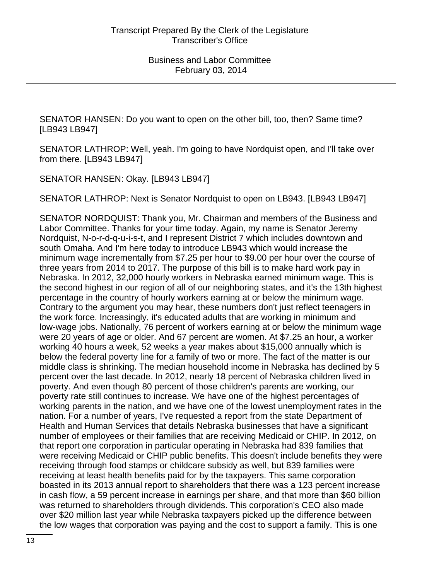SENATOR HANSEN: Do you want to open on the other bill, too, then? Same time? [LB943 LB947]

SENATOR LATHROP: Well, yeah. I'm going to have Nordquist open, and I'll take over from there. [LB943 LB947]

SENATOR HANSEN: Okay. [LB943 LB947]

SENATOR LATHROP: Next is Senator Nordquist to open on LB943. [LB943 LB947]

SENATOR NORDQUIST: Thank you, Mr. Chairman and members of the Business and Labor Committee. Thanks for your time today. Again, my name is Senator Jeremy Nordquist, N-o-r-d-q-u-i-s-t, and I represent District 7 which includes downtown and south Omaha. And I'm here today to introduce LB943 which would increase the minimum wage incrementally from \$7.25 per hour to \$9.00 per hour over the course of three years from 2014 to 2017. The purpose of this bill is to make hard work pay in Nebraska. In 2012, 32,000 hourly workers in Nebraska earned minimum wage. This is the second highest in our region of all of our neighboring states, and it's the 13th highest percentage in the country of hourly workers earning at or below the minimum wage. Contrary to the argument you may hear, these numbers don't just reflect teenagers in the work force. Increasingly, it's educated adults that are working in minimum and low-wage jobs. Nationally, 76 percent of workers earning at or below the minimum wage were 20 years of age or older. And 67 percent are women. At \$7.25 an hour, a worker working 40 hours a week, 52 weeks a year makes about \$15,000 annually which is below the federal poverty line for a family of two or more. The fact of the matter is our middle class is shrinking. The median household income in Nebraska has declined by 5 percent over the last decade. In 2012, nearly 18 percent of Nebraska children lived in poverty. And even though 80 percent of those children's parents are working, our poverty rate still continues to increase. We have one of the highest percentages of working parents in the nation, and we have one of the lowest unemployment rates in the nation. For a number of years, I've requested a report from the state Department of Health and Human Services that details Nebraska businesses that have a significant number of employees or their families that are receiving Medicaid or CHIP. In 2012, on that report one corporation in particular operating in Nebraska had 839 families that were receiving Medicaid or CHIP public benefits. This doesn't include benefits they were receiving through food stamps or childcare subsidy as well, but 839 families were receiving at least health benefits paid for by the taxpayers. This same corporation boasted in its 2013 annual report to shareholders that there was a 123 percent increase in cash flow, a 59 percent increase in earnings per share, and that more than \$60 billion was returned to shareholders through dividends. This corporation's CEO also made over \$20 million last year while Nebraska taxpayers picked up the difference between the low wages that corporation was paying and the cost to support a family. This is one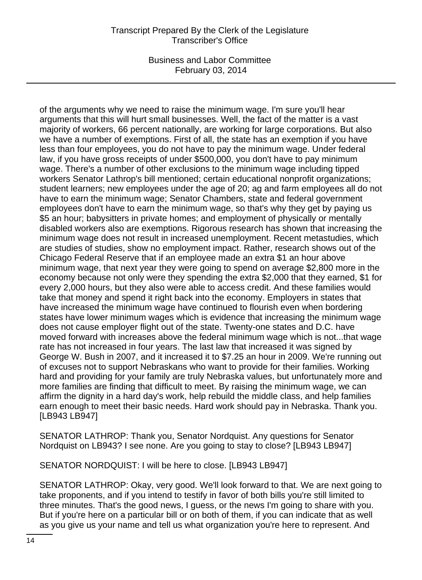# Transcript Prepared By the Clerk of the Legislature Transcriber's Office

Business and Labor Committee February 03, 2014

of the arguments why we need to raise the minimum wage. I'm sure you'll hear arguments that this will hurt small businesses. Well, the fact of the matter is a vast majority of workers, 66 percent nationally, are working for large corporations. But also we have a number of exemptions. First of all, the state has an exemption if you have less than four employees, you do not have to pay the minimum wage. Under federal law, if you have gross receipts of under \$500,000, you don't have to pay minimum wage. There's a number of other exclusions to the minimum wage including tipped workers Senator Lathrop's bill mentioned; certain educational nonprofit organizations; student learners; new employees under the age of 20; ag and farm employees all do not have to earn the minimum wage; Senator Chambers, state and federal government employees don't have to earn the minimum wage, so that's why they get by paying us \$5 an hour; babysitters in private homes; and employment of physically or mentally disabled workers also are exemptions. Rigorous research has shown that increasing the minimum wage does not result in increased unemployment. Recent metastudies, which are studies of studies, show no employment impact. Rather, research shows out of the Chicago Federal Reserve that if an employee made an extra \$1 an hour above minimum wage, that next year they were going to spend on average \$2,800 more in the economy because not only were they spending the extra \$2,000 that they earned, \$1 for every 2,000 hours, but they also were able to access credit. And these families would take that money and spend it right back into the economy. Employers in states that have increased the minimum wage have continued to flourish even when bordering states have lower minimum wages which is evidence that increasing the minimum wage does not cause employer flight out of the state. Twenty-one states and D.C. have moved forward with increases above the federal minimum wage which is not...that wage rate has not increased in four years. The last law that increased it was signed by George W. Bush in 2007, and it increased it to \$7.25 an hour in 2009. We're running out of excuses not to support Nebraskans who want to provide for their families. Working hard and providing for your family are truly Nebraska values, but unfortunately more and more families are finding that difficult to meet. By raising the minimum wage, we can affirm the dignity in a hard day's work, help rebuild the middle class, and help families earn enough to meet their basic needs. Hard work should pay in Nebraska. Thank you. [LB943 LB947]

SENATOR LATHROP: Thank you, Senator Nordquist. Any questions for Senator Nordquist on LB943? I see none. Are you going to stay to close? [LB943 LB947]

SENATOR NORDQUIST: I will be here to close. [LB943 LB947]

SENATOR LATHROP: Okay, very good. We'll look forward to that. We are next going to take proponents, and if you intend to testify in favor of both bills you're still limited to three minutes. That's the good news, I guess, or the news I'm going to share with you. But if you're here on a particular bill or on both of them, if you can indicate that as well as you give us your name and tell us what organization you're here to represent. And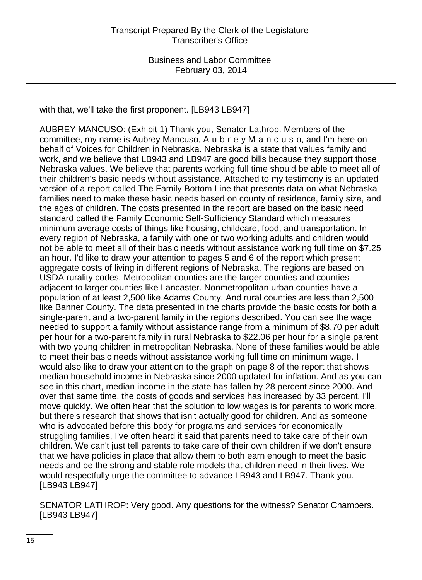with that, we'll take the first proponent. [LB943 LB947]

AUBREY MANCUSO: (Exhibit 1) Thank you, Senator Lathrop. Members of the committee, my name is Aubrey Mancuso, A-u-b-r-e-y M-a-n-c-u-s-o, and I'm here on behalf of Voices for Children in Nebraska. Nebraska is a state that values family and work, and we believe that LB943 and LB947 are good bills because they support those Nebraska values. We believe that parents working full time should be able to meet all of their children's basic needs without assistance. Attached to my testimony is an updated version of a report called The Family Bottom Line that presents data on what Nebraska families need to make these basic needs based on county of residence, family size, and the ages of children. The costs presented in the report are based on the basic need standard called the Family Economic Self-Sufficiency Standard which measures minimum average costs of things like housing, childcare, food, and transportation. In every region of Nebraska, a family with one or two working adults and children would not be able to meet all of their basic needs without assistance working full time on \$7.25 an hour. I'd like to draw your attention to pages 5 and 6 of the report which present aggregate costs of living in different regions of Nebraska. The regions are based on USDA rurality codes. Metropolitan counties are the larger counties and counties adjacent to larger counties like Lancaster. Nonmetropolitan urban counties have a population of at least 2,500 like Adams County. And rural counties are less than 2,500 like Banner County. The data presented in the charts provide the basic costs for both a single-parent and a two-parent family in the regions described. You can see the wage needed to support a family without assistance range from a minimum of \$8.70 per adult per hour for a two-parent family in rural Nebraska to \$22.06 per hour for a single parent with two young children in metropolitan Nebraska. None of these families would be able to meet their basic needs without assistance working full time on minimum wage. I would also like to draw your attention to the graph on page 8 of the report that shows median household income in Nebraska since 2000 updated for inflation. And as you can see in this chart, median income in the state has fallen by 28 percent since 2000. And over that same time, the costs of goods and services has increased by 33 percent. I'll move quickly. We often hear that the solution to low wages is for parents to work more, but there's research that shows that isn't actually good for children. And as someone who is advocated before this body for programs and services for economically struggling families, I've often heard it said that parents need to take care of their own children. We can't just tell parents to take care of their own children if we don't ensure that we have policies in place that allow them to both earn enough to meet the basic needs and be the strong and stable role models that children need in their lives. We would respectfully urge the committee to advance LB943 and LB947. Thank you. [LB943 LB947]

SENATOR LATHROP: Very good. Any questions for the witness? Senator Chambers. [LB943 LB947]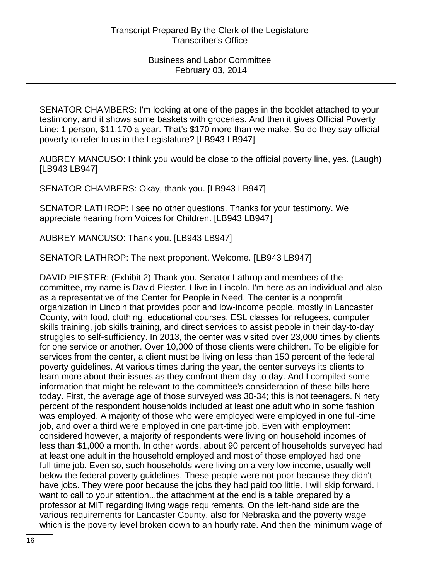SENATOR CHAMBERS: I'm looking at one of the pages in the booklet attached to your testimony, and it shows some baskets with groceries. And then it gives Official Poverty Line: 1 person, \$11,170 a year. That's \$170 more than we make. So do they say official poverty to refer to us in the Legislature? [LB943 LB947]

AUBREY MANCUSO: I think you would be close to the official poverty line, yes. (Laugh) [LB943 LB947]

SENATOR CHAMBERS: Okay, thank you. [LB943 LB947]

SENATOR LATHROP: I see no other questions. Thanks for your testimony. We appreciate hearing from Voices for Children. [LB943 LB947]

AUBREY MANCUSO: Thank you. [LB943 LB947]

SENATOR LATHROP: The next proponent. Welcome. [LB943 LB947]

DAVID PIESTER: (Exhibit 2) Thank you. Senator Lathrop and members of the committee, my name is David Piester. I live in Lincoln. I'm here as an individual and also as a representative of the Center for People in Need. The center is a nonprofit organization in Lincoln that provides poor and low-income people, mostly in Lancaster County, with food, clothing, educational courses, ESL classes for refugees, computer skills training, job skills training, and direct services to assist people in their day-to-day struggles to self-sufficiency. In 2013, the center was visited over 23,000 times by clients for one service or another. Over 10,000 of those clients were children. To be eligible for services from the center, a client must be living on less than 150 percent of the federal poverty guidelines. At various times during the year, the center surveys its clients to learn more about their issues as they confront them day to day. And I compiled some information that might be relevant to the committee's consideration of these bills here today. First, the average age of those surveyed was 30-34; this is not teenagers. Ninety percent of the respondent households included at least one adult who in some fashion was employed. A majority of those who were employed were employed in one full-time job, and over a third were employed in one part-time job. Even with employment considered however, a majority of respondents were living on household incomes of less than \$1,000 a month. In other words, about 90 percent of households surveyed had at least one adult in the household employed and most of those employed had one full-time job. Even so, such households were living on a very low income, usually well below the federal poverty guidelines. These people were not poor because they didn't have jobs. They were poor because the jobs they had paid too little. I will skip forward. I want to call to your attention...the attachment at the end is a table prepared by a professor at MIT regarding living wage requirements. On the left-hand side are the various requirements for Lancaster County, also for Nebraska and the poverty wage which is the poverty level broken down to an hourly rate. And then the minimum wage of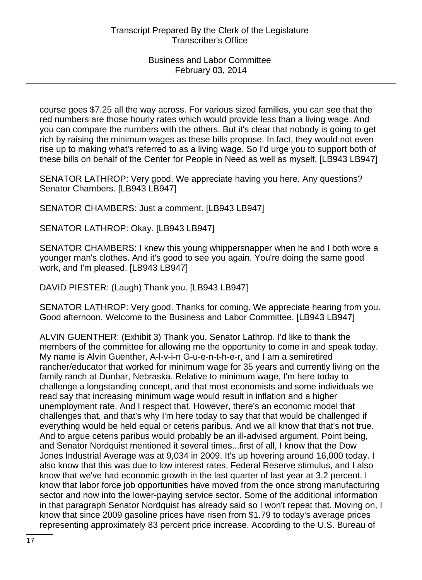course goes \$7.25 all the way across. For various sized families, you can see that the red numbers are those hourly rates which would provide less than a living wage. And you can compare the numbers with the others. But it's clear that nobody is going to get rich by raising the minimum wages as these bills propose. In fact, they would not even rise up to making what's referred to as a living wage. So I'd urge you to support both of these bills on behalf of the Center for People in Need as well as myself. [LB943 LB947]

SENATOR LATHROP: Very good. We appreciate having you here. Any questions? Senator Chambers. [LB943 LB947]

SENATOR CHAMBERS: Just a comment. [LB943 LB947]

SENATOR LATHROP: Okay. [LB943 LB947]

SENATOR CHAMBERS: I knew this young whippersnapper when he and I both wore a younger man's clothes. And it's good to see you again. You're doing the same good work, and I'm pleased. [LB943 LB947]

DAVID PIESTER: (Laugh) Thank you. [LB943 LB947]

SENATOR LATHROP: Very good. Thanks for coming. We appreciate hearing from you. Good afternoon. Welcome to the Business and Labor Committee. [LB943 LB947]

ALVIN GUENTHER: (Exhibit 3) Thank you, Senator Lathrop. I'd like to thank the members of the committee for allowing me the opportunity to come in and speak today. My name is Alvin Guenther, A-l-v-i-n G-u-e-n-t-h-e-r, and I am a semiretired rancher/educator that worked for minimum wage for 35 years and currently living on the family ranch at Dunbar, Nebraska. Relative to minimum wage, I'm here today to challenge a longstanding concept, and that most economists and some individuals we read say that increasing minimum wage would result in inflation and a higher unemployment rate. And I respect that. However, there's an economic model that challenges that, and that's why I'm here today to say that that would be challenged if everything would be held equal or ceteris paribus. And we all know that that's not true. And to argue ceteris paribus would probably be an ill-advised argument. Point being, and Senator Nordquist mentioned it several times...first of all, I know that the Dow Jones Industrial Average was at 9,034 in 2009. It's up hovering around 16,000 today. I also know that this was due to low interest rates, Federal Reserve stimulus, and I also know that we've had economic growth in the last quarter of last year at 3.2 percent. I know that labor force job opportunities have moved from the once strong manufacturing sector and now into the lower-paying service sector. Some of the additional information in that paragraph Senator Nordquist has already said so I won't repeat that. Moving on, I know that since 2009 gasoline prices have risen from \$1.79 to today's average prices representing approximately 83 percent price increase. According to the U.S. Bureau of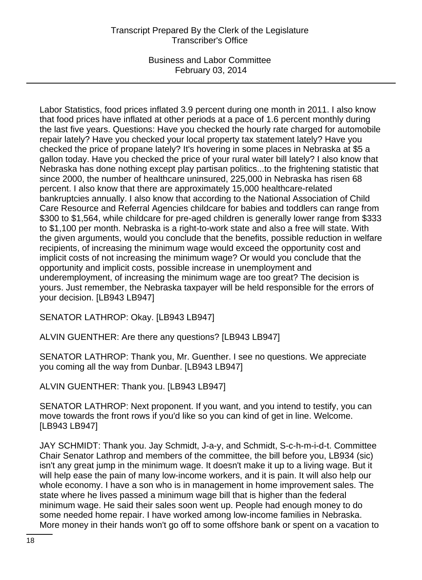# Transcript Prepared By the Clerk of the Legislature Transcriber's Office

Business and Labor Committee February 03, 2014

Labor Statistics, food prices inflated 3.9 percent during one month in 2011. I also know that food prices have inflated at other periods at a pace of 1.6 percent monthly during the last five years. Questions: Have you checked the hourly rate charged for automobile repair lately? Have you checked your local property tax statement lately? Have you checked the price of propane lately? It's hovering in some places in Nebraska at \$5 a gallon today. Have you checked the price of your rural water bill lately? I also know that Nebraska has done nothing except play partisan politics...to the frightening statistic that since 2000, the number of healthcare uninsured, 225,000 in Nebraska has risen 68 percent. I also know that there are approximately 15,000 healthcare-related bankruptcies annually. I also know that according to the National Association of Child Care Resource and Referral Agencies childcare for babies and toddlers can range from \$300 to \$1,564, while childcare for pre-aged children is generally lower range from \$333 to \$1,100 per month. Nebraska is a right-to-work state and also a free will state. With the given arguments, would you conclude that the benefits, possible reduction in welfare recipients, of increasing the minimum wage would exceed the opportunity cost and implicit costs of not increasing the minimum wage? Or would you conclude that the opportunity and implicit costs, possible increase in unemployment and underemployment, of increasing the minimum wage are too great? The decision is yours. Just remember, the Nebraska taxpayer will be held responsible for the errors of your decision. [LB943 LB947]

SENATOR LATHROP: Okay. [LB943 LB947]

ALVIN GUENTHER: Are there any questions? [LB943 LB947]

SENATOR LATHROP: Thank you, Mr. Guenther. I see no questions. We appreciate you coming all the way from Dunbar. [LB943 LB947]

ALVIN GUENTHER: Thank you. [LB943 LB947]

SENATOR LATHROP: Next proponent. If you want, and you intend to testify, you can move towards the front rows if you'd like so you can kind of get in line. Welcome. [LB943 LB947]

JAY SCHMIDT: Thank you. Jay Schmidt, J-a-y, and Schmidt, S-c-h-m-i-d-t. Committee Chair Senator Lathrop and members of the committee, the bill before you, LB934 (sic) isn't any great jump in the minimum wage. It doesn't make it up to a living wage. But it will help ease the pain of many low-income workers, and it is pain. It will also help our whole economy. I have a son who is in management in home improvement sales. The state where he lives passed a minimum wage bill that is higher than the federal minimum wage. He said their sales soon went up. People had enough money to do some needed home repair. I have worked among low-income families in Nebraska. More money in their hands won't go off to some offshore bank or spent on a vacation to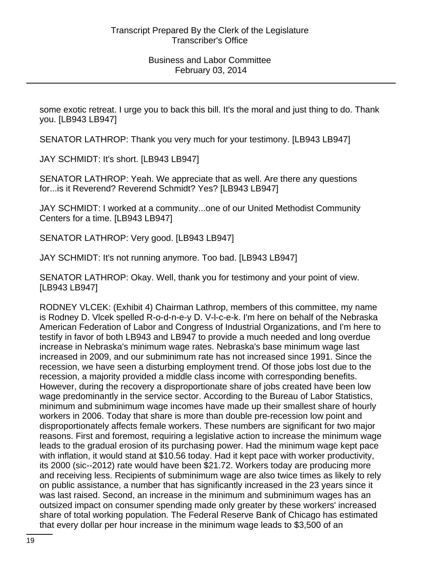some exotic retreat. I urge you to back this bill. It's the moral and just thing to do. Thank you. [LB943 LB947]

SENATOR LATHROP: Thank you very much for your testimony. [LB943 LB947]

JAY SCHMIDT: It's short. [LB943 LB947]

SENATOR LATHROP: Yeah. We appreciate that as well. Are there any questions for...is it Reverend? Reverend Schmidt? Yes? [LB943 LB947]

JAY SCHMIDT: I worked at a community...one of our United Methodist Community Centers for a time. [LB943 LB947]

SENATOR LATHROP: Very good. [LB943 LB947]

JAY SCHMIDT: It's not running anymore. Too bad. [LB943 LB947]

SENATOR LATHROP: Okay. Well, thank you for testimony and your point of view. [LB943 LB947]

RODNEY VLCEK: (Exhibit 4) Chairman Lathrop, members of this committee, my name is Rodney D. Vlcek spelled R-o-d-n-e-y D. V-l-c-e-k. I'm here on behalf of the Nebraska American Federation of Labor and Congress of Industrial Organizations, and I'm here to testify in favor of both LB943 and LB947 to provide a much needed and long overdue increase in Nebraska's minimum wage rates. Nebraska's base minimum wage last increased in 2009, and our subminimum rate has not increased since 1991. Since the recession, we have seen a disturbing employment trend. Of those jobs lost due to the recession, a majority provided a middle class income with corresponding benefits. However, during the recovery a disproportionate share of jobs created have been low wage predominantly in the service sector. According to the Bureau of Labor Statistics, minimum and subminimum wage incomes have made up their smallest share of hourly workers in 2006. Today that share is more than double pre-recession low point and disproportionately affects female workers. These numbers are significant for two major reasons. First and foremost, requiring a legislative action to increase the minimum wage leads to the gradual erosion of its purchasing power. Had the minimum wage kept pace with inflation, it would stand at \$10.56 today. Had it kept pace with worker productivity, its 2000 (sic--2012) rate would have been \$21.72. Workers today are producing more and receiving less. Recipients of subminimum wage are also twice times as likely to rely on public assistance, a number that has significantly increased in the 23 years since it was last raised. Second, an increase in the minimum and subminimum wages has an outsized impact on consumer spending made only greater by these workers' increased share of total working population. The Federal Reserve Bank of Chicago has estimated that every dollar per hour increase in the minimum wage leads to \$3,500 of an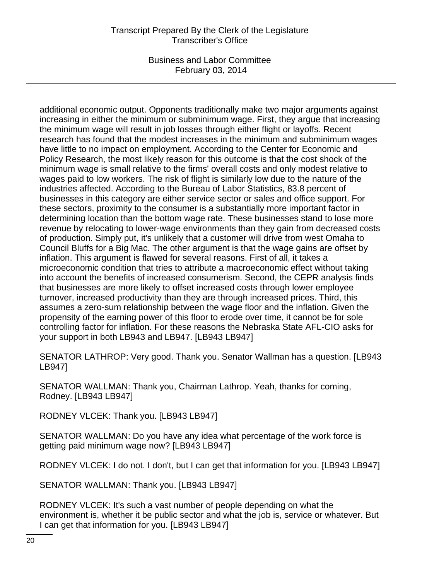# Transcript Prepared By the Clerk of the Legislature Transcriber's Office

Business and Labor Committee February 03, 2014

additional economic output. Opponents traditionally make two major arguments against increasing in either the minimum or subminimum wage. First, they argue that increasing the minimum wage will result in job losses through either flight or layoffs. Recent research has found that the modest increases in the minimum and subminimum wages have little to no impact on employment. According to the Center for Economic and Policy Research, the most likely reason for this outcome is that the cost shock of the minimum wage is small relative to the firms' overall costs and only modest relative to wages paid to low workers. The risk of flight is similarly low due to the nature of the industries affected. According to the Bureau of Labor Statistics, 83.8 percent of businesses in this category are either service sector or sales and office support. For these sectors, proximity to the consumer is a substantially more important factor in determining location than the bottom wage rate. These businesses stand to lose more revenue by relocating to lower-wage environments than they gain from decreased costs of production. Simply put, it's unlikely that a customer will drive from west Omaha to Council Bluffs for a Big Mac. The other argument is that the wage gains are offset by inflation. This argument is flawed for several reasons. First of all, it takes a microeconomic condition that tries to attribute a macroeconomic effect without taking into account the benefits of increased consumerism. Second, the CEPR analysis finds that businesses are more likely to offset increased costs through lower employee turnover, increased productivity than they are through increased prices. Third, this assumes a zero-sum relationship between the wage floor and the inflation. Given the propensity of the earning power of this floor to erode over time, it cannot be for sole controlling factor for inflation. For these reasons the Nebraska State AFL-CIO asks for your support in both LB943 and LB947. [LB943 LB947]

SENATOR LATHROP: Very good. Thank you. Senator Wallman has a question. [LB943 LB947]

SENATOR WALLMAN: Thank you, Chairman Lathrop. Yeah, thanks for coming, Rodney. [LB943 LB947]

RODNEY VLCEK: Thank you. [LB943 LB947]

SENATOR WALLMAN: Do you have any idea what percentage of the work force is getting paid minimum wage now? [LB943 LB947]

RODNEY VLCEK: I do not. I don't, but I can get that information for you. [LB943 LB947]

SENATOR WALLMAN: Thank you. [LB943 LB947]

RODNEY VLCEK: It's such a vast number of people depending on what the environment is, whether it be public sector and what the job is, service or whatever. But I can get that information for you. [LB943 LB947]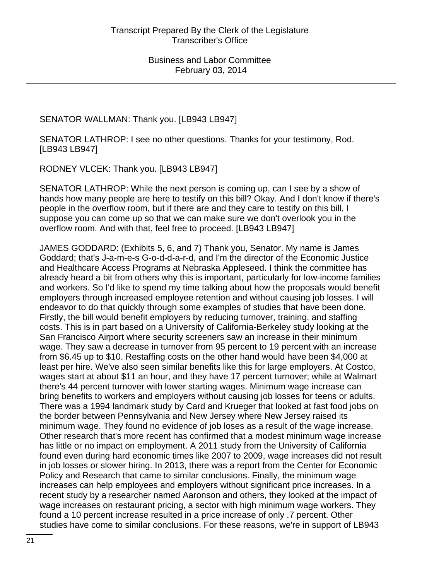SENATOR WALLMAN: Thank you. [LB943 LB947]

SENATOR LATHROP: I see no other questions. Thanks for your testimony, Rod. [LB943 LB947]

RODNEY VLCEK: Thank you. [LB943 LB947]

SENATOR LATHROP: While the next person is coming up, can I see by a show of hands how many people are here to testify on this bill? Okay. And I don't know if there's people in the overflow room, but if there are and they care to testify on this bill, I suppose you can come up so that we can make sure we don't overlook you in the overflow room. And with that, feel free to proceed. [LB943 LB947]

JAMES GODDARD: (Exhibits 5, 6, and 7) Thank you, Senator. My name is James Goddard; that's J-a-m-e-s G-o-d-d-a-r-d, and I'm the director of the Economic Justice and Healthcare Access Programs at Nebraska Appleseed. I think the committee has already heard a bit from others why this is important, particularly for low-income families and workers. So I'd like to spend my time talking about how the proposals would benefit employers through increased employee retention and without causing job losses. I will endeavor to do that quickly through some examples of studies that have been done. Firstly, the bill would benefit employers by reducing turnover, training, and staffing costs. This is in part based on a University of California-Berkeley study looking at the San Francisco Airport where security screeners saw an increase in their minimum wage. They saw a decrease in turnover from 95 percent to 19 percent with an increase from \$6.45 up to \$10. Restaffing costs on the other hand would have been \$4,000 at least per hire. We've also seen similar benefits like this for large employers. At Costco, wages start at about \$11 an hour, and they have 17 percent turnover; while at Walmart there's 44 percent turnover with lower starting wages. Minimum wage increase can bring benefits to workers and employers without causing job losses for teens or adults. There was a 1994 landmark study by Card and Krueger that looked at fast food jobs on the border between Pennsylvania and New Jersey where New Jersey raised its minimum wage. They found no evidence of job loses as a result of the wage increase. Other research that's more recent has confirmed that a modest minimum wage increase has little or no impact on employment. A 2011 study from the University of California found even during hard economic times like 2007 to 2009, wage increases did not result in job losses or slower hiring. In 2013, there was a report from the Center for Economic Policy and Research that came to similar conclusions. Finally, the minimum wage increases can help employees and employers without significant price increases. In a recent study by a researcher named Aaronson and others, they looked at the impact of wage increases on restaurant pricing, a sector with high minimum wage workers. They found a 10 percent increase resulted in a price increase of only .7 percent. Other studies have come to similar conclusions. For these reasons, we're in support of LB943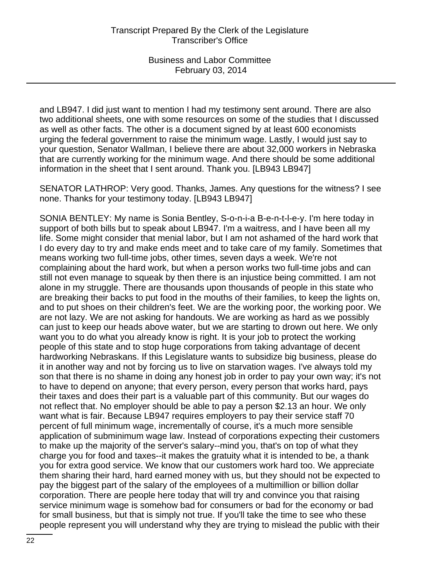and LB947. I did just want to mention I had my testimony sent around. There are also two additional sheets, one with some resources on some of the studies that I discussed as well as other facts. The other is a document signed by at least 600 economists urging the federal government to raise the minimum wage. Lastly, I would just say to your question, Senator Wallman, I believe there are about 32,000 workers in Nebraska that are currently working for the minimum wage. And there should be some additional information in the sheet that I sent around. Thank you. [LB943 LB947]

SENATOR LATHROP: Very good. Thanks, James. Any questions for the witness? I see none. Thanks for your testimony today. [LB943 LB947]

SONIA BENTLEY: My name is Sonia Bentley, S-o-n-i-a B-e-n-t-l-e-y. I'm here today in support of both bills but to speak about LB947. I'm a waitress, and I have been all my life. Some might consider that menial labor, but I am not ashamed of the hard work that I do every day to try and make ends meet and to take care of my family. Sometimes that means working two full-time jobs, other times, seven days a week. We're not complaining about the hard work, but when a person works two full-time jobs and can still not even manage to squeak by then there is an injustice being committed. I am not alone in my struggle. There are thousands upon thousands of people in this state who are breaking their backs to put food in the mouths of their families, to keep the lights on, and to put shoes on their children's feet. We are the working poor, the working poor. We are not lazy. We are not asking for handouts. We are working as hard as we possibly can just to keep our heads above water, but we are starting to drown out here. We only want you to do what you already know is right. It is your job to protect the working people of this state and to stop huge corporations from taking advantage of decent hardworking Nebraskans. If this Legislature wants to subsidize big business, please do it in another way and not by forcing us to live on starvation wages. I've always told my son that there is no shame in doing any honest job in order to pay your own way; it's not to have to depend on anyone; that every person, every person that works hard, pays their taxes and does their part is a valuable part of this community. But our wages do not reflect that. No employer should be able to pay a person \$2.13 an hour. We only want what is fair. Because LB947 requires employers to pay their service staff 70 percent of full minimum wage, incrementally of course, it's a much more sensible application of subminimum wage law. Instead of corporations expecting their customers to make up the majority of the server's salary--mind you, that's on top of what they charge you for food and taxes--it makes the gratuity what it is intended to be, a thank you for extra good service. We know that our customers work hard too. We appreciate them sharing their hard, hard earned money with us, but they should not be expected to pay the biggest part of the salary of the employees of a multimillion or billion dollar corporation. There are people here today that will try and convince you that raising service minimum wage is somehow bad for consumers or bad for the economy or bad for small business, but that is simply not true. If you'll take the time to see who these people represent you will understand why they are trying to mislead the public with their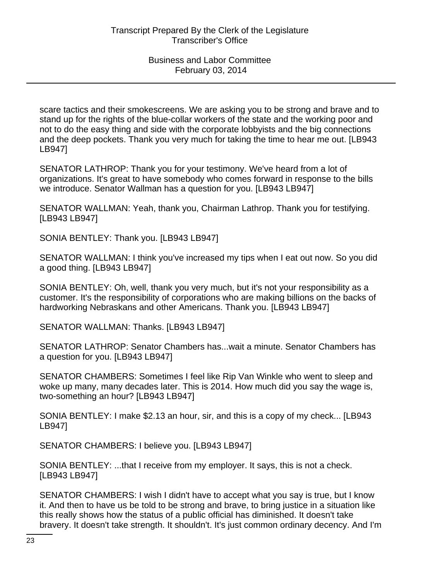scare tactics and their smokescreens. We are asking you to be strong and brave and to stand up for the rights of the blue-collar workers of the state and the working poor and not to do the easy thing and side with the corporate lobbyists and the big connections and the deep pockets. Thank you very much for taking the time to hear me out. [LB943 LB947]

SENATOR LATHROP: Thank you for your testimony. We've heard from a lot of organizations. It's great to have somebody who comes forward in response to the bills we introduce. Senator Wallman has a question for you. [LB943 LB947]

SENATOR WALLMAN: Yeah, thank you, Chairman Lathrop. Thank you for testifying. [LB943 LB947]

SONIA BENTLEY: Thank you. [LB943 LB947]

SENATOR WALLMAN: I think you've increased my tips when I eat out now. So you did a good thing. [LB943 LB947]

SONIA BENTLEY: Oh, well, thank you very much, but it's not your responsibility as a customer. It's the responsibility of corporations who are making billions on the backs of hardworking Nebraskans and other Americans. Thank you. [LB943 LB947]

SENATOR WALLMAN: Thanks. [LB943 LB947]

SENATOR LATHROP: Senator Chambers has...wait a minute. Senator Chambers has a question for you. [LB943 LB947]

SENATOR CHAMBERS: Sometimes I feel like Rip Van Winkle who went to sleep and woke up many, many decades later. This is 2014. How much did you say the wage is, two-something an hour? [LB943 LB947]

SONIA BENTLEY: I make \$2.13 an hour, sir, and this is a copy of my check... [LB943 LB947]

SENATOR CHAMBERS: I believe you. [LB943 LB947]

SONIA BENTLEY: ...that I receive from my employer. It says, this is not a check. [LB943 LB947]

SENATOR CHAMBERS: I wish I didn't have to accept what you say is true, but I know it. And then to have us be told to be strong and brave, to bring justice in a situation like this really shows how the status of a public official has diminished. It doesn't take bravery. It doesn't take strength. It shouldn't. It's just common ordinary decency. And I'm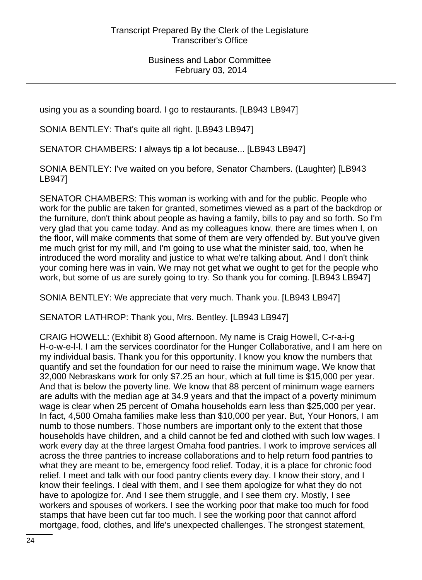using you as a sounding board. I go to restaurants. [LB943 LB947]

SONIA BENTLEY: That's quite all right. [LB943 LB947]

SENATOR CHAMBERS: I always tip a lot because... [LB943 LB947]

SONIA BENTLEY: I've waited on you before, Senator Chambers. (Laughter) [LB943 LB947]

SENATOR CHAMBERS: This woman is working with and for the public. People who work for the public are taken for granted, sometimes viewed as a part of the backdrop or the furniture, don't think about people as having a family, bills to pay and so forth. So I'm very glad that you came today. And as my colleagues know, there are times when I, on the floor, will make comments that some of them are very offended by. But you've given me much grist for my mill, and I'm going to use what the minister said, too, when he introduced the word morality and justice to what we're talking about. And I don't think your coming here was in vain. We may not get what we ought to get for the people who work, but some of us are surely going to try. So thank you for coming. [LB943 LB947]

SONIA BENTLEY: We appreciate that very much. Thank you. [LB943 LB947]

SENATOR LATHROP: Thank you, Mrs. Bentley. [LB943 LB947]

CRAIG HOWELL: (Exhibit 8) Good afternoon. My name is Craig Howell, C-r-a-i-g H-o-w-e-l-l. I am the services coordinator for the Hunger Collaborative, and I am here on my individual basis. Thank you for this opportunity. I know you know the numbers that quantify and set the foundation for our need to raise the minimum wage. We know that 32,000 Nebraskans work for only \$7.25 an hour, which at full time is \$15,000 per year. And that is below the poverty line. We know that 88 percent of minimum wage earners are adults with the median age at 34.9 years and that the impact of a poverty minimum wage is clear when 25 percent of Omaha households earn less than \$25,000 per year. In fact, 4,500 Omaha families make less than \$10,000 per year. But, Your Honors, I am numb to those numbers. Those numbers are important only to the extent that those households have children, and a child cannot be fed and clothed with such low wages. I work every day at the three largest Omaha food pantries. I work to improve services all across the three pantries to increase collaborations and to help return food pantries to what they are meant to be, emergency food relief. Today, it is a place for chronic food relief. I meet and talk with our food pantry clients every day. I know their story, and I know their feelings. I deal with them, and I see them apologize for what they do not have to apologize for. And I see them struggle, and I see them cry. Mostly, I see workers and spouses of workers. I see the working poor that make too much for food stamps that have been cut far too much. I see the working poor that cannot afford mortgage, food, clothes, and life's unexpected challenges. The strongest statement,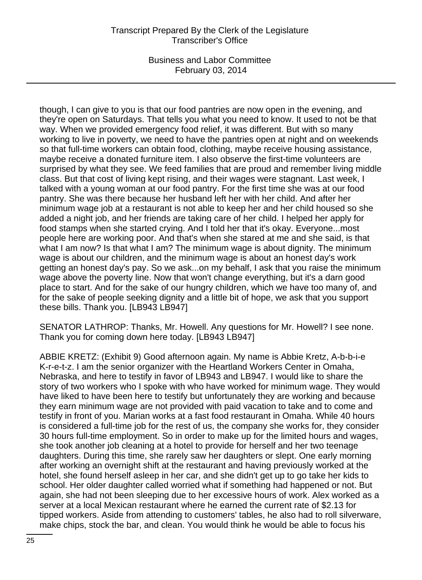### Transcript Prepared By the Clerk of the Legislature Transcriber's Office

Business and Labor Committee February 03, 2014

though, I can give to you is that our food pantries are now open in the evening, and they're open on Saturdays. That tells you what you need to know. It used to not be that way. When we provided emergency food relief, it was different. But with so many working to live in poverty, we need to have the pantries open at night and on weekends so that full-time workers can obtain food, clothing, maybe receive housing assistance, maybe receive a donated furniture item. I also observe the first-time volunteers are surprised by what they see. We feed families that are proud and remember living middle class. But that cost of living kept rising, and their wages were stagnant. Last week, I talked with a young woman at our food pantry. For the first time she was at our food pantry. She was there because her husband left her with her child. And after her minimum wage job at a restaurant is not able to keep her and her child housed so she added a night job, and her friends are taking care of her child. I helped her apply for food stamps when she started crying. And I told her that it's okay. Everyone...most people here are working poor. And that's when she stared at me and she said, is that what I am now? Is that what I am? The minimum wage is about dignity. The minimum wage is about our children, and the minimum wage is about an honest day's work getting an honest day's pay. So we ask...on my behalf, I ask that you raise the minimum wage above the poverty line. Now that won't change everything, but it's a darn good place to start. And for the sake of our hungry children, which we have too many of, and for the sake of people seeking dignity and a little bit of hope, we ask that you support these bills. Thank you. [LB943 LB947]

SENATOR LATHROP: Thanks, Mr. Howell. Any questions for Mr. Howell? I see none. Thank you for coming down here today. [LB943 LB947]

ABBIE KRETZ: (Exhibit 9) Good afternoon again. My name is Abbie Kretz, A-b-b-i-e K-r-e-t-z. I am the senior organizer with the Heartland Workers Center in Omaha, Nebraska, and here to testify in favor of LB943 and LB947. I would like to share the story of two workers who I spoke with who have worked for minimum wage. They would have liked to have been here to testify but unfortunately they are working and because they earn minimum wage are not provided with paid vacation to take and to come and testify in front of you. Marian works at a fast food restaurant in Omaha. While 40 hours is considered a full-time job for the rest of us, the company she works for, they consider 30 hours full-time employment. So in order to make up for the limited hours and wages, she took another job cleaning at a hotel to provide for herself and her two teenage daughters. During this time, she rarely saw her daughters or slept. One early morning after working an overnight shift at the restaurant and having previously worked at the hotel, she found herself asleep in her car, and she didn't get up to go take her kids to school. Her older daughter called worried what if something had happened or not. But again, she had not been sleeping due to her excessive hours of work. Alex worked as a server at a local Mexican restaurant where he earned the current rate of \$2.13 for tipped workers. Aside from attending to customers' tables, he also had to roll silverware, make chips, stock the bar, and clean. You would think he would be able to focus his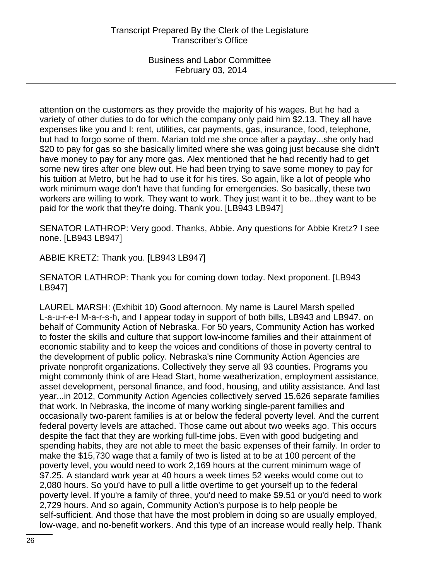attention on the customers as they provide the majority of his wages. But he had a variety of other duties to do for which the company only paid him \$2.13. They all have expenses like you and I: rent, utilities, car payments, gas, insurance, food, telephone, but had to forgo some of them. Marian told me she once after a payday...she only had \$20 to pay for gas so she basically limited where she was going just because she didn't have money to pay for any more gas. Alex mentioned that he had recently had to get some new tires after one blew out. He had been trying to save some money to pay for his tuition at Metro, but he had to use it for his tires. So again, like a lot of people who work minimum wage don't have that funding for emergencies. So basically, these two workers are willing to work. They want to work. They just want it to be...they want to be paid for the work that they're doing. Thank you. [LB943 LB947]

SENATOR LATHROP: Very good. Thanks, Abbie. Any questions for Abbie Kretz? I see none. [LB943 LB947]

ABBIE KRETZ: Thank you. [LB943 LB947]

SENATOR LATHROP: Thank you for coming down today. Next proponent. [LB943 LB947]

LAUREL MARSH: (Exhibit 10) Good afternoon. My name is Laurel Marsh spelled L-a-u-r-e-l M-a-r-s-h, and I appear today in support of both bills, LB943 and LB947, on behalf of Community Action of Nebraska. For 50 years, Community Action has worked to foster the skills and culture that support low-income families and their attainment of economic stability and to keep the voices and conditions of those in poverty central to the development of public policy. Nebraska's nine Community Action Agencies are private nonprofit organizations. Collectively they serve all 93 counties. Programs you might commonly think of are Head Start, home weatherization, employment assistance, asset development, personal finance, and food, housing, and utility assistance. And last year...in 2012, Community Action Agencies collectively served 15,626 separate families that work. In Nebraska, the income of many working single-parent families and occasionally two-parent families is at or below the federal poverty level. And the current federal poverty levels are attached. Those came out about two weeks ago. This occurs despite the fact that they are working full-time jobs. Even with good budgeting and spending habits, they are not able to meet the basic expenses of their family. In order to make the \$15,730 wage that a family of two is listed at to be at 100 percent of the poverty level, you would need to work 2,169 hours at the current minimum wage of \$7.25. A standard work year at 40 hours a week times 52 weeks would come out to 2,080 hours. So you'd have to pull a little overtime to get yourself up to the federal poverty level. If you're a family of three, you'd need to make \$9.51 or you'd need to work 2,729 hours. And so again, Community Action's purpose is to help people be self-sufficient. And those that have the most problem in doing so are usually employed, low-wage, and no-benefit workers. And this type of an increase would really help. Thank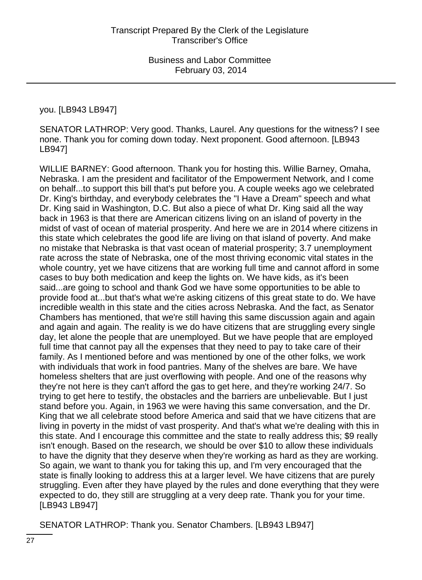#### you. [LB943 LB947]

SENATOR LATHROP: Very good. Thanks, Laurel. Any questions for the witness? I see none. Thank you for coming down today. Next proponent. Good afternoon. [LB943 LB947]

WILLIE BARNEY: Good afternoon. Thank you for hosting this. Willie Barney, Omaha, Nebraska. I am the president and facilitator of the Empowerment Network, and I come on behalf...to support this bill that's put before you. A couple weeks ago we celebrated Dr. King's birthday, and everybody celebrates the "I Have a Dream" speech and what Dr. King said in Washington, D.C. But also a piece of what Dr. King said all the way back in 1963 is that there are American citizens living on an island of poverty in the midst of vast of ocean of material prosperity. And here we are in 2014 where citizens in this state which celebrates the good life are living on that island of poverty. And make no mistake that Nebraska is that vast ocean of material prosperity; 3.7 unemployment rate across the state of Nebraska, one of the most thriving economic vital states in the whole country, yet we have citizens that are working full time and cannot afford in some cases to buy both medication and keep the lights on. We have kids, as it's been said...are going to school and thank God we have some opportunities to be able to provide food at...but that's what we're asking citizens of this great state to do. We have incredible wealth in this state and the cities across Nebraska. And the fact, as Senator Chambers has mentioned, that we're still having this same discussion again and again and again and again. The reality is we do have citizens that are struggling every single day, let alone the people that are unemployed. But we have people that are employed full time that cannot pay all the expenses that they need to pay to take care of their family. As I mentioned before and was mentioned by one of the other folks, we work with individuals that work in food pantries. Many of the shelves are bare. We have homeless shelters that are just overflowing with people. And one of the reasons why they're not here is they can't afford the gas to get here, and they're working 24/7. So trying to get here to testify, the obstacles and the barriers are unbelievable. But I just stand before you. Again, in 1963 we were having this same conversation, and the Dr. King that we all celebrate stood before America and said that we have citizens that are living in poverty in the midst of vast prosperity. And that's what we're dealing with this in this state. And I encourage this committee and the state to really address this; \$9 really isn't enough. Based on the research, we should be over \$10 to allow these individuals to have the dignity that they deserve when they're working as hard as they are working. So again, we want to thank you for taking this up, and I'm very encouraged that the state is finally looking to address this at a larger level. We have citizens that are purely struggling. Even after they have played by the rules and done everything that they were expected to do, they still are struggling at a very deep rate. Thank you for your time. [LB943 LB947]

SENATOR LATHROP: Thank you. Senator Chambers. [LB943 LB947]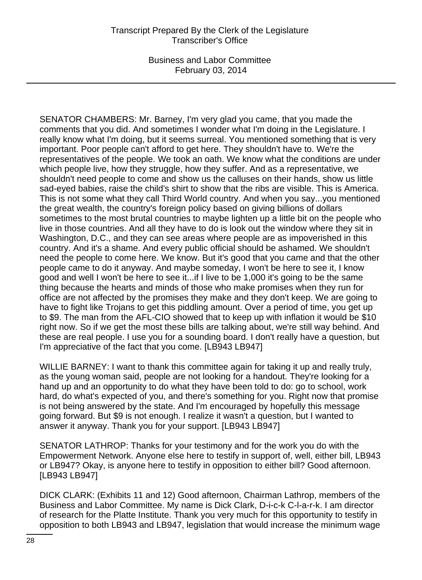SENATOR CHAMBERS: Mr. Barney, I'm very glad you came, that you made the comments that you did. And sometimes I wonder what I'm doing in the Legislature. I really know what I'm doing, but it seems surreal. You mentioned something that is very important. Poor people can't afford to get here. They shouldn't have to. We're the representatives of the people. We took an oath. We know what the conditions are under which people live, how they struggle, how they suffer. And as a representative, we shouldn't need people to come and show us the calluses on their hands, show us little sad-eyed babies, raise the child's shirt to show that the ribs are visible. This is America. This is not some what they call Third World country. And when you say...you mentioned the great wealth, the country's foreign policy based on giving billions of dollars sometimes to the most brutal countries to maybe lighten up a little bit on the people who live in those countries. And all they have to do is look out the window where they sit in Washington, D.C., and they can see areas where people are as impoverished in this country. And it's a shame. And every public official should be ashamed. We shouldn't need the people to come here. We know. But it's good that you came and that the other people came to do it anyway. And maybe someday, I won't be here to see it, I know good and well I won't be here to see it...if I live to be 1,000 it's going to be the same thing because the hearts and minds of those who make promises when they run for office are not affected by the promises they make and they don't keep. We are going to have to fight like Trojans to get this piddling amount. Over a period of time, you get up to \$9. The man from the AFL-CIO showed that to keep up with inflation it would be \$10 right now. So if we get the most these bills are talking about, we're still way behind. And these are real people. I use you for a sounding board. I don't really have a question, but I'm appreciative of the fact that you come. [LB943 LB947]

WILLIE BARNEY: I want to thank this committee again for taking it up and really truly, as the young woman said, people are not looking for a handout. They're looking for a hand up and an opportunity to do what they have been told to do: go to school, work hard, do what's expected of you, and there's something for you. Right now that promise is not being answered by the state. And I'm encouraged by hopefully this message going forward. But \$9 is not enough. I realize it wasn't a question, but I wanted to answer it anyway. Thank you for your support. [LB943 LB947]

SENATOR LATHROP: Thanks for your testimony and for the work you do with the Empowerment Network. Anyone else here to testify in support of, well, either bill, LB943 or LB947? Okay, is anyone here to testify in opposition to either bill? Good afternoon. [LB943 LB947]

DICK CLARK: (Exhibits 11 and 12) Good afternoon, Chairman Lathrop, members of the Business and Labor Committee. My name is Dick Clark, D-i-c-k C-l-a-r-k. I am director of research for the Platte Institute. Thank you very much for this opportunity to testify in opposition to both LB943 and LB947, legislation that would increase the minimum wage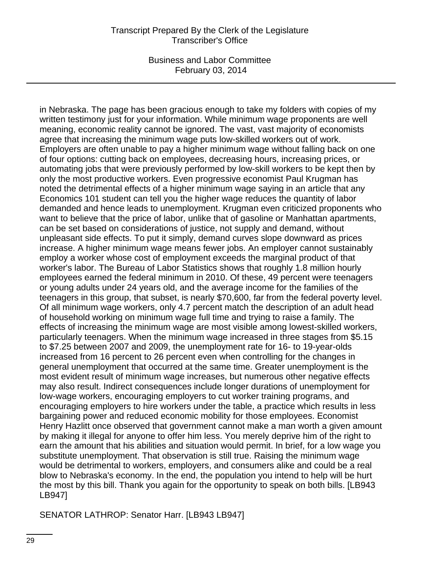in Nebraska. The page has been gracious enough to take my folders with copies of my written testimony just for your information. While minimum wage proponents are well meaning, economic reality cannot be ignored. The vast, vast majority of economists agree that increasing the minimum wage puts low-skilled workers out of work. Employers are often unable to pay a higher minimum wage without falling back on one of four options: cutting back on employees, decreasing hours, increasing prices, or automating jobs that were previously performed by low-skill workers to be kept then by only the most productive workers. Even progressive economist Paul Krugman has noted the detrimental effects of a higher minimum wage saying in an article that any Economics 101 student can tell you the higher wage reduces the quantity of labor demanded and hence leads to unemployment. Krugman even criticized proponents who want to believe that the price of labor, unlike that of gasoline or Manhattan apartments, can be set based on considerations of justice, not supply and demand, without unpleasant side effects. To put it simply, demand curves slope downward as prices increase. A higher minimum wage means fewer jobs. An employer cannot sustainably employ a worker whose cost of employment exceeds the marginal product of that worker's labor. The Bureau of Labor Statistics shows that roughly 1.8 million hourly employees earned the federal minimum in 2010. Of these, 49 percent were teenagers or young adults under 24 years old, and the average income for the families of the teenagers in this group, that subset, is nearly \$70,600, far from the federal poverty level. Of all minimum wage workers, only 4.7 percent match the description of an adult head of household working on minimum wage full time and trying to raise a family. The effects of increasing the minimum wage are most visible among lowest-skilled workers, particularly teenagers. When the minimum wage increased in three stages from \$5.15 to \$7.25 between 2007 and 2009, the unemployment rate for 16- to 19-year-olds increased from 16 percent to 26 percent even when controlling for the changes in general unemployment that occurred at the same time. Greater unemployment is the most evident result of minimum wage increases, but numerous other negative effects may also result. Indirect consequences include longer durations of unemployment for low-wage workers, encouraging employers to cut worker training programs, and encouraging employers to hire workers under the table, a practice which results in less bargaining power and reduced economic mobility for those employees. Economist Henry Hazlitt once observed that government cannot make a man worth a given amount by making it illegal for anyone to offer him less. You merely deprive him of the right to earn the amount that his abilities and situation would permit. In brief, for a low wage you substitute unemployment. That observation is still true. Raising the minimum wage would be detrimental to workers, employers, and consumers alike and could be a real blow to Nebraska's economy. In the end, the population you intend to help will be hurt the most by this bill. Thank you again for the opportunity to speak on both bills. [LB943 LB947]

SENATOR LATHROP: Senator Harr. [LB943 LB947]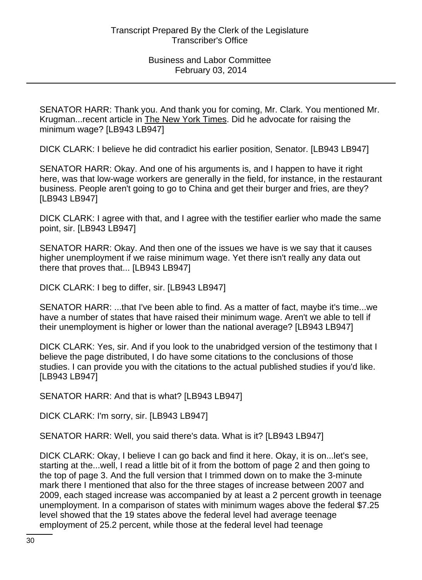SENATOR HARR: Thank you. And thank you for coming, Mr. Clark. You mentioned Mr. Krugman...recent article in The New York Times. Did he advocate for raising the minimum wage? [LB943 LB947]

DICK CLARK: I believe he did contradict his earlier position, Senator. [LB943 LB947]

SENATOR HARR: Okay. And one of his arguments is, and I happen to have it right here, was that low-wage workers are generally in the field, for instance, in the restaurant business. People aren't going to go to China and get their burger and fries, are they? [LB943 LB947]

DICK CLARK: I agree with that, and I agree with the testifier earlier who made the same point, sir. [LB943 LB947]

SENATOR HARR: Okay. And then one of the issues we have is we say that it causes higher unemployment if we raise minimum wage. Yet there isn't really any data out there that proves that... [LB943 LB947]

DICK CLARK: I beg to differ, sir. [LB943 LB947]

SENATOR HARR: ...that I've been able to find. As a matter of fact, maybe it's time...we have a number of states that have raised their minimum wage. Aren't we able to tell if their unemployment is higher or lower than the national average? [LB943 LB947]

DICK CLARK: Yes, sir. And if you look to the unabridged version of the testimony that I believe the page distributed, I do have some citations to the conclusions of those studies. I can provide you with the citations to the actual published studies if you'd like. [LB943 LB947]

SENATOR HARR: And that is what? [LB943 LB947]

DICK CLARK: I'm sorry, sir. [LB943 LB947]

SENATOR HARR: Well, you said there's data. What is it? [LB943 LB947]

DICK CLARK: Okay, I believe I can go back and find it here. Okay, it is on...let's see, starting at the...well, I read a little bit of it from the bottom of page 2 and then going to the top of page 3. And the full version that I trimmed down on to make the 3-minute mark there I mentioned that also for the three stages of increase between 2007 and 2009, each staged increase was accompanied by at least a 2 percent growth in teenage unemployment. In a comparison of states with minimum wages above the federal \$7.25 level showed that the 19 states above the federal level had average teenage employment of 25.2 percent, while those at the federal level had teenage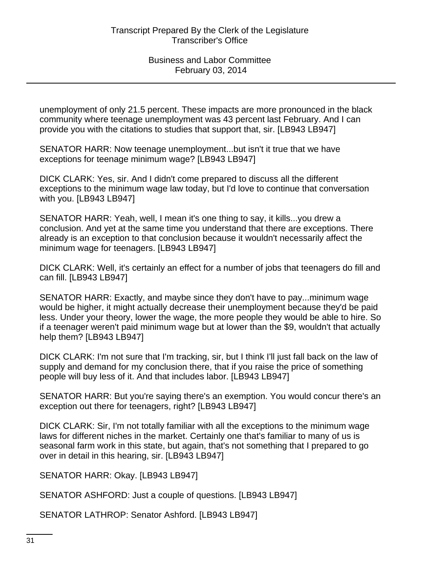unemployment of only 21.5 percent. These impacts are more pronounced in the black community where teenage unemployment was 43 percent last February. And I can provide you with the citations to studies that support that, sir. [LB943 LB947]

SENATOR HARR: Now teenage unemployment...but isn't it true that we have exceptions for teenage minimum wage? [LB943 LB947]

DICK CLARK: Yes, sir. And I didn't come prepared to discuss all the different exceptions to the minimum wage law today, but I'd love to continue that conversation with you. [LB943 LB947]

SENATOR HARR: Yeah, well, I mean it's one thing to say, it kills...you drew a conclusion. And yet at the same time you understand that there are exceptions. There already is an exception to that conclusion because it wouldn't necessarily affect the minimum wage for teenagers. [LB943 LB947]

DICK CLARK: Well, it's certainly an effect for a number of jobs that teenagers do fill and can fill. [LB943 LB947]

SENATOR HARR: Exactly, and maybe since they don't have to pay...minimum wage would be higher, it might actually decrease their unemployment because they'd be paid less. Under your theory, lower the wage, the more people they would be able to hire. So if a teenager weren't paid minimum wage but at lower than the \$9, wouldn't that actually help them? [LB943 LB947]

DICK CLARK: I'm not sure that I'm tracking, sir, but I think I'll just fall back on the law of supply and demand for my conclusion there, that if you raise the price of something people will buy less of it. And that includes labor. [LB943 LB947]

SENATOR HARR: But you're saying there's an exemption. You would concur there's an exception out there for teenagers, right? [LB943 LB947]

DICK CLARK: Sir, I'm not totally familiar with all the exceptions to the minimum wage laws for different niches in the market. Certainly one that's familiar to many of us is seasonal farm work in this state, but again, that's not something that I prepared to go over in detail in this hearing, sir. [LB943 LB947]

SENATOR HARR: Okay. [LB943 LB947]

SENATOR ASHFORD: Just a couple of questions. [LB943 LB947]

SENATOR LATHROP: Senator Ashford. [LB943 LB947]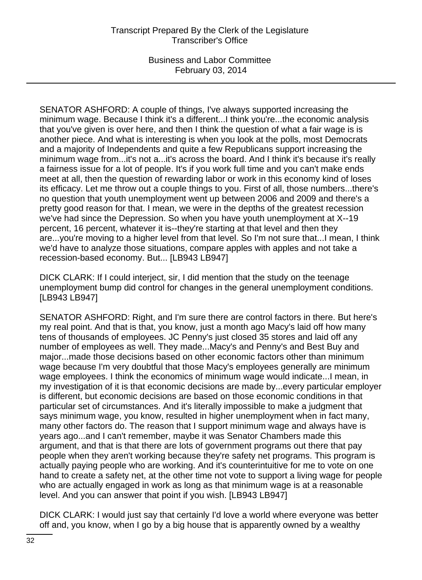SENATOR ASHFORD: A couple of things, I've always supported increasing the minimum wage. Because I think it's a different...I think you're...the economic analysis that you've given is over here, and then I think the question of what a fair wage is is another piece. And what is interesting is when you look at the polls, most Democrats and a majority of Independents and quite a few Republicans support increasing the minimum wage from...it's not a...it's across the board. And I think it's because it's really a fairness issue for a lot of people. It's if you work full time and you can't make ends meet at all, then the question of rewarding labor or work in this economy kind of loses its efficacy. Let me throw out a couple things to you. First of all, those numbers...there's no question that youth unemployment went up between 2006 and 2009 and there's a pretty good reason for that. I mean, we were in the depths of the greatest recession we've had since the Depression. So when you have youth unemployment at X--19 percent, 16 percent, whatever it is--they're starting at that level and then they are...you're moving to a higher level from that level. So I'm not sure that...I mean, I think we'd have to analyze those situations, compare apples with apples and not take a recession-based economy. But... [LB943 LB947]

DICK CLARK: If I could interject, sir, I did mention that the study on the teenage unemployment bump did control for changes in the general unemployment conditions. [LB943 LB947]

SENATOR ASHFORD: Right, and I'm sure there are control factors in there. But here's my real point. And that is that, you know, just a month ago Macy's laid off how many tens of thousands of employees. JC Penny's just closed 35 stores and laid off any number of employees as well. They made...Macy's and Penny's and Best Buy and major...made those decisions based on other economic factors other than minimum wage because I'm very doubtful that those Macy's employees generally are minimum wage employees. I think the economics of minimum wage would indicate...I mean, in my investigation of it is that economic decisions are made by...every particular employer is different, but economic decisions are based on those economic conditions in that particular set of circumstances. And it's literally impossible to make a judgment that says minimum wage, you know, resulted in higher unemployment when in fact many, many other factors do. The reason that I support minimum wage and always have is years ago...and I can't remember, maybe it was Senator Chambers made this argument, and that is that there are lots of government programs out there that pay people when they aren't working because they're safety net programs. This program is actually paying people who are working. And it's counterintuitive for me to vote on one hand to create a safety net, at the other time not vote to support a living wage for people who are actually engaged in work as long as that minimum wage is at a reasonable level. And you can answer that point if you wish. [LB943 LB947]

DICK CLARK: I would just say that certainly I'd love a world where everyone was better off and, you know, when I go by a big house that is apparently owned by a wealthy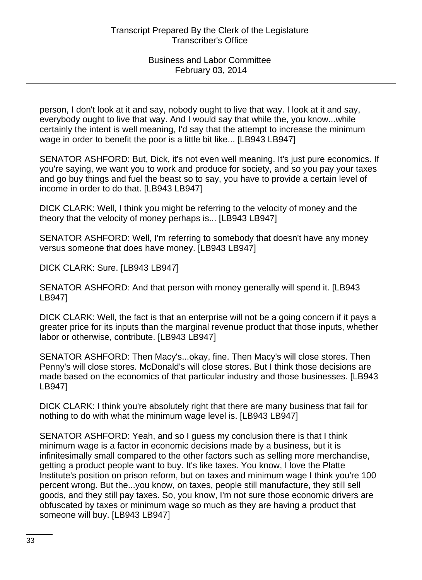person, I don't look at it and say, nobody ought to live that way. I look at it and say, everybody ought to live that way. And I would say that while the, you know...while certainly the intent is well meaning, I'd say that the attempt to increase the minimum wage in order to benefit the poor is a little bit like... [LB943 LB947]

SENATOR ASHFORD: But, Dick, it's not even well meaning. It's just pure economics. If you're saying, we want you to work and produce for society, and so you pay your taxes and go buy things and fuel the beast so to say, you have to provide a certain level of income in order to do that. [LB943 LB947]

DICK CLARK: Well, I think you might be referring to the velocity of money and the theory that the velocity of money perhaps is... [LB943 LB947]

SENATOR ASHFORD: Well, I'm referring to somebody that doesn't have any money versus someone that does have money. [LB943 LB947]

DICK CLARK: Sure. [LB943 LB947]

SENATOR ASHFORD: And that person with money generally will spend it. [LB943 LB947]

DICK CLARK: Well, the fact is that an enterprise will not be a going concern if it pays a greater price for its inputs than the marginal revenue product that those inputs, whether labor or otherwise, contribute. [LB943 LB947]

SENATOR ASHFORD: Then Macy's...okay, fine. Then Macy's will close stores. Then Penny's will close stores. McDonald's will close stores. But I think those decisions are made based on the economics of that particular industry and those businesses. [LB943 LB947]

DICK CLARK: I think you're absolutely right that there are many business that fail for nothing to do with what the minimum wage level is. [LB943 LB947]

SENATOR ASHFORD: Yeah, and so I guess my conclusion there is that I think minimum wage is a factor in economic decisions made by a business, but it is infinitesimally small compared to the other factors such as selling more merchandise, getting a product people want to buy. It's like taxes. You know, I love the Platte Institute's position on prison reform, but on taxes and minimum wage I think you're 100 percent wrong. But the...you know, on taxes, people still manufacture, they still sell goods, and they still pay taxes. So, you know, I'm not sure those economic drivers are obfuscated by taxes or minimum wage so much as they are having a product that someone will buy. [LB943 LB947]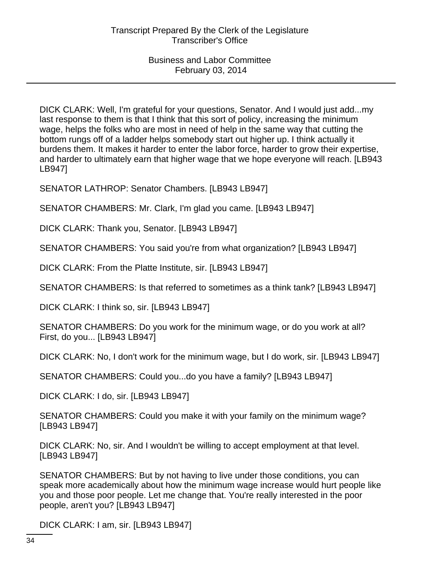DICK CLARK: Well, I'm grateful for your questions, Senator. And I would just add...my last response to them is that I think that this sort of policy, increasing the minimum wage, helps the folks who are most in need of help in the same way that cutting the bottom rungs off of a ladder helps somebody start out higher up. I think actually it burdens them. It makes it harder to enter the labor force, harder to grow their expertise, and harder to ultimately earn that higher wage that we hope everyone will reach. [LB943 LB947]

SENATOR LATHROP: Senator Chambers. [LB943 LB947]

SENATOR CHAMBERS: Mr. Clark, I'm glad you came. [LB943 LB947]

DICK CLARK: Thank you, Senator. [LB943 LB947]

SENATOR CHAMBERS: You said you're from what organization? [LB943 LB947]

DICK CLARK: From the Platte Institute, sir. [LB943 LB947]

SENATOR CHAMBERS: Is that referred to sometimes as a think tank? [LB943 LB947]

DICK CLARK: I think so, sir. [LB943 LB947]

SENATOR CHAMBERS: Do you work for the minimum wage, or do you work at all? First, do you... [LB943 LB947]

DICK CLARK: No, I don't work for the minimum wage, but I do work, sir. [LB943 LB947]

SENATOR CHAMBERS: Could you...do you have a family? [LB943 LB947]

DICK CLARK: I do, sir. [LB943 LB947]

SENATOR CHAMBERS: Could you make it with your family on the minimum wage? [LB943 LB947]

DICK CLARK: No, sir. And I wouldn't be willing to accept employment at that level. [LB943 LB947]

SENATOR CHAMBERS: But by not having to live under those conditions, you can speak more academically about how the minimum wage increase would hurt people like you and those poor people. Let me change that. You're really interested in the poor people, aren't you? [LB943 LB947]

DICK CLARK: I am, sir. [LB943 LB947]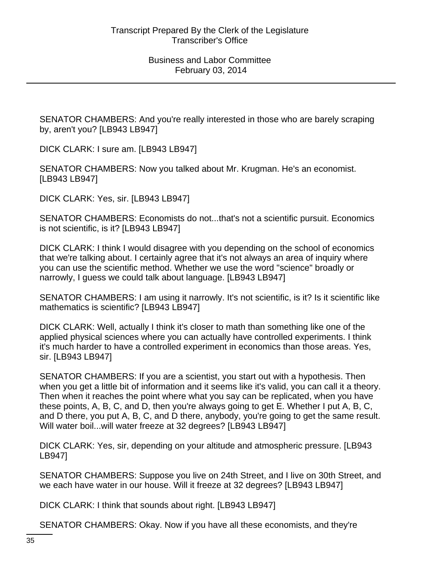SENATOR CHAMBERS: And you're really interested in those who are barely scraping by, aren't you? [LB943 LB947]

DICK CLARK: I sure am. [LB943 LB947]

SENATOR CHAMBERS: Now you talked about Mr. Krugman. He's an economist. [LB943 LB947]

DICK CLARK: Yes, sir. [LB943 LB947]

SENATOR CHAMBERS: Economists do not...that's not a scientific pursuit. Economics is not scientific, is it? [LB943 LB947]

DICK CLARK: I think I would disagree with you depending on the school of economics that we're talking about. I certainly agree that it's not always an area of inquiry where you can use the scientific method. Whether we use the word "science" broadly or narrowly, I guess we could talk about language. [LB943 LB947]

SENATOR CHAMBERS: I am using it narrowly. It's not scientific, is it? Is it scientific like mathematics is scientific? [LB943 LB947]

DICK CLARK: Well, actually I think it's closer to math than something like one of the applied physical sciences where you can actually have controlled experiments. I think it's much harder to have a controlled experiment in economics than those areas. Yes, sir. [LB943 LB947]

SENATOR CHAMBERS: If you are a scientist, you start out with a hypothesis. Then when you get a little bit of information and it seems like it's valid, you can call it a theory. Then when it reaches the point where what you say can be replicated, when you have these points, A, B, C, and D, then you're always going to get E. Whether I put A, B, C, and D there, you put A, B, C, and D there, anybody, you're going to get the same result. Will water boil...will water freeze at 32 degrees? [LB943 LB947]

DICK CLARK: Yes, sir, depending on your altitude and atmospheric pressure. [LB943 LB947]

SENATOR CHAMBERS: Suppose you live on 24th Street, and I live on 30th Street, and we each have water in our house. Will it freeze at 32 degrees? [LB943 LB947]

DICK CLARK: I think that sounds about right. [LB943 LB947]

SENATOR CHAMBERS: Okay. Now if you have all these economists, and they're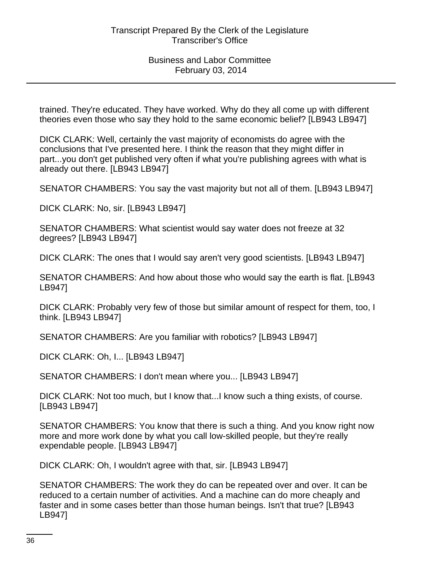trained. They're educated. They have worked. Why do they all come up with different theories even those who say they hold to the same economic belief? [LB943 LB947]

DICK CLARK: Well, certainly the vast majority of economists do agree with the conclusions that I've presented here. I think the reason that they might differ in part...you don't get published very often if what you're publishing agrees with what is already out there. [LB943 LB947]

SENATOR CHAMBERS: You say the vast majority but not all of them. [LB943 LB947]

DICK CLARK: No, sir. [LB943 LB947]

SENATOR CHAMBERS: What scientist would say water does not freeze at 32 degrees? [LB943 LB947]

DICK CLARK: The ones that I would say aren't very good scientists. [LB943 LB947]

SENATOR CHAMBERS: And how about those who would say the earth is flat. [LB943 LB947]

DICK CLARK: Probably very few of those but similar amount of respect for them, too, I think. [LB943 LB947]

SENATOR CHAMBERS: Are you familiar with robotics? [LB943 LB947]

DICK CLARK: Oh, I... [LB943 LB947]

SENATOR CHAMBERS: I don't mean where you... [LB943 LB947]

DICK CLARK: Not too much, but I know that...I know such a thing exists, of course. [LB943 LB947]

SENATOR CHAMBERS: You know that there is such a thing. And you know right now more and more work done by what you call low-skilled people, but they're really expendable people. [LB943 LB947]

DICK CLARK: Oh, I wouldn't agree with that, sir. [LB943 LB947]

SENATOR CHAMBERS: The work they do can be repeated over and over. It can be reduced to a certain number of activities. And a machine can do more cheaply and faster and in some cases better than those human beings. Isn't that true? [LB943 LB947]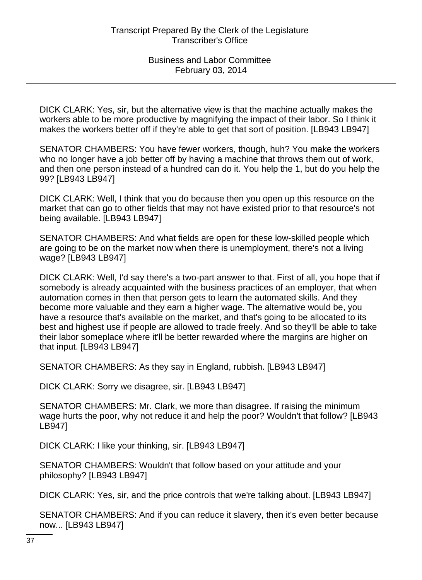DICK CLARK: Yes, sir, but the alternative view is that the machine actually makes the workers able to be more productive by magnifying the impact of their labor. So I think it makes the workers better off if they're able to get that sort of position. [LB943 LB947]

SENATOR CHAMBERS: You have fewer workers, though, huh? You make the workers who no longer have a job better off by having a machine that throws them out of work, and then one person instead of a hundred can do it. You help the 1, but do you help the 99? [LB943 LB947]

DICK CLARK: Well, I think that you do because then you open up this resource on the market that can go to other fields that may not have existed prior to that resource's not being available. [LB943 LB947]

SENATOR CHAMBERS: And what fields are open for these low-skilled people which are going to be on the market now when there is unemployment, there's not a living wage? [LB943 LB947]

DICK CLARK: Well, I'd say there's a two-part answer to that. First of all, you hope that if somebody is already acquainted with the business practices of an employer, that when automation comes in then that person gets to learn the automated skills. And they become more valuable and they earn a higher wage. The alternative would be, you have a resource that's available on the market, and that's going to be allocated to its best and highest use if people are allowed to trade freely. And so they'll be able to take their labor someplace where it'll be better rewarded where the margins are higher on that input. [LB943 LB947]

SENATOR CHAMBERS: As they say in England, rubbish. [LB943 LB947]

DICK CLARK: Sorry we disagree, sir. [LB943 LB947]

SENATOR CHAMBERS: Mr. Clark, we more than disagree. If raising the minimum wage hurts the poor, why not reduce it and help the poor? Wouldn't that follow? [LB943 LB947]

DICK CLARK: I like your thinking, sir. [LB943 LB947]

SENATOR CHAMBERS: Wouldn't that follow based on your attitude and your philosophy? [LB943 LB947]

DICK CLARK: Yes, sir, and the price controls that we're talking about. [LB943 LB947]

SENATOR CHAMBERS: And if you can reduce it slavery, then it's even better because now... [LB943 LB947]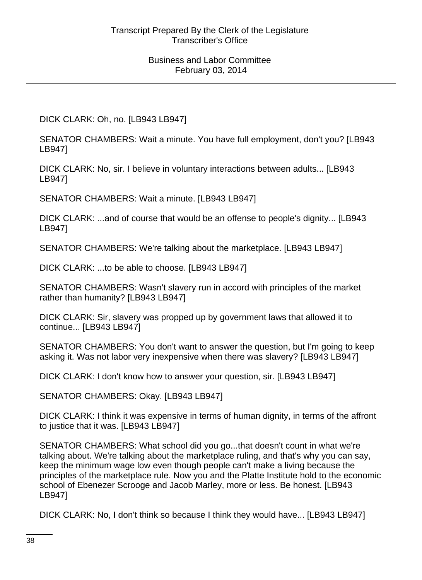DICK CLARK: Oh, no. [LB943 LB947]

SENATOR CHAMBERS: Wait a minute. You have full employment, don't you? [LB943 LB947]

DICK CLARK: No, sir. I believe in voluntary interactions between adults... [LB943 LB947]

SENATOR CHAMBERS: Wait a minute. [LB943 LB947]

DICK CLARK: ...and of course that would be an offense to people's dignity... [LB943 LB947]

SENATOR CHAMBERS: We're talking about the marketplace. [LB943 LB947]

DICK CLARK: ...to be able to choose. [LB943 LB947]

SENATOR CHAMBERS: Wasn't slavery run in accord with principles of the market rather than humanity? [LB943 LB947]

DICK CLARK: Sir, slavery was propped up by government laws that allowed it to continue... [LB943 LB947]

SENATOR CHAMBERS: You don't want to answer the question, but I'm going to keep asking it. Was not labor very inexpensive when there was slavery? [LB943 LB947]

DICK CLARK: I don't know how to answer your question, sir. [LB943 LB947]

SENATOR CHAMBERS: Okay. [LB943 LB947]

DICK CLARK: I think it was expensive in terms of human dignity, in terms of the affront to justice that it was. [LB943 LB947]

SENATOR CHAMBERS: What school did you go...that doesn't count in what we're talking about. We're talking about the marketplace ruling, and that's why you can say, keep the minimum wage low even though people can't make a living because the principles of the marketplace rule. Now you and the Platte Institute hold to the economic school of Ebenezer Scrooge and Jacob Marley, more or less. Be honest. [LB943 LB947]

DICK CLARK: No, I don't think so because I think they would have... [LB943 LB947]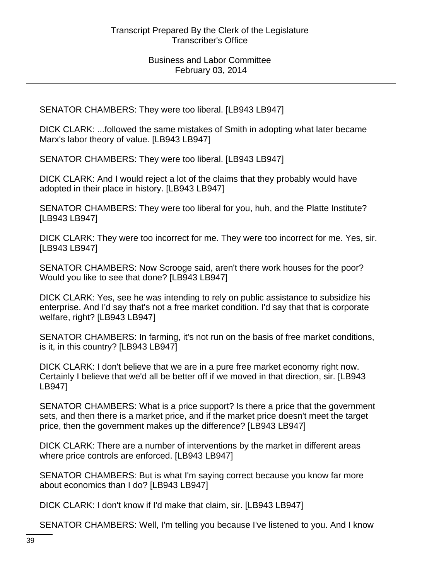SENATOR CHAMBERS: They were too liberal. [LB943 LB947]

DICK CLARK: ...followed the same mistakes of Smith in adopting what later became Marx's labor theory of value. [LB943 LB947]

SENATOR CHAMBERS: They were too liberal. [LB943 LB947]

DICK CLARK: And I would reject a lot of the claims that they probably would have adopted in their place in history. [LB943 LB947]

SENATOR CHAMBERS: They were too liberal for you, huh, and the Platte Institute? [LB943 LB947]

DICK CLARK: They were too incorrect for me. They were too incorrect for me. Yes, sir. [LB943 LB947]

SENATOR CHAMBERS: Now Scrooge said, aren't there work houses for the poor? Would you like to see that done? [LB943 LB947]

DICK CLARK: Yes, see he was intending to rely on public assistance to subsidize his enterprise. And I'd say that's not a free market condition. I'd say that that is corporate welfare, right? [LB943 LB947]

SENATOR CHAMBERS: In farming, it's not run on the basis of free market conditions, is it, in this country? [LB943 LB947]

DICK CLARK: I don't believe that we are in a pure free market economy right now. Certainly I believe that we'd all be better off if we moved in that direction, sir. [LB943 LB947]

SENATOR CHAMBERS: What is a price support? Is there a price that the government sets, and then there is a market price, and if the market price doesn't meet the target price, then the government makes up the difference? [LB943 LB947]

DICK CLARK: There are a number of interventions by the market in different areas where price controls are enforced. [LB943 LB947]

SENATOR CHAMBERS: But is what I'm saying correct because you know far more about economics than I do? [LB943 LB947]

DICK CLARK: I don't know if I'd make that claim, sir. [LB943 LB947]

SENATOR CHAMBERS: Well, I'm telling you because I've listened to you. And I know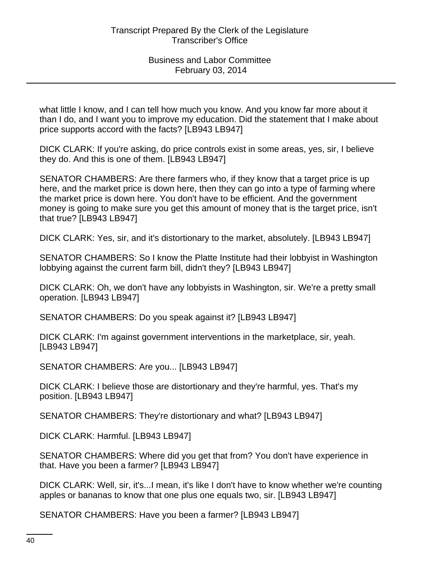what little I know, and I can tell how much you know. And you know far more about it than I do, and I want you to improve my education. Did the statement that I make about price supports accord with the facts? [LB943 LB947]

DICK CLARK: If you're asking, do price controls exist in some areas, yes, sir, I believe they do. And this is one of them. [LB943 LB947]

SENATOR CHAMBERS: Are there farmers who, if they know that a target price is up here, and the market price is down here, then they can go into a type of farming where the market price is down here. You don't have to be efficient. And the government money is going to make sure you get this amount of money that is the target price, isn't that true? [LB943 LB947]

DICK CLARK: Yes, sir, and it's distortionary to the market, absolutely. [LB943 LB947]

SENATOR CHAMBERS: So I know the Platte Institute had their lobbyist in Washington lobbying against the current farm bill, didn't they? [LB943 LB947]

DICK CLARK: Oh, we don't have any lobbyists in Washington, sir. We're a pretty small operation. [LB943 LB947]

SENATOR CHAMBERS: Do you speak against it? [LB943 LB947]

DICK CLARK: I'm against government interventions in the marketplace, sir, yeah. [LB943 LB947]

SENATOR CHAMBERS: Are you... [LB943 LB947]

DICK CLARK: I believe those are distortionary and they're harmful, yes. That's my position. [LB943 LB947]

SENATOR CHAMBERS: They're distortionary and what? [LB943 LB947]

DICK CLARK: Harmful. [LB943 LB947]

SENATOR CHAMBERS: Where did you get that from? You don't have experience in that. Have you been a farmer? [LB943 LB947]

DICK CLARK: Well, sir, it's...I mean, it's like I don't have to know whether we're counting apples or bananas to know that one plus one equals two, sir. [LB943 LB947]

SENATOR CHAMBERS: Have you been a farmer? [LB943 LB947]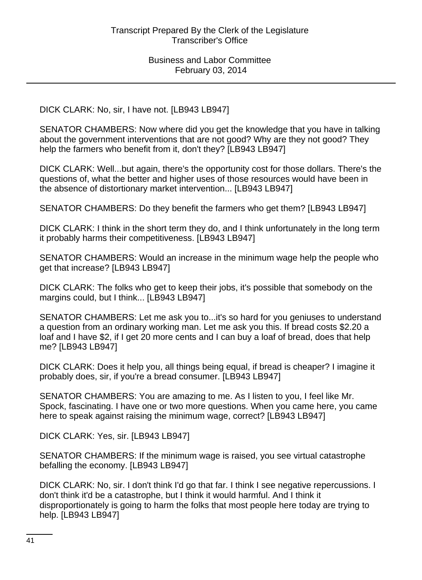DICK CLARK: No, sir, I have not. [LB943 LB947]

SENATOR CHAMBERS: Now where did you get the knowledge that you have in talking about the government interventions that are not good? Why are they not good? They help the farmers who benefit from it, don't they? [LB943 LB947]

DICK CLARK: Well...but again, there's the opportunity cost for those dollars. There's the questions of, what the better and higher uses of those resources would have been in the absence of distortionary market intervention... [LB943 LB947]

SENATOR CHAMBERS: Do they benefit the farmers who get them? [LB943 LB947]

DICK CLARK: I think in the short term they do, and I think unfortunately in the long term it probably harms their competitiveness. [LB943 LB947]

SENATOR CHAMBERS: Would an increase in the minimum wage help the people who get that increase? [LB943 LB947]

DICK CLARK: The folks who get to keep their jobs, it's possible that somebody on the margins could, but I think... [LB943 LB947]

SENATOR CHAMBERS: Let me ask you to...it's so hard for you geniuses to understand a question from an ordinary working man. Let me ask you this. If bread costs \$2.20 a loaf and I have \$2, if I get 20 more cents and I can buy a loaf of bread, does that help me? [LB943 LB947]

DICK CLARK: Does it help you, all things being equal, if bread is cheaper? I imagine it probably does, sir, if you're a bread consumer. [LB943 LB947]

SENATOR CHAMBERS: You are amazing to me. As I listen to you, I feel like Mr. Spock, fascinating. I have one or two more questions. When you came here, you came here to speak against raising the minimum wage, correct? [LB943 LB947]

DICK CLARK: Yes, sir. [LB943 LB947]

SENATOR CHAMBERS: If the minimum wage is raised, you see virtual catastrophe befalling the economy. [LB943 LB947]

DICK CLARK: No, sir. I don't think I'd go that far. I think I see negative repercussions. I don't think it'd be a catastrophe, but I think it would harmful. And I think it disproportionately is going to harm the folks that most people here today are trying to help. [LB943 LB947]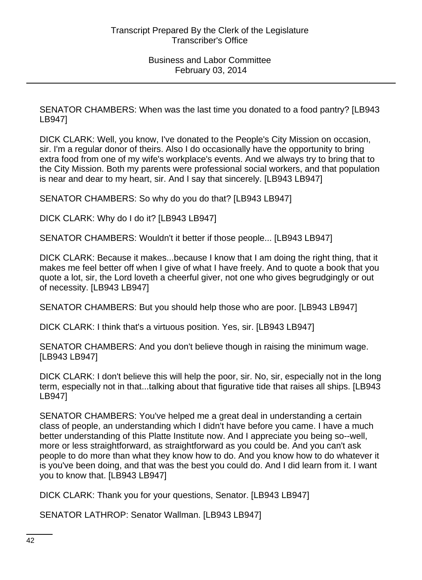SENATOR CHAMBERS: When was the last time you donated to a food pantry? [LB943 LB947]

DICK CLARK: Well, you know, I've donated to the People's City Mission on occasion, sir. I'm a regular donor of theirs. Also I do occasionally have the opportunity to bring extra food from one of my wife's workplace's events. And we always try to bring that to the City Mission. Both my parents were professional social workers, and that population is near and dear to my heart, sir. And I say that sincerely. [LB943 LB947]

SENATOR CHAMBERS: So why do you do that? [LB943 LB947]

DICK CLARK: Why do I do it? [LB943 LB947]

SENATOR CHAMBERS: Wouldn't it better if those people... [LB943 LB947]

DICK CLARK: Because it makes...because I know that I am doing the right thing, that it makes me feel better off when I give of what I have freely. And to quote a book that you quote a lot, sir, the Lord loveth a cheerful giver, not one who gives begrudgingly or out of necessity. [LB943 LB947]

SENATOR CHAMBERS: But you should help those who are poor. [LB943 LB947]

DICK CLARK: I think that's a virtuous position. Yes, sir. [LB943 LB947]

SENATOR CHAMBERS: And you don't believe though in raising the minimum wage. [LB943 LB947]

DICK CLARK: I don't believe this will help the poor, sir. No, sir, especially not in the long term, especially not in that...talking about that figurative tide that raises all ships. [LB943 LB947]

SENATOR CHAMBERS: You've helped me a great deal in understanding a certain class of people, an understanding which I didn't have before you came. I have a much better understanding of this Platte Institute now. And I appreciate you being so--well, more or less straightforward, as straightforward as you could be. And you can't ask people to do more than what they know how to do. And you know how to do whatever it is you've been doing, and that was the best you could do. And I did learn from it. I want you to know that. [LB943 LB947]

DICK CLARK: Thank you for your questions, Senator. [LB943 LB947]

SENATOR LATHROP: Senator Wallman. [LB943 LB947]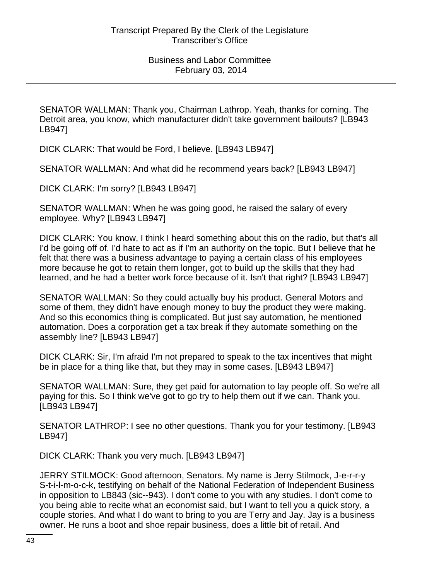SENATOR WALLMAN: Thank you, Chairman Lathrop. Yeah, thanks for coming. The Detroit area, you know, which manufacturer didn't take government bailouts? [LB943 LB947]

DICK CLARK: That would be Ford, I believe. [LB943 LB947]

SENATOR WALLMAN: And what did he recommend years back? [LB943 LB947]

DICK CLARK: I'm sorry? [LB943 LB947]

SENATOR WALLMAN: When he was going good, he raised the salary of every employee. Why? [LB943 LB947]

DICK CLARK: You know, I think I heard something about this on the radio, but that's all I'd be going off of. I'd hate to act as if I'm an authority on the topic. But I believe that he felt that there was a business advantage to paying a certain class of his employees more because he got to retain them longer, got to build up the skills that they had learned, and he had a better work force because of it. Isn't that right? [LB943 LB947]

SENATOR WALLMAN: So they could actually buy his product. General Motors and some of them, they didn't have enough money to buy the product they were making. And so this economics thing is complicated. But just say automation, he mentioned automation. Does a corporation get a tax break if they automate something on the assembly line? [LB943 LB947]

DICK CLARK: Sir, I'm afraid I'm not prepared to speak to the tax incentives that might be in place for a thing like that, but they may in some cases. [LB943 LB947]

SENATOR WALLMAN: Sure, they get paid for automation to lay people off. So we're all paying for this. So I think we've got to go try to help them out if we can. Thank you. [LB943 LB947]

SENATOR LATHROP: I see no other questions. Thank you for your testimony. [LB943 LB947]

DICK CLARK: Thank you very much. [LB943 LB947]

JERRY STILMOCK: Good afternoon, Senators. My name is Jerry Stilmock, J-e-r-r-y S-t-i-l-m-o-c-k, testifying on behalf of the National Federation of Independent Business in opposition to LB843 (sic--943). I don't come to you with any studies. I don't come to you being able to recite what an economist said, but I want to tell you a quick story, a couple stories. And what I do want to bring to you are Terry and Jay. Jay is a business owner. He runs a boot and shoe repair business, does a little bit of retail. And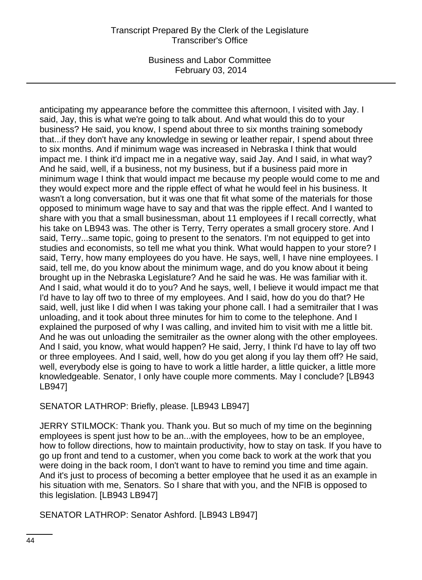Business and Labor Committee February 03, 2014

anticipating my appearance before the committee this afternoon, I visited with Jay. I said, Jay, this is what we're going to talk about. And what would this do to your business? He said, you know, I spend about three to six months training somebody that...if they don't have any knowledge in sewing or leather repair, I spend about three to six months. And if minimum wage was increased in Nebraska I think that would impact me. I think it'd impact me in a negative way, said Jay. And I said, in what way? And he said, well, if a business, not my business, but if a business paid more in minimum wage I think that would impact me because my people would come to me and they would expect more and the ripple effect of what he would feel in his business. It wasn't a long conversation, but it was one that fit what some of the materials for those opposed to minimum wage have to say and that was the ripple effect. And I wanted to share with you that a small businessman, about 11 employees if I recall correctly, what his take on LB943 was. The other is Terry, Terry operates a small grocery store. And I said, Terry...same topic, going to present to the senators. I'm not equipped to get into studies and economists, so tell me what you think. What would happen to your store? I said, Terry, how many employees do you have. He says, well, I have nine employees. I said, tell me, do you know about the minimum wage, and do you know about it being brought up in the Nebraska Legislature? And he said he was. He was familiar with it. And I said, what would it do to you? And he says, well, I believe it would impact me that I'd have to lay off two to three of my employees. And I said, how do you do that? He said, well, just like I did when I was taking your phone call. I had a semitrailer that I was unloading, and it took about three minutes for him to come to the telephone. And I explained the purposed of why I was calling, and invited him to visit with me a little bit. And he was out unloading the semitrailer as the owner along with the other employees. And I said, you know, what would happen? He said, Jerry, I think I'd have to lay off two or three employees. And I said, well, how do you get along if you lay them off? He said, well, everybody else is going to have to work a little harder, a little quicker, a little more knowledgeable. Senator, I only have couple more comments. May I conclude? [LB943 LB947]

SENATOR LATHROP: Briefly, please. [LB943 LB947]

JERRY STILMOCK: Thank you. Thank you. But so much of my time on the beginning employees is spent just how to be an...with the employees, how to be an employee, how to follow directions, how to maintain productivity, how to stay on task. If you have to go up front and tend to a customer, when you come back to work at the work that you were doing in the back room, I don't want to have to remind you time and time again. And it's just to process of becoming a better employee that he used it as an example in his situation with me, Senators. So I share that with you, and the NFIB is opposed to this legislation. [LB943 LB947]

SENATOR LATHROP: Senator Ashford. [LB943 LB947]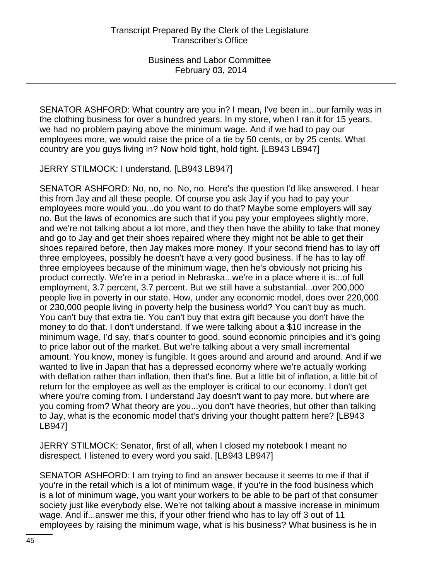SENATOR ASHFORD: What country are you in? I mean, I've been in...our family was in the clothing business for over a hundred years. In my store, when I ran it for 15 years, we had no problem paying above the minimum wage. And if we had to pay our employees more, we would raise the price of a tie by 50 cents, or by 25 cents. What country are you guys living in? Now hold tight, hold tight. [LB943 LB947]

JERRY STILMOCK: I understand. [LB943 LB947]

SENATOR ASHFORD: No, no, no. No, no. Here's the question I'd like answered. I hear this from Jay and all these people. Of course you ask Jay if you had to pay your employees more would you...do you want to do that? Maybe some employers will say no. But the laws of economics are such that if you pay your employees slightly more, and we're not talking about a lot more, and they then have the ability to take that money and go to Jay and get their shoes repaired where they might not be able to get their shoes repaired before, then Jay makes more money. If your second friend has to lay off three employees, possibly he doesn't have a very good business. If he has to lay off three employees because of the minimum wage, then he's obviously not pricing his product correctly. We're in a period in Nebraska...we're in a place where it is...of full employment, 3.7 percent, 3.7 percent. But we still have a substantial...over 200,000 people live in poverty in our state. How, under any economic model, does over 220,000 or 230,000 people living in poverty help the business world? You can't buy as much. You can't buy that extra tie. You can't buy that extra gift because you don't have the money to do that. I don't understand. If we were talking about a \$10 increase in the minimum wage, I'd say, that's counter to good, sound economic principles and it's going to price labor out of the market. But we're talking about a very small incremental amount. You know, money is fungible. It goes around and around and around. And if we wanted to live in Japan that has a depressed economy where we're actually working with deflation rather than inflation, then that's fine. But a little bit of inflation, a little bit of return for the employee as well as the employer is critical to our economy. I don't get where you're coming from. I understand Jay doesn't want to pay more, but where are you coming from? What theory are you...you don't have theories, but other than talking to Jay, what is the economic model that's driving your thought pattern here? [LB943 LB947]

JERRY STILMOCK: Senator, first of all, when I closed my notebook I meant no disrespect. I listened to every word you said. [LB943 LB947]

SENATOR ASHFORD: I am trying to find an answer because it seems to me if that if you're in the retail which is a lot of minimum wage, if you're in the food business which is a lot of minimum wage, you want your workers to be able to be part of that consumer society just like everybody else. We're not talking about a massive increase in minimum wage. And if...answer me this, if your other friend who has to lay off 3 out of 11 employees by raising the minimum wage, what is his business? What business is he in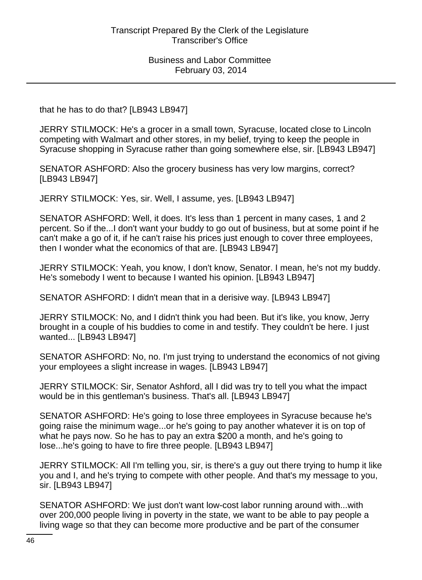that he has to do that? [LB943 LB947]

JERRY STILMOCK: He's a grocer in a small town, Syracuse, located close to Lincoln competing with Walmart and other stores, in my belief, trying to keep the people in Syracuse shopping in Syracuse rather than going somewhere else, sir. [LB943 LB947]

SENATOR ASHFORD: Also the grocery business has very low margins, correct? [LB943 LB947]

JERRY STILMOCK: Yes, sir. Well, I assume, yes. [LB943 LB947]

SENATOR ASHFORD: Well, it does. It's less than 1 percent in many cases, 1 and 2 percent. So if the...I don't want your buddy to go out of business, but at some point if he can't make a go of it, if he can't raise his prices just enough to cover three employees, then I wonder what the economics of that are. [LB943 LB947]

JERRY STILMOCK: Yeah, you know, I don't know, Senator. I mean, he's not my buddy. He's somebody I went to because I wanted his opinion. [LB943 LB947]

SENATOR ASHFORD: I didn't mean that in a derisive way. [LB943 LB947]

JERRY STILMOCK: No, and I didn't think you had been. But it's like, you know, Jerry brought in a couple of his buddies to come in and testify. They couldn't be here. I just wanted... [LB943 LB947]

SENATOR ASHFORD: No, no. I'm just trying to understand the economics of not giving your employees a slight increase in wages. [LB943 LB947]

JERRY STILMOCK: Sir, Senator Ashford, all I did was try to tell you what the impact would be in this gentleman's business. That's all. [LB943 LB947]

SENATOR ASHFORD: He's going to lose three employees in Syracuse because he's going raise the minimum wage...or he's going to pay another whatever it is on top of what he pays now. So he has to pay an extra \$200 a month, and he's going to lose...he's going to have to fire three people. [LB943 LB947]

JERRY STILMOCK: All I'm telling you, sir, is there's a guy out there trying to hump it like you and I, and he's trying to compete with other people. And that's my message to you, sir. [LB943 LB947]

SENATOR ASHFORD: We just don't want low-cost labor running around with...with over 200,000 people living in poverty in the state, we want to be able to pay people a living wage so that they can become more productive and be part of the consumer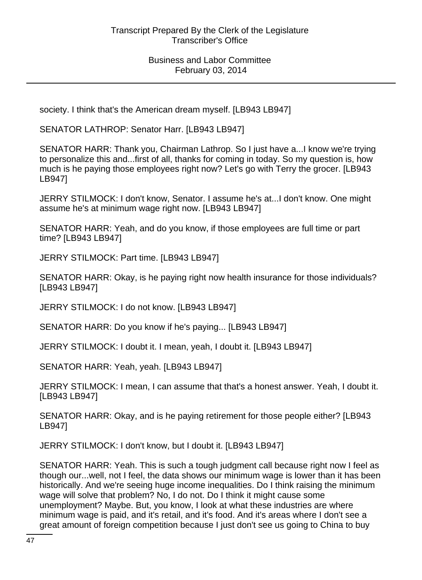society. I think that's the American dream myself. [LB943 LB947]

SENATOR LATHROP: Senator Harr. [LB943 LB947]

SENATOR HARR: Thank you, Chairman Lathrop. So I just have a...I know we're trying to personalize this and...first of all, thanks for coming in today. So my question is, how much is he paying those employees right now? Let's go with Terry the grocer. [LB943 LB947]

JERRY STILMOCK: I don't know, Senator. I assume he's at...I don't know. One might assume he's at minimum wage right now. [LB943 LB947]

SENATOR HARR: Yeah, and do you know, if those employees are full time or part time? [LB943 LB947]

JERRY STILMOCK: Part time. [LB943 LB947]

SENATOR HARR: Okay, is he paying right now health insurance for those individuals? [LB943 LB947]

JERRY STILMOCK: I do not know. [LB943 LB947]

SENATOR HARR: Do you know if he's paying... [LB943 LB947]

JERRY STILMOCK: I doubt it. I mean, yeah, I doubt it. [LB943 LB947]

SENATOR HARR: Yeah, yeah. [LB943 LB947]

JERRY STILMOCK: I mean, I can assume that that's a honest answer. Yeah, I doubt it. [LB943 LB947]

SENATOR HARR: Okay, and is he paying retirement for those people either? [LB943 LB947]

JERRY STILMOCK: I don't know, but I doubt it. [LB943 LB947]

SENATOR HARR: Yeah. This is such a tough judgment call because right now I feel as though our...well, not I feel, the data shows our minimum wage is lower than it has been historically. And we're seeing huge income inequalities. Do I think raising the minimum wage will solve that problem? No, I do not. Do I think it might cause some unemployment? Maybe. But, you know, I look at what these industries are where minimum wage is paid, and it's retail, and it's food. And it's areas where I don't see a great amount of foreign competition because I just don't see us going to China to buy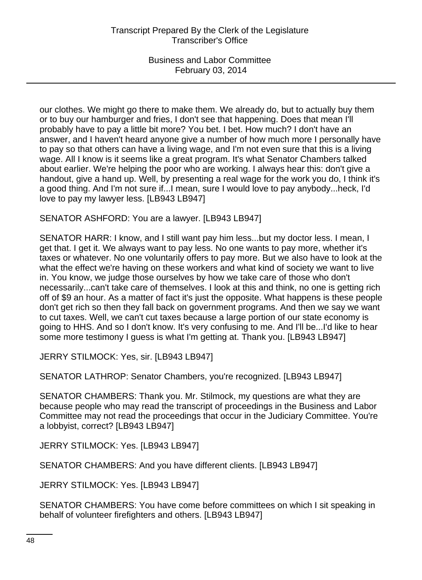our clothes. We might go there to make them. We already do, but to actually buy them or to buy our hamburger and fries, I don't see that happening. Does that mean I'll probably have to pay a little bit more? You bet. I bet. How much? I don't have an answer, and I haven't heard anyone give a number of how much more I personally have to pay so that others can have a living wage, and I'm not even sure that this is a living wage. All I know is it seems like a great program. It's what Senator Chambers talked about earlier. We're helping the poor who are working. I always hear this: don't give a handout, give a hand up. Well, by presenting a real wage for the work you do, I think it's a good thing. And I'm not sure if...I mean, sure I would love to pay anybody...heck, I'd love to pay my lawyer less. [LB943 LB947]

SENATOR ASHFORD: You are a lawyer. [LB943 LB947]

SENATOR HARR: I know, and I still want pay him less...but my doctor less. I mean, I get that. I get it. We always want to pay less. No one wants to pay more, whether it's taxes or whatever. No one voluntarily offers to pay more. But we also have to look at the what the effect we're having on these workers and what kind of society we want to live in. You know, we judge those ourselves by how we take care of those who don't necessarily...can't take care of themselves. I look at this and think, no one is getting rich off of \$9 an hour. As a matter of fact it's just the opposite. What happens is these people don't get rich so then they fall back on government programs. And then we say we want to cut taxes. Well, we can't cut taxes because a large portion of our state economy is going to HHS. And so I don't know. It's very confusing to me. And I'll be...I'd like to hear some more testimony I guess is what I'm getting at. Thank you. [LB943 LB947]

JERRY STILMOCK: Yes, sir. [LB943 LB947]

SENATOR LATHROP: Senator Chambers, you're recognized. [LB943 LB947]

SENATOR CHAMBERS: Thank you. Mr. Stilmock, my questions are what they are because people who may read the transcript of proceedings in the Business and Labor Committee may not read the proceedings that occur in the Judiciary Committee. You're a lobbyist, correct? [LB943 LB947]

JERRY STILMOCK: Yes. [LB943 LB947]

SENATOR CHAMBERS: And you have different clients. [LB943 LB947]

JERRY STILMOCK: Yes. [LB943 LB947]

SENATOR CHAMBERS: You have come before committees on which I sit speaking in behalf of volunteer firefighters and others. [LB943 LB947]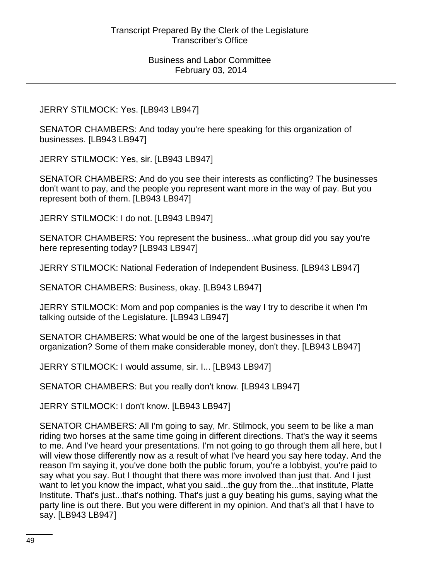JERRY STILMOCK: Yes. [LB943 LB947]

SENATOR CHAMBERS: And today you're here speaking for this organization of businesses. [LB943 LB947]

JERRY STILMOCK: Yes, sir. [LB943 LB947]

SENATOR CHAMBERS: And do you see their interests as conflicting? The businesses don't want to pay, and the people you represent want more in the way of pay. But you represent both of them. [LB943 LB947]

JERRY STILMOCK: I do not. [LB943 LB947]

SENATOR CHAMBERS: You represent the business...what group did you say you're here representing today? [LB943 LB947]

JERRY STILMOCK: National Federation of Independent Business. [LB943 LB947]

SENATOR CHAMBERS: Business, okay. [LB943 LB947]

JERRY STILMOCK: Mom and pop companies is the way I try to describe it when I'm talking outside of the Legislature. [LB943 LB947]

SENATOR CHAMBERS: What would be one of the largest businesses in that organization? Some of them make considerable money, don't they. [LB943 LB947]

JERRY STILMOCK: I would assume, sir. I... [LB943 LB947]

SENATOR CHAMBERS: But you really don't know. [LB943 LB947]

JERRY STILMOCK: I don't know. [LB943 LB947]

SENATOR CHAMBERS: All I'm going to say, Mr. Stilmock, you seem to be like a man riding two horses at the same time going in different directions. That's the way it seems to me. And I've heard your presentations. I'm not going to go through them all here, but I will view those differently now as a result of what I've heard you say here today. And the reason I'm saying it, you've done both the public forum, you're a lobbyist, you're paid to say what you say. But I thought that there was more involved than just that. And I just want to let you know the impact, what you said...the guy from the...that institute, Platte Institute. That's just...that's nothing. That's just a guy beating his gums, saying what the party line is out there. But you were different in my opinion. And that's all that I have to say. [LB943 LB947]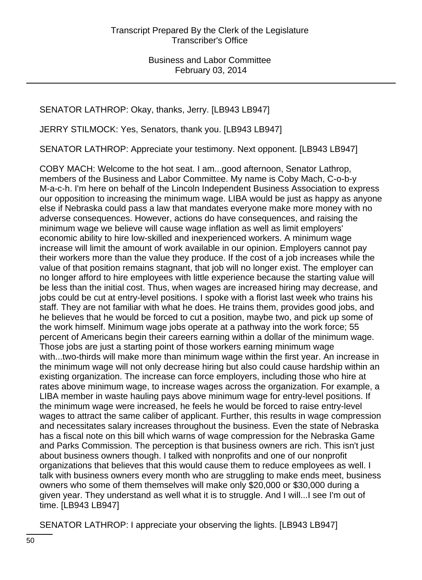SENATOR LATHROP: Okay, thanks, Jerry. [LB943 LB947]

JERRY STILMOCK: Yes, Senators, thank you. [LB943 LB947]

SENATOR LATHROP: Appreciate your testimony. Next opponent. [LB943 LB947]

COBY MACH: Welcome to the hot seat. I am...good afternoon, Senator Lathrop, members of the Business and Labor Committee. My name is Coby Mach, C-o-b-y M-a-c-h. I'm here on behalf of the Lincoln Independent Business Association to express our opposition to increasing the minimum wage. LIBA would be just as happy as anyone else if Nebraska could pass a law that mandates everyone make more money with no adverse consequences. However, actions do have consequences, and raising the minimum wage we believe will cause wage inflation as well as limit employers' economic ability to hire low-skilled and inexperienced workers. A minimum wage increase will limit the amount of work available in our opinion. Employers cannot pay their workers more than the value they produce. If the cost of a job increases while the value of that position remains stagnant, that job will no longer exist. The employer can no longer afford to hire employees with little experience because the starting value will be less than the initial cost. Thus, when wages are increased hiring may decrease, and jobs could be cut at entry-level positions. I spoke with a florist last week who trains his staff. They are not familiar with what he does. He trains them, provides good jobs, and he believes that he would be forced to cut a position, maybe two, and pick up some of the work himself. Minimum wage jobs operate at a pathway into the work force; 55 percent of Americans begin their careers earning within a dollar of the minimum wage. Those jobs are just a starting point of those workers earning minimum wage with...two-thirds will make more than minimum wage within the first year. An increase in the minimum wage will not only decrease hiring but also could cause hardship within an existing organization. The increase can force employers, including those who hire at rates above minimum wage, to increase wages across the organization. For example, a LIBA member in waste hauling pays above minimum wage for entry-level positions. If the minimum wage were increased, he feels he would be forced to raise entry-level wages to attract the same caliber of applicant. Further, this results in wage compression and necessitates salary increases throughout the business. Even the state of Nebraska has a fiscal note on this bill which warns of wage compression for the Nebraska Game and Parks Commission. The perception is that business owners are rich. This isn't just about business owners though. I talked with nonprofits and one of our nonprofit organizations that believes that this would cause them to reduce employees as well. I talk with business owners every month who are struggling to make ends meet, business owners who some of them themselves will make only \$20,000 or \$30,000 during a given year. They understand as well what it is to struggle. And I will...I see I'm out of time. [LB943 LB947]

SENATOR LATHROP: I appreciate your observing the lights. [LB943 LB947]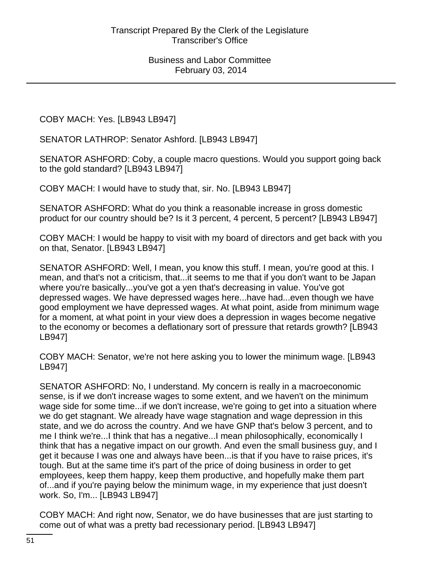COBY MACH: Yes. [LB943 LB947]

SENATOR LATHROP: Senator Ashford. [LB943 LB947]

SENATOR ASHFORD: Coby, a couple macro questions. Would you support going back to the gold standard? [LB943 LB947]

COBY MACH: I would have to study that, sir. No. [LB943 LB947]

SENATOR ASHFORD: What do you think a reasonable increase in gross domestic product for our country should be? Is it 3 percent, 4 percent, 5 percent? [LB943 LB947]

COBY MACH: I would be happy to visit with my board of directors and get back with you on that, Senator. [LB943 LB947]

SENATOR ASHFORD: Well, I mean, you know this stuff. I mean, you're good at this. I mean, and that's not a criticism, that...it seems to me that if you don't want to be Japan where you're basically...you've got a yen that's decreasing in value. You've got depressed wages. We have depressed wages here...have had...even though we have good employment we have depressed wages. At what point, aside from minimum wage for a moment, at what point in your view does a depression in wages become negative to the economy or becomes a deflationary sort of pressure that retards growth? [LB943 LB947]

COBY MACH: Senator, we're not here asking you to lower the minimum wage. [LB943 LB947]

SENATOR ASHFORD: No, I understand. My concern is really in a macroeconomic sense, is if we don't increase wages to some extent, and we haven't on the minimum wage side for some time...if we don't increase, we're going to get into a situation where we do get stagnant. We already have wage stagnation and wage depression in this state, and we do across the country. And we have GNP that's below 3 percent, and to me I think we're...I think that has a negative...I mean philosophically, economically I think that has a negative impact on our growth. And even the small business guy, and I get it because I was one and always have been...is that if you have to raise prices, it's tough. But at the same time it's part of the price of doing business in order to get employees, keep them happy, keep them productive, and hopefully make them part of...and if you're paying below the minimum wage, in my experience that just doesn't work. So, I'm... [LB943 LB947]

COBY MACH: And right now, Senator, we do have businesses that are just starting to come out of what was a pretty bad recessionary period. [LB943 LB947]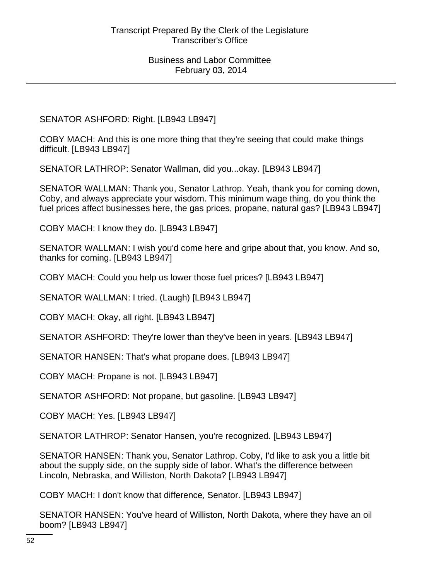SENATOR ASHFORD: Right. [LB943 LB947]

COBY MACH: And this is one more thing that they're seeing that could make things difficult. [LB943 LB947]

SENATOR LATHROP: Senator Wallman, did you...okay. [LB943 LB947]

SENATOR WALLMAN: Thank you, Senator Lathrop. Yeah, thank you for coming down, Coby, and always appreciate your wisdom. This minimum wage thing, do you think the fuel prices affect businesses here, the gas prices, propane, natural gas? [LB943 LB947]

COBY MACH: I know they do. [LB943 LB947]

SENATOR WALLMAN: I wish you'd come here and gripe about that, you know. And so, thanks for coming. [LB943 LB947]

COBY MACH: Could you help us lower those fuel prices? [LB943 LB947]

SENATOR WALLMAN: I tried. (Laugh) [LB943 LB947]

COBY MACH: Okay, all right. [LB943 LB947]

SENATOR ASHFORD: They're lower than they've been in years. [LB943 LB947]

SENATOR HANSEN: That's what propane does. [LB943 LB947]

COBY MACH: Propane is not. [LB943 LB947]

SENATOR ASHFORD: Not propane, but gasoline. [LB943 LB947]

COBY MACH: Yes. [LB943 LB947]

SENATOR LATHROP: Senator Hansen, you're recognized. [LB943 LB947]

SENATOR HANSEN: Thank you, Senator Lathrop. Coby, I'd like to ask you a little bit about the supply side, on the supply side of labor. What's the difference between Lincoln, Nebraska, and Williston, North Dakota? [LB943 LB947]

COBY MACH: I don't know that difference, Senator. [LB943 LB947]

SENATOR HANSEN: You've heard of Williston, North Dakota, where they have an oil boom? [LB943 LB947]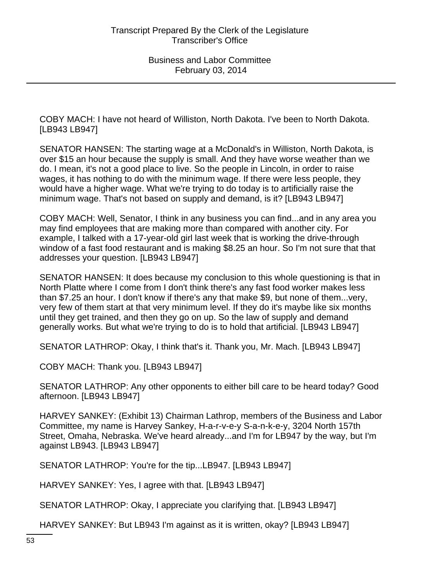COBY MACH: I have not heard of Williston, North Dakota. I've been to North Dakota. [LB943 LB947]

SENATOR HANSEN: The starting wage at a McDonald's in Williston, North Dakota, is over \$15 an hour because the supply is small. And they have worse weather than we do. I mean, it's not a good place to live. So the people in Lincoln, in order to raise wages, it has nothing to do with the minimum wage. If there were less people, they would have a higher wage. What we're trying to do today is to artificially raise the minimum wage. That's not based on supply and demand, is it? [LB943 LB947]

COBY MACH: Well, Senator, I think in any business you can find...and in any area you may find employees that are making more than compared with another city. For example, I talked with a 17-year-old girl last week that is working the drive-through window of a fast food restaurant and is making \$8.25 an hour. So I'm not sure that that addresses your question. [LB943 LB947]

SENATOR HANSEN: It does because my conclusion to this whole questioning is that in North Platte where I come from I don't think there's any fast food worker makes less than \$7.25 an hour. I don't know if there's any that make \$9, but none of them...very, very few of them start at that very minimum level. If they do it's maybe like six months until they get trained, and then they go on up. So the law of supply and demand generally works. But what we're trying to do is to hold that artificial. [LB943 LB947]

SENATOR LATHROP: Okay, I think that's it. Thank you, Mr. Mach. [LB943 LB947]

COBY MACH: Thank you. [LB943 LB947]

SENATOR LATHROP: Any other opponents to either bill care to be heard today? Good afternoon. [LB943 LB947]

HARVEY SANKEY: (Exhibit 13) Chairman Lathrop, members of the Business and Labor Committee, my name is Harvey Sankey, H-a-r-v-e-y S-a-n-k-e-y, 3204 North 157th Street, Omaha, Nebraska. We've heard already...and I'm for LB947 by the way, but I'm against LB943. [LB943 LB947]

SENATOR LATHROP: You're for the tip...LB947. [LB943 LB947]

HARVEY SANKEY: Yes, I agree with that. [LB943 LB947]

SENATOR LATHROP: Okay, I appreciate you clarifying that. [LB943 LB947]

HARVEY SANKEY: But LB943 I'm against as it is written, okay? [LB943 LB947]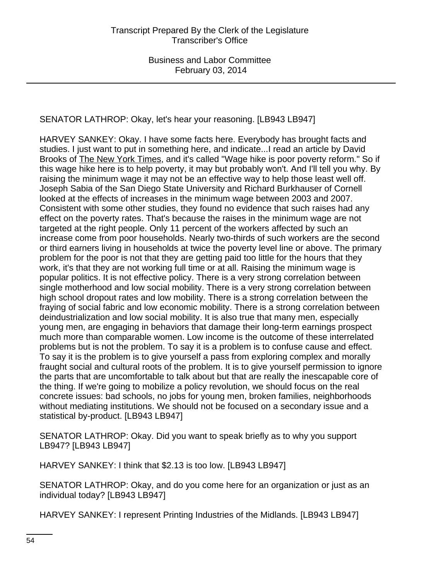SENATOR LATHROP: Okay, let's hear your reasoning. [LB943 LB947]

HARVEY SANKEY: Okay. I have some facts here. Everybody has brought facts and studies. I just want to put in something here, and indicate...I read an article by David Brooks of The New York Times, and it's called "Wage hike is poor poverty reform." So if this wage hike here is to help poverty, it may but probably won't. And I'll tell you why. By raising the minimum wage it may not be an effective way to help those least well off. Joseph Sabia of the San Diego State University and Richard Burkhauser of Cornell looked at the effects of increases in the minimum wage between 2003 and 2007. Consistent with some other studies, they found no evidence that such raises had any effect on the poverty rates. That's because the raises in the minimum wage are not targeted at the right people. Only 11 percent of the workers affected by such an increase come from poor households. Nearly two-thirds of such workers are the second or third earners living in households at twice the poverty level line or above. The primary problem for the poor is not that they are getting paid too little for the hours that they work, it's that they are not working full time or at all. Raising the minimum wage is popular politics. It is not effective policy. There is a very strong correlation between single motherhood and low social mobility. There is a very strong correlation between high school dropout rates and low mobility. There is a strong correlation between the fraying of social fabric and low economic mobility. There is a strong correlation between deindustrialization and low social mobility. It is also true that many men, especially young men, are engaging in behaviors that damage their long-term earnings prospect much more than comparable women. Low income is the outcome of these interrelated problems but is not the problem. To say it is a problem is to confuse cause and effect. To say it is the problem is to give yourself a pass from exploring complex and morally fraught social and cultural roots of the problem. It is to give yourself permission to ignore the parts that are uncomfortable to talk about but that are really the inescapable core of the thing. If we're going to mobilize a policy revolution, we should focus on the real concrete issues: bad schools, no jobs for young men, broken families, neighborhoods without mediating institutions. We should not be focused on a secondary issue and a statistical by-product. [LB943 LB947]

SENATOR LATHROP: Okay. Did you want to speak briefly as to why you support LB947? [LB943 LB947]

HARVEY SANKEY: I think that \$2.13 is too low. [LB943 LB947]

SENATOR LATHROP: Okay, and do you come here for an organization or just as an individual today? [LB943 LB947]

HARVEY SANKEY: I represent Printing Industries of the Midlands. [LB943 LB947]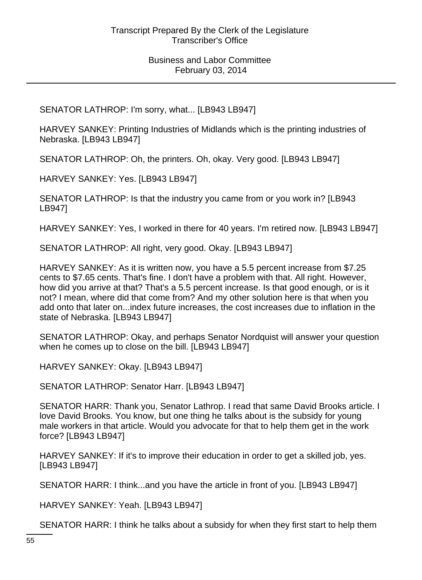SENATOR LATHROP: I'm sorry, what... [LB943 LB947]

HARVEY SANKEY: Printing Industries of Midlands which is the printing industries of Nebraska. [LB943 LB947]

SENATOR LATHROP: Oh, the printers. Oh, okay. Very good. [LB943 LB947]

HARVEY SANKEY: Yes. [LB943 LB947]

SENATOR LATHROP: Is that the industry you came from or you work in? [LB943 LB947]

HARVEY SANKEY: Yes, I worked in there for 40 years. I'm retired now. [LB943 LB947]

SENATOR LATHROP: All right, very good. Okay. [LB943 LB947]

HARVEY SANKEY: As it is written now, you have a 5.5 percent increase from \$7.25 cents to \$7.65 cents. That's fine. I don't have a problem with that. All right. However, how did you arrive at that? That's a 5.5 percent increase. Is that good enough, or is it not? I mean, where did that come from? And my other solution here is that when you add onto that later on...index future increases, the cost increases due to inflation in the state of Nebraska. [LB943 LB947]

SENATOR LATHROP: Okay, and perhaps Senator Nordquist will answer your question when he comes up to close on the bill. [LB943 LB947]

HARVEY SANKEY: Okay. [LB943 LB947]

SENATOR LATHROP: Senator Harr. [LB943 LB947]

SENATOR HARR: Thank you, Senator Lathrop. I read that same David Brooks article. I love David Brooks. You know, but one thing he talks about is the subsidy for young male workers in that article. Would you advocate for that to help them get in the work force? [LB943 LB947]

HARVEY SANKEY: If it's to improve their education in order to get a skilled job, yes. [LB943 LB947]

SENATOR HARR: I think...and you have the article in front of you. [LB943 LB947]

HARVEY SANKEY: Yeah. [LB943 LB947]

SENATOR HARR: I think he talks about a subsidy for when they first start to help them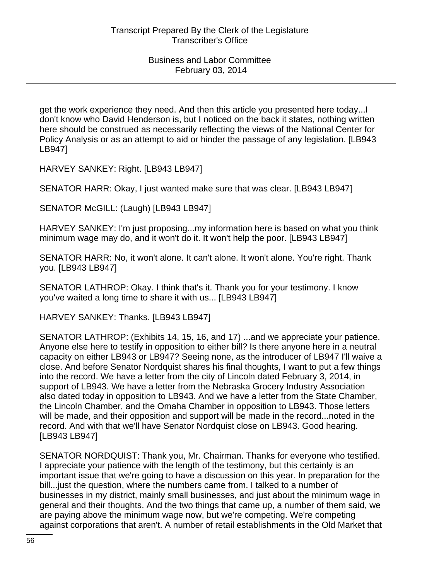get the work experience they need. And then this article you presented here today...I don't know who David Henderson is, but I noticed on the back it states, nothing written here should be construed as necessarily reflecting the views of the National Center for Policy Analysis or as an attempt to aid or hinder the passage of any legislation. [LB943 LB947]

HARVEY SANKEY: Right. [LB943 LB947]

SENATOR HARR: Okay, I just wanted make sure that was clear. [LB943 LB947]

SENATOR McGILL: (Laugh) [LB943 LB947]

HARVEY SANKEY: I'm just proposing...my information here is based on what you think minimum wage may do, and it won't do it. It won't help the poor. [LB943 LB947]

SENATOR HARR: No, it won't alone. It can't alone. It won't alone. You're right. Thank you. [LB943 LB947]

SENATOR LATHROP: Okay. I think that's it. Thank you for your testimony. I know you've waited a long time to share it with us... [LB943 LB947]

HARVEY SANKEY: Thanks. [LB943 LB947]

SENATOR LATHROP: (Exhibits 14, 15, 16, and 17) ...and we appreciate your patience. Anyone else here to testify in opposition to either bill? Is there anyone here in a neutral capacity on either LB943 or LB947? Seeing none, as the introducer of LB947 I'll waive a close. And before Senator Nordquist shares his final thoughts, I want to put a few things into the record. We have a letter from the city of Lincoln dated February 3, 2014, in support of LB943. We have a letter from the Nebraska Grocery Industry Association also dated today in opposition to LB943. And we have a letter from the State Chamber, the Lincoln Chamber, and the Omaha Chamber in opposition to LB943. Those letters will be made, and their opposition and support will be made in the record...noted in the record. And with that we'll have Senator Nordquist close on LB943. Good hearing. [LB943 LB947]

SENATOR NORDQUIST: Thank you, Mr. Chairman. Thanks for everyone who testified. I appreciate your patience with the length of the testimony, but this certainly is an important issue that we're going to have a discussion on this year. In preparation for the bill...just the question, where the numbers came from. I talked to a number of businesses in my district, mainly small businesses, and just about the minimum wage in general and their thoughts. And the two things that came up, a number of them said, we are paying above the minimum wage now, but we're competing. We're competing against corporations that aren't. A number of retail establishments in the Old Market that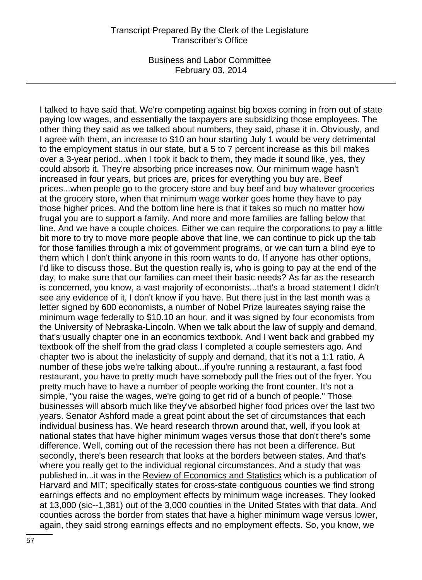Business and Labor Committee February 03, 2014

I talked to have said that. We're competing against big boxes coming in from out of state paying low wages, and essentially the taxpayers are subsidizing those employees. The other thing they said as we talked about numbers, they said, phase it in. Obviously, and I agree with them, an increase to \$10 an hour starting July 1 would be very detrimental to the employment status in our state, but a 5 to 7 percent increase as this bill makes over a 3-year period...when I took it back to them, they made it sound like, yes, they could absorb it. They're absorbing price increases now. Our minimum wage hasn't increased in four years, but prices are, prices for everything you buy are. Beef prices...when people go to the grocery store and buy beef and buy whatever groceries at the grocery store, when that minimum wage worker goes home they have to pay those higher prices. And the bottom line here is that it takes so much no matter how frugal you are to support a family. And more and more families are falling below that line. And we have a couple choices. Either we can require the corporations to pay a little bit more to try to move more people above that line, we can continue to pick up the tab for those families through a mix of government programs, or we can turn a blind eye to them which I don't think anyone in this room wants to do. If anyone has other options, I'd like to discuss those. But the question really is, who is going to pay at the end of the day, to make sure that our families can meet their basic needs? As far as the research is concerned, you know, a vast majority of economists...that's a broad statement I didn't see any evidence of it, I don't know if you have. But there just in the last month was a letter signed by 600 economists, a number of Nobel Prize laureates saying raise the minimum wage federally to \$10.10 an hour, and it was signed by four economists from the University of Nebraska-Lincoln. When we talk about the law of supply and demand, that's usually chapter one in an economics textbook. And I went back and grabbed my textbook off the shelf from the grad class I completed a couple semesters ago. And chapter two is about the inelasticity of supply and demand, that it's not a 1:1 ratio. A number of these jobs we're talking about...if you're running a restaurant, a fast food restaurant, you have to pretty much have somebody pull the fries out of the fryer. You pretty much have to have a number of people working the front counter. It's not a simple, "you raise the wages, we're going to get rid of a bunch of people." Those businesses will absorb much like they've absorbed higher food prices over the last two years. Senator Ashford made a great point about the set of circumstances that each individual business has. We heard research thrown around that, well, if you look at national states that have higher minimum wages versus those that don't there's some difference. Well, coming out of the recession there has not been a difference. But secondly, there's been research that looks at the borders between states. And that's where you really get to the individual regional circumstances. And a study that was published in...it was in the Review of Economics and Statistics which is a publication of Harvard and MIT; specifically states for cross-state contiguous counties we find strong earnings effects and no employment effects by minimum wage increases. They looked at 13,000 (sic--1,381) out of the 3,000 counties in the United States with that data. And counties across the border from states that have a higher minimum wage versus lower, again, they said strong earnings effects and no employment effects. So, you know, we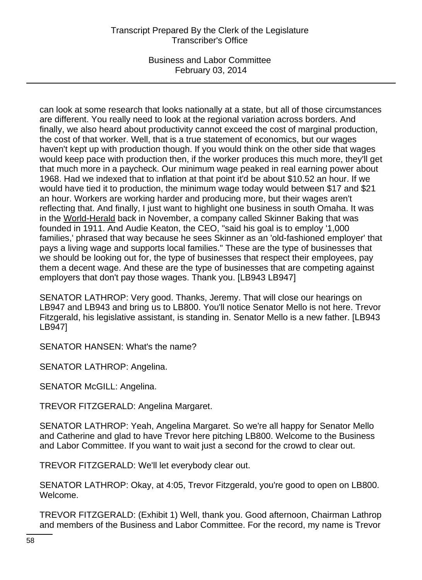Business and Labor Committee February 03, 2014

can look at some research that looks nationally at a state, but all of those circumstances are different. You really need to look at the regional variation across borders. And finally, we also heard about productivity cannot exceed the cost of marginal production, the cost of that worker. Well, that is a true statement of economics, but our wages haven't kept up with production though. If you would think on the other side that wages would keep pace with production then, if the worker produces this much more, they'll get that much more in a paycheck. Our minimum wage peaked in real earning power about 1968. Had we indexed that to inflation at that point it'd be about \$10.52 an hour. If we would have tied it to production, the minimum wage today would between \$17 and \$21 an hour. Workers are working harder and producing more, but their wages aren't reflecting that. And finally, I just want to highlight one business in south Omaha. It was in the World-Herald back in November, a company called Skinner Baking that was founded in 1911. And Audie Keaton, the CEO, "said his goal is to employ '1,000 families,' phrased that way because he sees Skinner as an 'old-fashioned employer' that pays a living wage and supports local families." These are the type of businesses that we should be looking out for, the type of businesses that respect their employees, pay them a decent wage. And these are the type of businesses that are competing against employers that don't pay those wages. Thank you. [LB943 LB947]

SENATOR LATHROP: Very good. Thanks, Jeremy. That will close our hearings on LB947 and LB943 and bring us to LB800. You'll notice Senator Mello is not here. Trevor Fitzgerald, his legislative assistant, is standing in. Senator Mello is a new father. [LB943 LB947]

SENATOR HANSEN: What's the name?

SENATOR LATHROP: Angelina.

SENATOR McGILL: Angelina.

TREVOR FITZGERALD: Angelina Margaret.

SENATOR LATHROP: Yeah, Angelina Margaret. So we're all happy for Senator Mello and Catherine and glad to have Trevor here pitching LB800. Welcome to the Business and Labor Committee. If you want to wait just a second for the crowd to clear out.

TREVOR FITZGERALD: We'll let everybody clear out.

SENATOR LATHROP: Okay, at 4:05, Trevor Fitzgerald, you're good to open on LB800. Welcome.

TREVOR FITZGERALD: (Exhibit 1) Well, thank you. Good afternoon, Chairman Lathrop and members of the Business and Labor Committee. For the record, my name is Trevor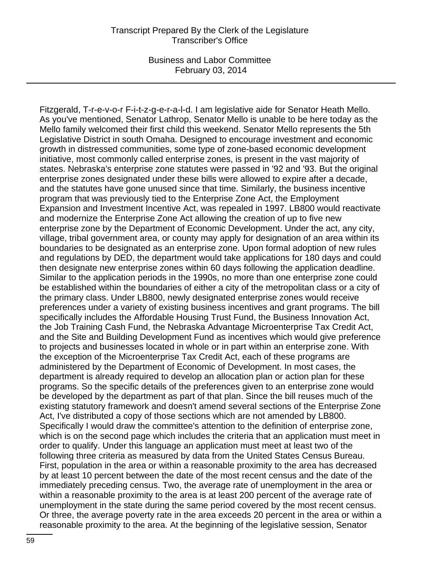Fitzgerald, T-r-e-v-o-r F-i-t-z-g-e-r-a-l-d. I am legislative aide for Senator Heath Mello. As you've mentioned, Senator Lathrop, Senator Mello is unable to be here today as the Mello family welcomed their first child this weekend. Senator Mello represents the 5th Legislative District in south Omaha. Designed to encourage investment and economic growth in distressed communities, some type of zone-based economic development initiative, most commonly called enterprise zones, is present in the vast majority of states. Nebraska's enterprise zone statutes were passed in '92 and '93. But the original enterprise zones designated under these bills were allowed to expire after a decade, and the statutes have gone unused since that time. Similarly, the business incentive program that was previously tied to the Enterprise Zone Act, the Employment Expansion and Investment Incentive Act, was repealed in 1997. LB800 would reactivate and modernize the Enterprise Zone Act allowing the creation of up to five new enterprise zone by the Department of Economic Development. Under the act, any city, village, tribal government area, or county may apply for designation of an area within its boundaries to be designated as an enterprise zone. Upon formal adoption of new rules and regulations by DED, the department would take applications for 180 days and could then designate new enterprise zones within 60 days following the application deadline. Similar to the application periods in the 1990s, no more than one enterprise zone could be established within the boundaries of either a city of the metropolitan class or a city of the primary class. Under LB800, newly designated enterprise zones would receive preferences under a variety of existing business incentives and grant programs. The bill specifically includes the Affordable Housing Trust Fund, the Business Innovation Act, the Job Training Cash Fund, the Nebraska Advantage Microenterprise Tax Credit Act, and the Site and Building Development Fund as incentives which would give preference to projects and businesses located in whole or in part within an enterprise zone. With the exception of the Microenterprise Tax Credit Act, each of these programs are administered by the Department of Economic of Development. In most cases, the department is already required to develop an allocation plan or action plan for these programs. So the specific details of the preferences given to an enterprise zone would be developed by the department as part of that plan. Since the bill reuses much of the existing statutory framework and doesn't amend several sections of the Enterprise Zone Act, I've distributed a copy of those sections which are not amended by LB800. Specifically I would draw the committee's attention to the definition of enterprise zone, which is on the second page which includes the criteria that an application must meet in order to qualify. Under this language an application must meet at least two of the following three criteria as measured by data from the United States Census Bureau. First, population in the area or within a reasonable proximity to the area has decreased by at least 10 percent between the date of the most recent census and the date of the immediately preceding census. Two, the average rate of unemployment in the area or within a reasonable proximity to the area is at least 200 percent of the average rate of unemployment in the state during the same period covered by the most recent census. Or three, the average poverty rate in the area exceeds 20 percent in the area or within a reasonable proximity to the area. At the beginning of the legislative session, Senator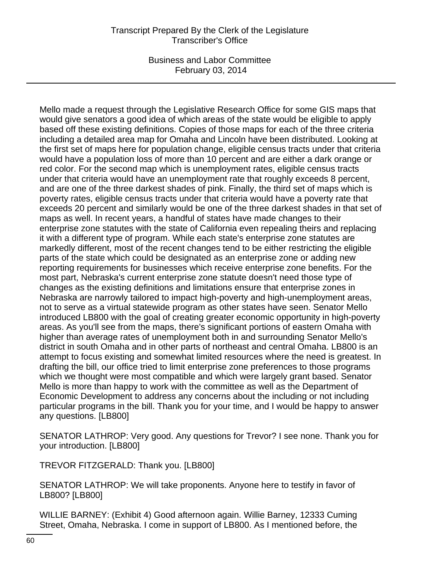Business and Labor Committee February 03, 2014

Mello made a request through the Legislative Research Office for some GIS maps that would give senators a good idea of which areas of the state would be eligible to apply based off these existing definitions. Copies of those maps for each of the three criteria including a detailed area map for Omaha and Lincoln have been distributed. Looking at the first set of maps here for population change, eligible census tracts under that criteria would have a population loss of more than 10 percent and are either a dark orange or red color. For the second map which is unemployment rates, eligible census tracts under that criteria would have an unemployment rate that roughly exceeds 8 percent, and are one of the three darkest shades of pink. Finally, the third set of maps which is poverty rates, eligible census tracts under that criteria would have a poverty rate that exceeds 20 percent and similarly would be one of the three darkest shades in that set of maps as well. In recent years, a handful of states have made changes to their enterprise zone statutes with the state of California even repealing theirs and replacing it with a different type of program. While each state's enterprise zone statutes are markedly different, most of the recent changes tend to be either restricting the eligible parts of the state which could be designated as an enterprise zone or adding new reporting requirements for businesses which receive enterprise zone benefits. For the most part, Nebraska's current enterprise zone statute doesn't need those type of changes as the existing definitions and limitations ensure that enterprise zones in Nebraska are narrowly tailored to impact high-poverty and high-unemployment areas, not to serve as a virtual statewide program as other states have seen. Senator Mello introduced LB800 with the goal of creating greater economic opportunity in high-poverty areas. As you'll see from the maps, there's significant portions of eastern Omaha with higher than average rates of unemployment both in and surrounding Senator Mello's district in south Omaha and in other parts of northeast and central Omaha. LB800 is an attempt to focus existing and somewhat limited resources where the need is greatest. In drafting the bill, our office tried to limit enterprise zone preferences to those programs which we thought were most compatible and which were largely grant based. Senator Mello is more than happy to work with the committee as well as the Department of Economic Development to address any concerns about the including or not including particular programs in the bill. Thank you for your time, and I would be happy to answer any questions. [LB800]

SENATOR LATHROP: Very good. Any questions for Trevor? I see none. Thank you for your introduction. [LB800]

TREVOR FITZGERALD: Thank you. [LB800]

SENATOR LATHROP: We will take proponents. Anyone here to testify in favor of LB800? [LB800]

WILLIE BARNEY: (Exhibit 4) Good afternoon again. Willie Barney, 12333 Cuming Street, Omaha, Nebraska. I come in support of LB800. As I mentioned before, the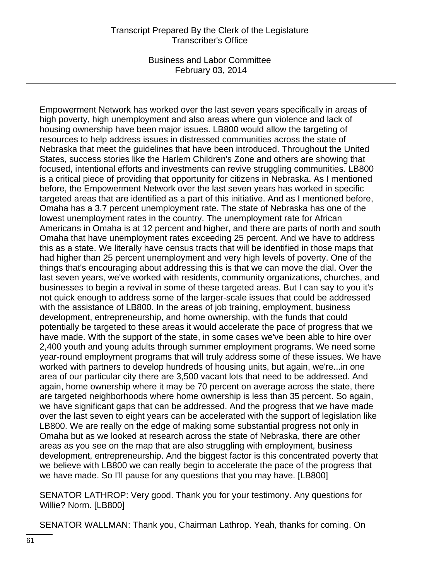Business and Labor Committee February 03, 2014

Empowerment Network has worked over the last seven years specifically in areas of high poverty, high unemployment and also areas where gun violence and lack of housing ownership have been major issues. LB800 would allow the targeting of resources to help address issues in distressed communities across the state of Nebraska that meet the guidelines that have been introduced. Throughout the United States, success stories like the Harlem Children's Zone and others are showing that focused, intentional efforts and investments can revive struggling communities. LB800 is a critical piece of providing that opportunity for citizens in Nebraska. As I mentioned before, the Empowerment Network over the last seven years has worked in specific targeted areas that are identified as a part of this initiative. And as I mentioned before, Omaha has a 3.7 percent unemployment rate. The state of Nebraska has one of the lowest unemployment rates in the country. The unemployment rate for African Americans in Omaha is at 12 percent and higher, and there are parts of north and south Omaha that have unemployment rates exceeding 25 percent. And we have to address this as a state. We literally have census tracts that will be identified in those maps that had higher than 25 percent unemployment and very high levels of poverty. One of the things that's encouraging about addressing this is that we can move the dial. Over the last seven years, we've worked with residents, community organizations, churches, and businesses to begin a revival in some of these targeted areas. But I can say to you it's not quick enough to address some of the larger-scale issues that could be addressed with the assistance of LB800. In the areas of job training, employment, business development, entrepreneurship, and home ownership, with the funds that could potentially be targeted to these areas it would accelerate the pace of progress that we have made. With the support of the state, in some cases we've been able to hire over 2,400 youth and young adults through summer employment programs. We need some year-round employment programs that will truly address some of these issues. We have worked with partners to develop hundreds of housing units, but again, we're...in one area of our particular city there are 3,500 vacant lots that need to be addressed. And again, home ownership where it may be 70 percent on average across the state, there are targeted neighborhoods where home ownership is less than 35 percent. So again, we have significant gaps that can be addressed. And the progress that we have made over the last seven to eight years can be accelerated with the support of legislation like LB800. We are really on the edge of making some substantial progress not only in Omaha but as we looked at research across the state of Nebraska, there are other areas as you see on the map that are also struggling with employment, business development, entrepreneurship. And the biggest factor is this concentrated poverty that we believe with LB800 we can really begin to accelerate the pace of the progress that we have made. So I'll pause for any questions that you may have. [LB800]

SENATOR LATHROP: Very good. Thank you for your testimony. Any questions for Willie? Norm. [LB800]

SENATOR WALLMAN: Thank you, Chairman Lathrop. Yeah, thanks for coming. On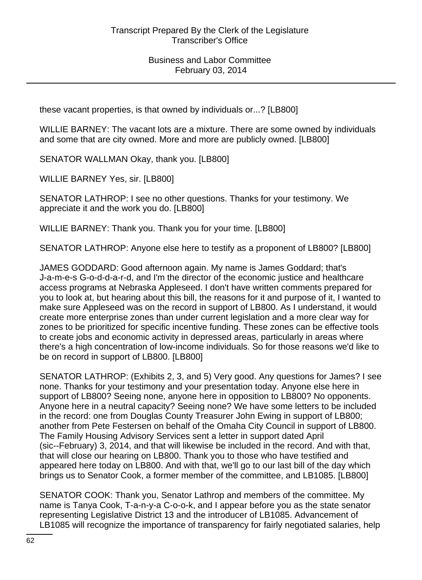these vacant properties, is that owned by individuals or...? [LB800]

WILLIE BARNEY: The vacant lots are a mixture. There are some owned by individuals and some that are city owned. More and more are publicly owned. [LB800]

SENATOR WALLMAN Okay, thank you. [LB800]

WILLIE BARNEY Yes, sir. [LB800]

SENATOR LATHROP: I see no other questions. Thanks for your testimony. We appreciate it and the work you do. [LB800]

WILLIE BARNEY: Thank you. Thank you for your time. [LB800]

SENATOR LATHROP: Anyone else here to testify as a proponent of LB800? [LB800]

JAMES GODDARD: Good afternoon again. My name is James Goddard; that's J-a-m-e-s G-o-d-d-a-r-d, and I'm the director of the economic justice and healthcare access programs at Nebraska Appleseed. I don't have written comments prepared for you to look at, but hearing about this bill, the reasons for it and purpose of it, I wanted to make sure Appleseed was on the record in support of LB800. As I understand, it would create more enterprise zones than under current legislation and a more clear way for zones to be prioritized for specific incentive funding. These zones can be effective tools to create jobs and economic activity in depressed areas, particularly in areas where there's a high concentration of low-income individuals. So for those reasons we'd like to be on record in support of LB800. [LB800]

SENATOR LATHROP: (Exhibits 2, 3, and 5) Very good. Any questions for James? I see none. Thanks for your testimony and your presentation today. Anyone else here in support of LB800? Seeing none, anyone here in opposition to LB800? No opponents. Anyone here in a neutral capacity? Seeing none? We have some letters to be included in the record: one from Douglas County Treasurer John Ewing in support of LB800; another from Pete Festersen on behalf of the Omaha City Council in support of LB800. The Family Housing Advisory Services sent a letter in support dated April (sic--February) 3, 2014, and that will likewise be included in the record. And with that, that will close our hearing on LB800. Thank you to those who have testified and appeared here today on LB800. And with that, we'll go to our last bill of the day which brings us to Senator Cook, a former member of the committee, and LB1085. [LB800]

SENATOR COOK: Thank you, Senator Lathrop and members of the committee. My name is Tanya Cook, T-a-n-y-a C-o-o-k, and I appear before you as the state senator representing Legislative District 13 and the introducer of LB1085. Advancement of LB1085 will recognize the importance of transparency for fairly negotiated salaries, help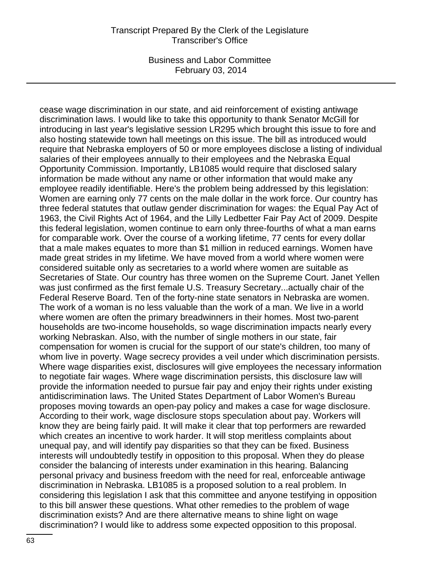Business and Labor Committee February 03, 2014

cease wage discrimination in our state, and aid reinforcement of existing antiwage discrimination laws. I would like to take this opportunity to thank Senator McGill for introducing in last year's legislative session LR295 which brought this issue to fore and also hosting statewide town hall meetings on this issue. The bill as introduced would require that Nebraska employers of 50 or more employees disclose a listing of individual salaries of their employees annually to their employees and the Nebraska Equal Opportunity Commission. Importantly, LB1085 would require that disclosed salary information be made without any name or other information that would make any employee readily identifiable. Here's the problem being addressed by this legislation: Women are earning only 77 cents on the male dollar in the work force. Our country has three federal statutes that outlaw gender discrimination for wages: the Equal Pay Act of 1963, the Civil Rights Act of 1964, and the Lilly Ledbetter Fair Pay Act of 2009. Despite this federal legislation, women continue to earn only three-fourths of what a man earns for comparable work. Over the course of a working lifetime, 77 cents for every dollar that a male makes equates to more than \$1 million in reduced earnings. Women have made great strides in my lifetime. We have moved from a world where women were considered suitable only as secretaries to a world where women are suitable as Secretaries of State. Our country has three women on the Supreme Court. Janet Yellen was just confirmed as the first female U.S. Treasury Secretary...actually chair of the Federal Reserve Board. Ten of the forty-nine state senators in Nebraska are women. The work of a woman is no less valuable than the work of a man. We live in a world where women are often the primary breadwinners in their homes. Most two-parent households are two-income households, so wage discrimination impacts nearly every working Nebraskan. Also, with the number of single mothers in our state, fair compensation for women is crucial for the support of our state's children, too many of whom live in poverty. Wage secrecy provides a veil under which discrimination persists. Where wage disparities exist, disclosures will give employees the necessary information to negotiate fair wages. Where wage discrimination persists, this disclosure law will provide the information needed to pursue fair pay and enjoy their rights under existing antidiscrimination laws. The United States Department of Labor Women's Bureau proposes moving towards an open-pay policy and makes a case for wage disclosure. According to their work, wage disclosure stops speculation about pay. Workers will know they are being fairly paid. It will make it clear that top performers are rewarded which creates an incentive to work harder. It will stop meritless complaints about unequal pay, and will identify pay disparities so that they can be fixed. Business interests will undoubtedly testify in opposition to this proposal. When they do please consider the balancing of interests under examination in this hearing. Balancing personal privacy and business freedom with the need for real, enforceable antiwage discrimination in Nebraska. LB1085 is a proposed solution to a real problem. In considering this legislation I ask that this committee and anyone testifying in opposition to this bill answer these questions. What other remedies to the problem of wage discrimination exists? And are there alternative means to shine light on wage discrimination? I would like to address some expected opposition to this proposal.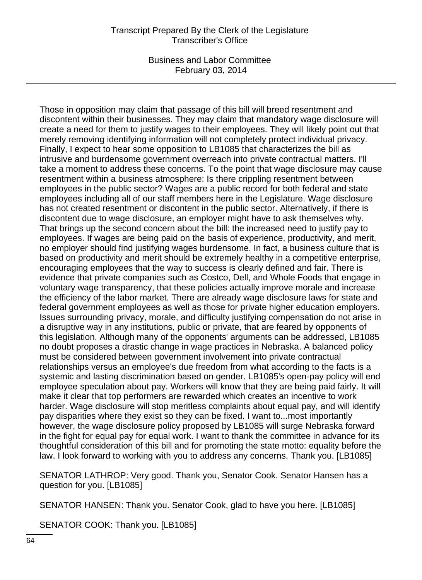Business and Labor Committee February 03, 2014

Those in opposition may claim that passage of this bill will breed resentment and discontent within their businesses. They may claim that mandatory wage disclosure will create a need for them to justify wages to their employees. They will likely point out that merely removing identifying information will not completely protect individual privacy. Finally, I expect to hear some opposition to LB1085 that characterizes the bill as intrusive and burdensome government overreach into private contractual matters. I'll take a moment to address these concerns. To the point that wage disclosure may cause resentment within a business atmosphere: Is there crippling resentment between employees in the public sector? Wages are a public record for both federal and state employees including all of our staff members here in the Legislature. Wage disclosure has not created resentment or discontent in the public sector. Alternatively, if there is discontent due to wage disclosure, an employer might have to ask themselves why. That brings up the second concern about the bill: the increased need to justify pay to employees. If wages are being paid on the basis of experience, productivity, and merit, no employer should find justifying wages burdensome. In fact, a business culture that is based on productivity and merit should be extremely healthy in a competitive enterprise, encouraging employees that the way to success is clearly defined and fair. There is evidence that private companies such as Costco, Dell, and Whole Foods that engage in voluntary wage transparency, that these policies actually improve morale and increase the efficiency of the labor market. There are already wage disclosure laws for state and federal government employees as well as those for private higher education employers. Issues surrounding privacy, morale, and difficulty justifying compensation do not arise in a disruptive way in any institutions, public or private, that are feared by opponents of this legislation. Although many of the opponents' arguments can be addressed, LB1085 no doubt proposes a drastic change in wage practices in Nebraska. A balanced policy must be considered between government involvement into private contractual relationships versus an employee's due freedom from what according to the facts is a systemic and lasting discrimination based on gender. LB1085's open-pay policy will end employee speculation about pay. Workers will know that they are being paid fairly. It will make it clear that top performers are rewarded which creates an incentive to work harder. Wage disclosure will stop meritless complaints about equal pay, and will identify pay disparities where they exist so they can be fixed. I want to...most importantly however, the wage disclosure policy proposed by LB1085 will surge Nebraska forward in the fight for equal pay for equal work. I want to thank the committee in advance for its thoughtful consideration of this bill and for promoting the state motto: equality before the law. I look forward to working with you to address any concerns. Thank you. [LB1085]

SENATOR LATHROP: Very good. Thank you, Senator Cook. Senator Hansen has a question for you. [LB1085]

SENATOR HANSEN: Thank you. Senator Cook, glad to have you here. [LB1085]

SENATOR COOK: Thank you. [LB1085]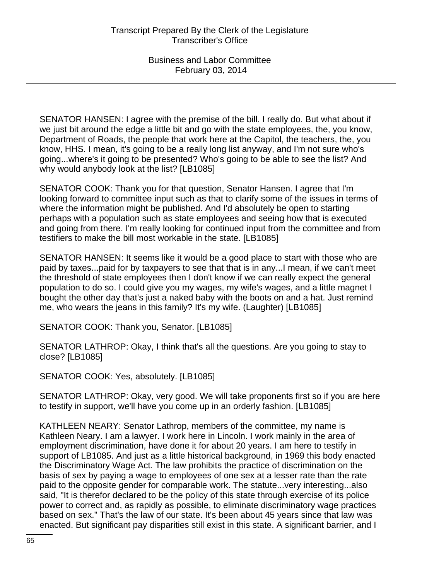SENATOR HANSEN: I agree with the premise of the bill. I really do. But what about if we just bit around the edge a little bit and go with the state employees, the, you know, Department of Roads, the people that work here at the Capitol, the teachers, the, you know, HHS. I mean, it's going to be a really long list anyway, and I'm not sure who's going...where's it going to be presented? Who's going to be able to see the list? And why would anybody look at the list? [LB1085]

SENATOR COOK: Thank you for that question, Senator Hansen. I agree that I'm looking forward to committee input such as that to clarify some of the issues in terms of where the information might be published. And I'd absolutely be open to starting perhaps with a population such as state employees and seeing how that is executed and going from there. I'm really looking for continued input from the committee and from testifiers to make the bill most workable in the state. [LB1085]

SENATOR HANSEN: It seems like it would be a good place to start with those who are paid by taxes...paid for by taxpayers to see that that is in any...I mean, if we can't meet the threshold of state employees then I don't know if we can really expect the general population to do so. I could give you my wages, my wife's wages, and a little magnet I bought the other day that's just a naked baby with the boots on and a hat. Just remind me, who wears the jeans in this family? It's my wife. (Laughter) [LB1085]

SENATOR COOK: Thank you, Senator. [LB1085]

SENATOR LATHROP: Okay, I think that's all the questions. Are you going to stay to close? [LB1085]

SENATOR COOK: Yes, absolutely. [LB1085]

SENATOR LATHROP: Okay, very good. We will take proponents first so if you are here to testify in support, we'll have you come up in an orderly fashion. [LB1085]

KATHLEEN NEARY: Senator Lathrop, members of the committee, my name is Kathleen Neary. I am a lawyer. I work here in Lincoln. I work mainly in the area of employment discrimination, have done it for about 20 years. I am here to testify in support of LB1085. And just as a little historical background, in 1969 this body enacted the Discriminatory Wage Act. The law prohibits the practice of discrimination on the basis of sex by paying a wage to employees of one sex at a lesser rate than the rate paid to the opposite gender for comparable work. The statute...very interesting...also said, "It is therefor declared to be the policy of this state through exercise of its police power to correct and, as rapidly as possible, to eliminate discriminatory wage practices based on sex." That's the law of our state. It's been about 45 years since that law was enacted. But significant pay disparities still exist in this state. A significant barrier, and I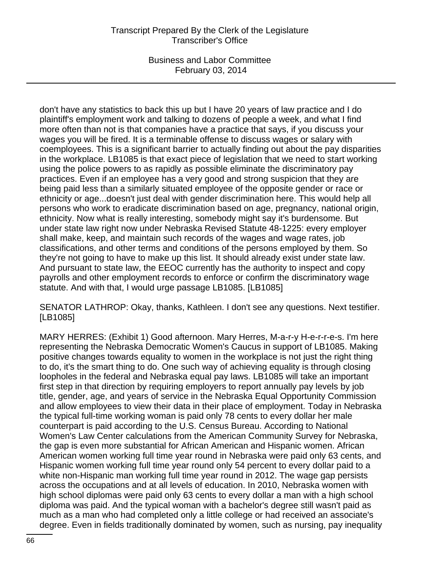Business and Labor Committee February 03, 2014

don't have any statistics to back this up but I have 20 years of law practice and I do plaintiff's employment work and talking to dozens of people a week, and what I find more often than not is that companies have a practice that says, if you discuss your wages you will be fired. It is a terminable offense to discuss wages or salary with coemployees. This is a significant barrier to actually finding out about the pay disparities in the workplace. LB1085 is that exact piece of legislation that we need to start working using the police powers to as rapidly as possible eliminate the discriminatory pay practices. Even if an employee has a very good and strong suspicion that they are being paid less than a similarly situated employee of the opposite gender or race or ethnicity or age...doesn't just deal with gender discrimination here. This would help all persons who work to eradicate discrimination based on age, pregnancy, national origin, ethnicity. Now what is really interesting, somebody might say it's burdensome. But under state law right now under Nebraska Revised Statute 48-1225: every employer shall make, keep, and maintain such records of the wages and wage rates, job classifications, and other terms and conditions of the persons employed by them. So they're not going to have to make up this list. It should already exist under state law. And pursuant to state law, the EEOC currently has the authority to inspect and copy payrolls and other employment records to enforce or confirm the discriminatory wage statute. And with that, I would urge passage LB1085. [LB1085]

SENATOR LATHROP: Okay, thanks, Kathleen. I don't see any questions. Next testifier. [LB1085]

MARY HERRES: (Exhibit 1) Good afternoon. Mary Herres, M-a-r-y H-e-r-r-e-s. I'm here representing the Nebraska Democratic Women's Caucus in support of LB1085. Making positive changes towards equality to women in the workplace is not just the right thing to do, it's the smart thing to do. One such way of achieving equality is through closing loopholes in the federal and Nebraska equal pay laws. LB1085 will take an important first step in that direction by requiring employers to report annually pay levels by job title, gender, age, and years of service in the Nebraska Equal Opportunity Commission and allow employees to view their data in their place of employment. Today in Nebraska the typical full-time working woman is paid only 78 cents to every dollar her male counterpart is paid according to the U.S. Census Bureau. According to National Women's Law Center calculations from the American Community Survey for Nebraska, the gap is even more substantial for African American and Hispanic women. African American women working full time year round in Nebraska were paid only 63 cents, and Hispanic women working full time year round only 54 percent to every dollar paid to a white non-Hispanic man working full time year round in 2012. The wage gap persists across the occupations and at all levels of education. In 2010, Nebraska women with high school diplomas were paid only 63 cents to every dollar a man with a high school diploma was paid. And the typical woman with a bachelor's degree still wasn't paid as much as a man who had completed only a little college or had received an associate's degree. Even in fields traditionally dominated by women, such as nursing, pay inequality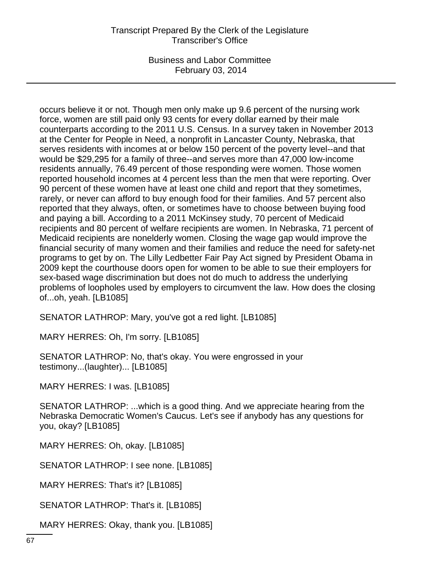Business and Labor Committee February 03, 2014

occurs believe it or not. Though men only make up 9.6 percent of the nursing work force, women are still paid only 93 cents for every dollar earned by their male counterparts according to the 2011 U.S. Census. In a survey taken in November 2013 at the Center for People in Need, a nonprofit in Lancaster County, Nebraska, that serves residents with incomes at or below 150 percent of the poverty level--and that would be \$29,295 for a family of three--and serves more than 47,000 low-income residents annually, 76.49 percent of those responding were women. Those women reported household incomes at 4 percent less than the men that were reporting. Over 90 percent of these women have at least one child and report that they sometimes, rarely, or never can afford to buy enough food for their families. And 57 percent also reported that they always, often, or sometimes have to choose between buying food and paying a bill. According to a 2011 McKinsey study, 70 percent of Medicaid recipients and 80 percent of welfare recipients are women. In Nebraska, 71 percent of Medicaid recipients are nonelderly women. Closing the wage gap would improve the financial security of many women and their families and reduce the need for safety-net programs to get by on. The Lilly Ledbetter Fair Pay Act signed by President Obama in 2009 kept the courthouse doors open for women to be able to sue their employers for sex-based wage discrimination but does not do much to address the underlying problems of loopholes used by employers to circumvent the law. How does the closing of...oh, yeah. [LB1085]

SENATOR LATHROP: Mary, you've got a red light. [LB1085]

MARY HERRES: Oh, I'm sorry. [LB1085]

SENATOR LATHROP: No, that's okay. You were engrossed in your testimony...(laughter)... [LB1085]

MARY HERRES: I was. [LB1085]

SENATOR LATHROP: ...which is a good thing. And we appreciate hearing from the Nebraska Democratic Women's Caucus. Let's see if anybody has any questions for you, okay? [LB1085]

MARY HERRES: Oh, okay. [LB1085]

SENATOR LATHROP: I see none. [LB1085]

MARY HERRES: That's it? [LB1085]

SENATOR LATHROP: That's it. [LB1085]

MARY HERRES: Okay, thank you. [LB1085]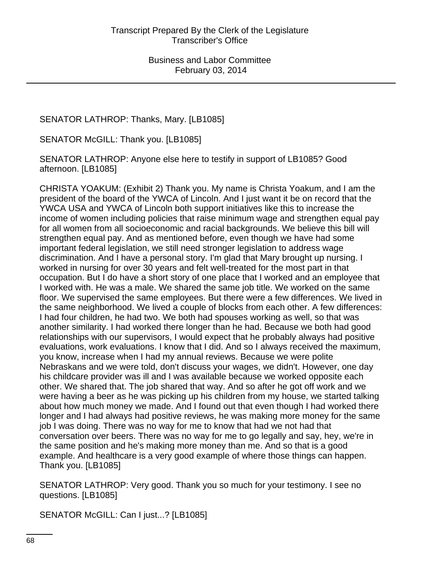# SENATOR LATHROP: Thanks, Mary. [LB1085]

SENATOR McGILL: Thank you. [LB1085]

SENATOR LATHROP: Anyone else here to testify in support of LB1085? Good afternoon. [LB1085]

CHRISTA YOAKUM: (Exhibit 2) Thank you. My name is Christa Yoakum, and I am the president of the board of the YWCA of Lincoln. And I just want it be on record that the YWCA USA and YWCA of Lincoln both support initiatives like this to increase the income of women including policies that raise minimum wage and strengthen equal pay for all women from all socioeconomic and racial backgrounds. We believe this bill will strengthen equal pay. And as mentioned before, even though we have had some important federal legislation, we still need stronger legislation to address wage discrimination. And I have a personal story. I'm glad that Mary brought up nursing. I worked in nursing for over 30 years and felt well-treated for the most part in that occupation. But I do have a short story of one place that I worked and an employee that I worked with. He was a male. We shared the same job title. We worked on the same floor. We supervised the same employees. But there were a few differences. We lived in the same neighborhood. We lived a couple of blocks from each other. A few differences: I had four children, he had two. We both had spouses working as well, so that was another similarity. I had worked there longer than he had. Because we both had good relationships with our supervisors, I would expect that he probably always had positive evaluations, work evaluations. I know that I did. And so I always received the maximum, you know, increase when I had my annual reviews. Because we were polite Nebraskans and we were told, don't discuss your wages, we didn't. However, one day his childcare provider was ill and I was available because we worked opposite each other. We shared that. The job shared that way. And so after he got off work and we were having a beer as he was picking up his children from my house, we started talking about how much money we made. And I found out that even though I had worked there longer and I had always had positive reviews, he was making more money for the same job I was doing. There was no way for me to know that had we not had that conversation over beers. There was no way for me to go legally and say, hey, we're in the same position and he's making more money than me. And so that is a good example. And healthcare is a very good example of where those things can happen. Thank you. [LB1085]

SENATOR LATHROP: Very good. Thank you so much for your testimony. I see no questions. [LB1085]

SENATOR McGILL: Can I just...? [LB1085]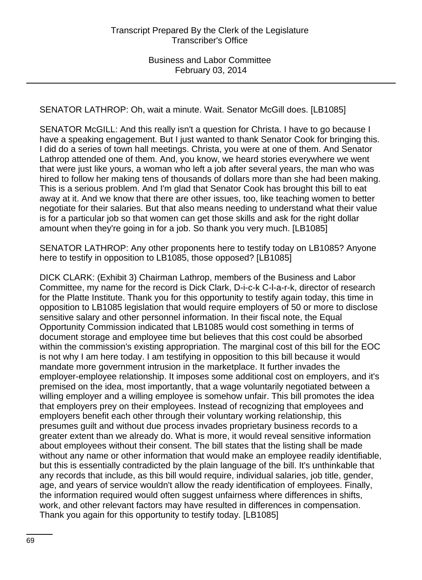SENATOR LATHROP: Oh, wait a minute. Wait. Senator McGill does. [LB1085]

SENATOR McGILL: And this really isn't a question for Christa. I have to go because I have a speaking engagement. But I just wanted to thank Senator Cook for bringing this. I did do a series of town hall meetings. Christa, you were at one of them. And Senator Lathrop attended one of them. And, you know, we heard stories everywhere we went that were just like yours, a woman who left a job after several years, the man who was hired to follow her making tens of thousands of dollars more than she had been making. This is a serious problem. And I'm glad that Senator Cook has brought this bill to eat away at it. And we know that there are other issues, too, like teaching women to better negotiate for their salaries. But that also means needing to understand what their value is for a particular job so that women can get those skills and ask for the right dollar amount when they're going in for a job. So thank you very much. [LB1085]

SENATOR LATHROP: Any other proponents here to testify today on LB1085? Anyone here to testify in opposition to LB1085, those opposed? [LB1085]

DICK CLARK: (Exhibit 3) Chairman Lathrop, members of the Business and Labor Committee, my name for the record is Dick Clark, D-i-c-k C-l-a-r-k, director of research for the Platte Institute. Thank you for this opportunity to testify again today, this time in opposition to LB1085 legislation that would require employers of 50 or more to disclose sensitive salary and other personnel information. In their fiscal note, the Equal Opportunity Commission indicated that LB1085 would cost something in terms of document storage and employee time but believes that this cost could be absorbed within the commission's existing appropriation. The marginal cost of this bill for the EOC is not why I am here today. I am testifying in opposition to this bill because it would mandate more government intrusion in the marketplace. It further invades the employer-employee relationship. It imposes some additional cost on employers, and it's premised on the idea, most importantly, that a wage voluntarily negotiated between a willing employer and a willing employee is somehow unfair. This bill promotes the idea that employers prey on their employees. Instead of recognizing that employees and employers benefit each other through their voluntary working relationship, this presumes guilt and without due process invades proprietary business records to a greater extent than we already do. What is more, it would reveal sensitive information about employees without their consent. The bill states that the listing shall be made without any name or other information that would make an employee readily identifiable, but this is essentially contradicted by the plain language of the bill. It's unthinkable that any records that include, as this bill would require, individual salaries, job title, gender, age, and years of service wouldn't allow the ready identification of employees. Finally, the information required would often suggest unfairness where differences in shifts, work, and other relevant factors may have resulted in differences in compensation. Thank you again for this opportunity to testify today. [LB1085]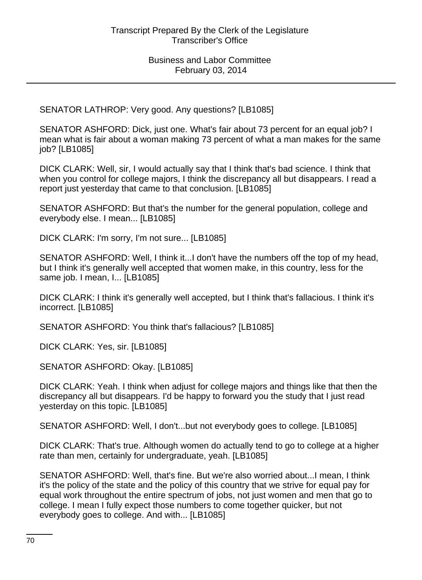SENATOR LATHROP: Very good. Any questions? [LB1085]

SENATOR ASHFORD: Dick, just one. What's fair about 73 percent for an equal job? I mean what is fair about a woman making 73 percent of what a man makes for the same job? [LB1085]

DICK CLARK: Well, sir, I would actually say that I think that's bad science. I think that when you control for college majors, I think the discrepancy all but disappears. I read a report just yesterday that came to that conclusion. [LB1085]

SENATOR ASHFORD: But that's the number for the general population, college and everybody else. I mean... [LB1085]

DICK CLARK: I'm sorry, I'm not sure... [LB1085]

SENATOR ASHFORD: Well, I think it...I don't have the numbers off the top of my head, but I think it's generally well accepted that women make, in this country, less for the same job. I mean, I... [LB1085]

DICK CLARK: I think it's generally well accepted, but I think that's fallacious. I think it's incorrect. [LB1085]

SENATOR ASHFORD: You think that's fallacious? [LB1085]

DICK CLARK: Yes, sir. [LB1085]

SENATOR ASHFORD: Okay. [LB1085]

DICK CLARK: Yeah. I think when adjust for college majors and things like that then the discrepancy all but disappears. I'd be happy to forward you the study that I just read yesterday on this topic. [LB1085]

SENATOR ASHFORD: Well, I don't...but not everybody goes to college. [LB1085]

DICK CLARK: That's true. Although women do actually tend to go to college at a higher rate than men, certainly for undergraduate, yeah. [LB1085]

SENATOR ASHFORD: Well, that's fine. But we're also worried about...I mean, I think it's the policy of the state and the policy of this country that we strive for equal pay for equal work throughout the entire spectrum of jobs, not just women and men that go to college. I mean I fully expect those numbers to come together quicker, but not everybody goes to college. And with... [LB1085]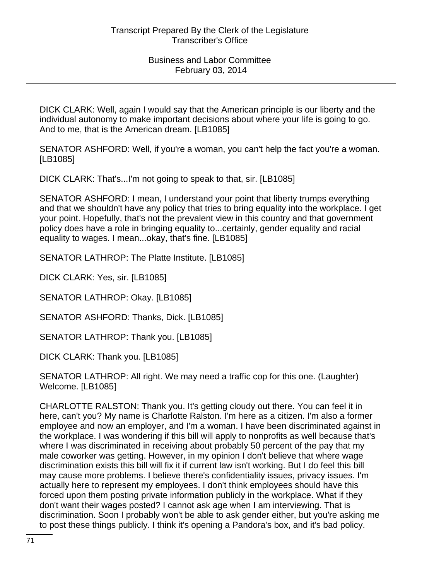DICK CLARK: Well, again I would say that the American principle is our liberty and the individual autonomy to make important decisions about where your life is going to go. And to me, that is the American dream. [LB1085]

SENATOR ASHFORD: Well, if you're a woman, you can't help the fact you're a woman. [LB1085]

DICK CLARK: That's...I'm not going to speak to that, sir. [LB1085]

SENATOR ASHFORD: I mean, I understand your point that liberty trumps everything and that we shouldn't have any policy that tries to bring equality into the workplace. I get your point. Hopefully, that's not the prevalent view in this country and that government policy does have a role in bringing equality to...certainly, gender equality and racial equality to wages. I mean...okay, that's fine. [LB1085]

SENATOR LATHROP: The Platte Institute. [LB1085]

DICK CLARK: Yes, sir. [LB1085]

SENATOR LATHROP: Okay. [LB1085]

SENATOR ASHFORD: Thanks, Dick. [LB1085]

SENATOR LATHROP: Thank you. [LB1085]

DICK CLARK: Thank you. [LB1085]

SENATOR LATHROP: All right. We may need a traffic cop for this one. (Laughter) Welcome. [LB1085]

CHARLOTTE RALSTON: Thank you. It's getting cloudy out there. You can feel it in here, can't you? My name is Charlotte Ralston. I'm here as a citizen. I'm also a former employee and now an employer, and I'm a woman. I have been discriminated against in the workplace. I was wondering if this bill will apply to nonprofits as well because that's where I was discriminated in receiving about probably 50 percent of the pay that my male coworker was getting. However, in my opinion I don't believe that where wage discrimination exists this bill will fix it if current law isn't working. But I do feel this bill may cause more problems. I believe there's confidentiality issues, privacy issues. I'm actually here to represent my employees. I don't think employees should have this forced upon them posting private information publicly in the workplace. What if they don't want their wages posted? I cannot ask age when I am interviewing. That is discrimination. Soon I probably won't be able to ask gender either, but you're asking me to post these things publicly. I think it's opening a Pandora's box, and it's bad policy.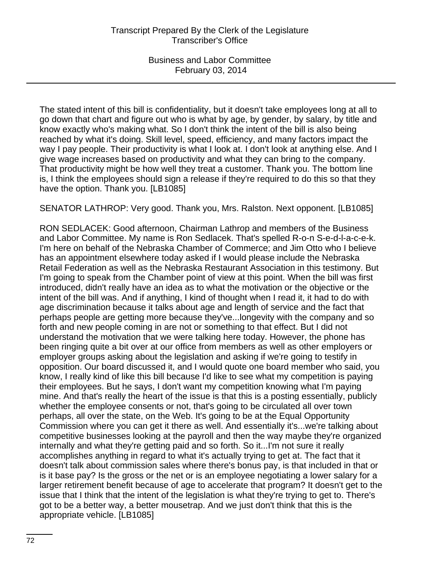The stated intent of this bill is confidentiality, but it doesn't take employees long at all to go down that chart and figure out who is what by age, by gender, by salary, by title and know exactly who's making what. So I don't think the intent of the bill is also being reached by what it's doing. Skill level, speed, efficiency, and many factors impact the way I pay people. Their productivity is what I look at. I don't look at anything else. And I give wage increases based on productivity and what they can bring to the company. That productivity might be how well they treat a customer. Thank you. The bottom line is, I think the employees should sign a release if they're required to do this so that they have the option. Thank you. [LB1085]

SENATOR LATHROP: Very good. Thank you, Mrs. Ralston. Next opponent. [LB1085]

RON SEDLACEK: Good afternoon, Chairman Lathrop and members of the Business and Labor Committee. My name is Ron Sedlacek. That's spelled R-o-n S-e-d-l-a-c-e-k. I'm here on behalf of the Nebraska Chamber of Commerce; and Jim Otto who I believe has an appointment elsewhere today asked if I would please include the Nebraska Retail Federation as well as the Nebraska Restaurant Association in this testimony. But I'm going to speak from the Chamber point of view at this point. When the bill was first introduced, didn't really have an idea as to what the motivation or the objective or the intent of the bill was. And if anything, I kind of thought when I read it, it had to do with age discrimination because it talks about age and length of service and the fact that perhaps people are getting more because they've...longevity with the company and so forth and new people coming in are not or something to that effect. But I did not understand the motivation that we were talking here today. However, the phone has been ringing quite a bit over at our office from members as well as other employers or employer groups asking about the legislation and asking if we're going to testify in opposition. Our board discussed it, and I would quote one board member who said, you know, I really kind of like this bill because I'd like to see what my competition is paying their employees. But he says, I don't want my competition knowing what I'm paying mine. And that's really the heart of the issue is that this is a posting essentially, publicly whether the employee consents or not, that's going to be circulated all over town perhaps, all over the state, on the Web. It's going to be at the Equal Opportunity Commission where you can get it there as well. And essentially it's...we're talking about competitive businesses looking at the payroll and then the way maybe they're organized internally and what they're getting paid and so forth. So it...I'm not sure it really accomplishes anything in regard to what it's actually trying to get at. The fact that it doesn't talk about commission sales where there's bonus pay, is that included in that or is it base pay? Is the gross or the net or is an employee negotiating a lower salary for a larger retirement benefit because of age to accelerate that program? It doesn't get to the issue that I think that the intent of the legislation is what they're trying to get to. There's got to be a better way, a better mousetrap. And we just don't think that this is the appropriate vehicle. [LB1085]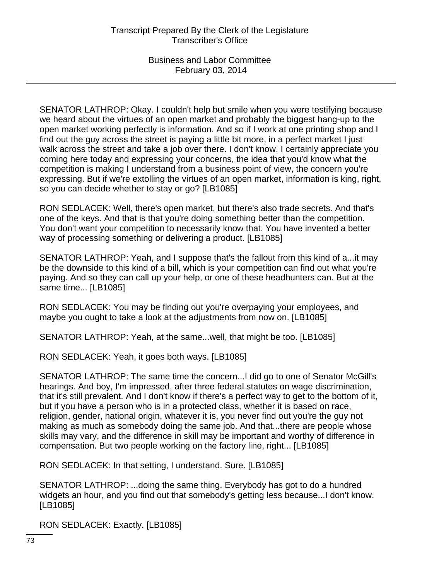SENATOR LATHROP: Okay. I couldn't help but smile when you were testifying because we heard about the virtues of an open market and probably the biggest hang-up to the open market working perfectly is information. And so if I work at one printing shop and I find out the guy across the street is paying a little bit more, in a perfect market I just walk across the street and take a job over there. I don't know. I certainly appreciate you coming here today and expressing your concerns, the idea that you'd know what the competition is making I understand from a business point of view, the concern you're expressing. But if we're extolling the virtues of an open market, information is king, right, so you can decide whether to stay or go? [LB1085]

RON SEDLACEK: Well, there's open market, but there's also trade secrets. And that's one of the keys. And that is that you're doing something better than the competition. You don't want your competition to necessarily know that. You have invented a better way of processing something or delivering a product. [LB1085]

SENATOR LATHROP: Yeah, and I suppose that's the fallout from this kind of a...it may be the downside to this kind of a bill, which is your competition can find out what you're paying. And so they can call up your help, or one of these headhunters can. But at the same time... [LB1085]

RON SEDLACEK: You may be finding out you're overpaying your employees, and maybe you ought to take a look at the adjustments from now on. [LB1085]

SENATOR LATHROP: Yeah, at the same...well, that might be too. [LB1085]

RON SEDLACEK: Yeah, it goes both ways. [LB1085]

SENATOR LATHROP: The same time the concern...I did go to one of Senator McGill's hearings. And boy, I'm impressed, after three federal statutes on wage discrimination, that it's still prevalent. And I don't know if there's a perfect way to get to the bottom of it, but if you have a person who is in a protected class, whether it is based on race, religion, gender, national origin, whatever it is, you never find out you're the guy not making as much as somebody doing the same job. And that...there are people whose skills may vary, and the difference in skill may be important and worthy of difference in compensation. But two people working on the factory line, right... [LB1085]

RON SEDLACEK: In that setting, I understand. Sure. [LB1085]

SENATOR LATHROP: ...doing the same thing. Everybody has got to do a hundred widgets an hour, and you find out that somebody's getting less because...I don't know. [LB1085]

RON SEDLACEK: Exactly. [LB1085]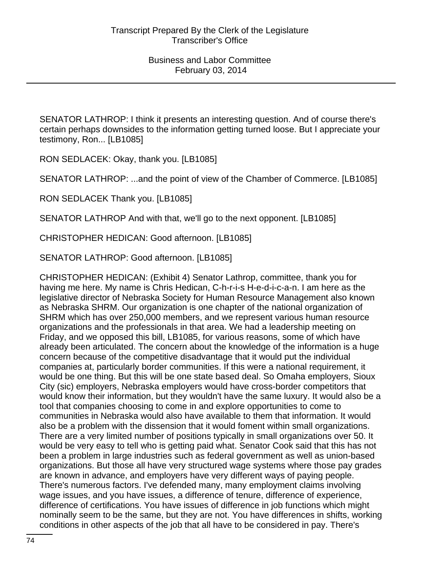SENATOR LATHROP: I think it presents an interesting question. And of course there's certain perhaps downsides to the information getting turned loose. But I appreciate your testimony, Ron... [LB1085]

RON SEDLACEK: Okay, thank you. [LB1085]

SENATOR LATHROP: ...and the point of view of the Chamber of Commerce. [LB1085]

RON SEDLACEK Thank you. [LB1085]

SENATOR LATHROP And with that, we'll go to the next opponent. [LB1085]

CHRISTOPHER HEDICAN: Good afternoon. [LB1085]

SENATOR LATHROP: Good afternoon. [LB1085]

CHRISTOPHER HEDICAN: (Exhibit 4) Senator Lathrop, committee, thank you for having me here. My name is Chris Hedican, C-h-r-i-s H-e-d-i-c-a-n. I am here as the legislative director of Nebraska Society for Human Resource Management also known as Nebraska SHRM. Our organization is one chapter of the national organization of SHRM which has over 250,000 members, and we represent various human resource organizations and the professionals in that area. We had a leadership meeting on Friday, and we opposed this bill, LB1085, for various reasons, some of which have already been articulated. The concern about the knowledge of the information is a huge concern because of the competitive disadvantage that it would put the individual companies at, particularly border communities. If this were a national requirement, it would be one thing. But this will be one state based deal. So Omaha employers, Sioux City (sic) employers, Nebraska employers would have cross-border competitors that would know their information, but they wouldn't have the same luxury. It would also be a tool that companies choosing to come in and explore opportunities to come to communities in Nebraska would also have available to them that information. It would also be a problem with the dissension that it would foment within small organizations. There are a very limited number of positions typically in small organizations over 50. It would be very easy to tell who is getting paid what. Senator Cook said that this has not been a problem in large industries such as federal government as well as union-based organizations. But those all have very structured wage systems where those pay grades are known in advance, and employers have very different ways of paying people. There's numerous factors. I've defended many, many employment claims involving wage issues, and you have issues, a difference of tenure, difference of experience, difference of certifications. You have issues of difference in job functions which might nominally seem to be the same, but they are not. You have differences in shifts, working conditions in other aspects of the job that all have to be considered in pay. There's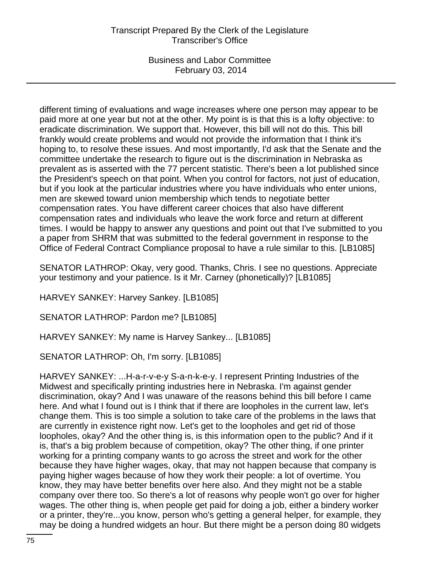different timing of evaluations and wage increases where one person may appear to be paid more at one year but not at the other. My point is is that this is a lofty objective: to eradicate discrimination. We support that. However, this bill will not do this. This bill frankly would create problems and would not provide the information that I think it's hoping to, to resolve these issues. And most importantly, I'd ask that the Senate and the committee undertake the research to figure out is the discrimination in Nebraska as prevalent as is asserted with the 77 percent statistic. There's been a lot published since the President's speech on that point. When you control for factors, not just of education, but if you look at the particular industries where you have individuals who enter unions, men are skewed toward union membership which tends to negotiate better compensation rates. You have different career choices that also have different compensation rates and individuals who leave the work force and return at different times. I would be happy to answer any questions and point out that I've submitted to you a paper from SHRM that was submitted to the federal government in response to the Office of Federal Contract Compliance proposal to have a rule similar to this. [LB1085]

SENATOR LATHROP: Okay, very good. Thanks, Chris. I see no questions. Appreciate your testimony and your patience. Is it Mr. Carney (phonetically)? [LB1085]

HARVEY SANKEY: Harvey Sankey. [LB1085]

SENATOR LATHROP: Pardon me? [LB1085]

HARVEY SANKEY: My name is Harvey Sankey... [LB1085]

SENATOR LATHROP: Oh, I'm sorry. [LB1085]

HARVEY SANKEY: ...H-a-r-v-e-y S-a-n-k-e-y. I represent Printing Industries of the Midwest and specifically printing industries here in Nebraska. I'm against gender discrimination, okay? And I was unaware of the reasons behind this bill before I came here. And what I found out is I think that if there are loopholes in the current law, let's change them. This is too simple a solution to take care of the problems in the laws that are currently in existence right now. Let's get to the loopholes and get rid of those loopholes, okay? And the other thing is, is this information open to the public? And if it is, that's a big problem because of competition, okay? The other thing, if one printer working for a printing company wants to go across the street and work for the other because they have higher wages, okay, that may not happen because that company is paying higher wages because of how they work their people: a lot of overtime. You know, they may have better benefits over here also. And they might not be a stable company over there too. So there's a lot of reasons why people won't go over for higher wages. The other thing is, when people get paid for doing a job, either a bindery worker or a printer, they're...you know, person who's getting a general helper, for example, they may be doing a hundred widgets an hour. But there might be a person doing 80 widgets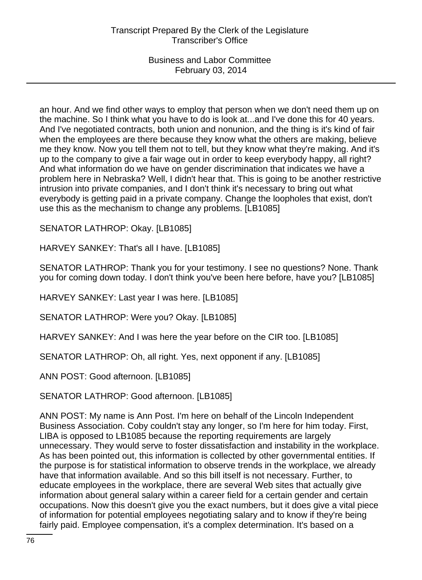an hour. And we find other ways to employ that person when we don't need them up on the machine. So I think what you have to do is look at...and I've done this for 40 years. And I've negotiated contracts, both union and nonunion, and the thing is it's kind of fair when the employees are there because they know what the others are making, believe me they know. Now you tell them not to tell, but they know what they're making. And it's up to the company to give a fair wage out in order to keep everybody happy, all right? And what information do we have on gender discrimination that indicates we have a problem here in Nebraska? Well, I didn't hear that. This is going to be another restrictive intrusion into private companies, and I don't think it's necessary to bring out what everybody is getting paid in a private company. Change the loopholes that exist, don't use this as the mechanism to change any problems. [LB1085]

SENATOR LATHROP: Okay. [LB1085]

HARVEY SANKEY: That's all I have. [LB1085]

SENATOR LATHROP: Thank you for your testimony. I see no questions? None. Thank you for coming down today. I don't think you've been here before, have you? [LB1085]

HARVEY SANKEY: Last year I was here. [LB1085]

SENATOR LATHROP: Were you? Okay. [LB1085]

HARVEY SANKEY: And I was here the year before on the CIR too. [LB1085]

SENATOR LATHROP: Oh, all right. Yes, next opponent if any. [LB1085]

ANN POST: Good afternoon. [LB1085]

SENATOR LATHROP: Good afternoon. [LB1085]

ANN POST: My name is Ann Post. I'm here on behalf of the Lincoln Independent Business Association. Coby couldn't stay any longer, so I'm here for him today. First, LIBA is opposed to LB1085 because the reporting requirements are largely unnecessary. They would serve to foster dissatisfaction and instability in the workplace. As has been pointed out, this information is collected by other governmental entities. If the purpose is for statistical information to observe trends in the workplace, we already have that information available. And so this bill itself is not necessary. Further, to educate employees in the workplace, there are several Web sites that actually give information about general salary within a career field for a certain gender and certain occupations. Now this doesn't give you the exact numbers, but it does give a vital piece of information for potential employees negotiating salary and to know if they're being fairly paid. Employee compensation, it's a complex determination. It's based on a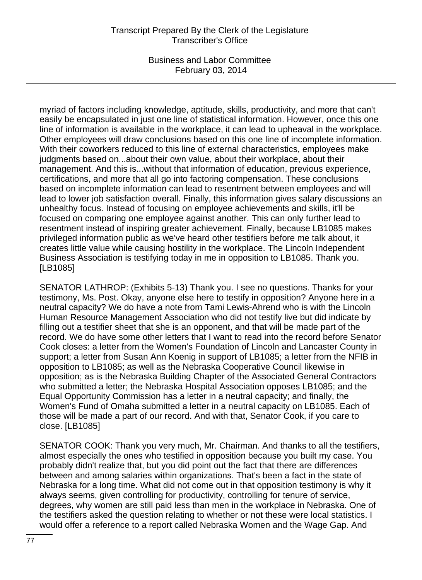## Transcript Prepared By the Clerk of the Legislature Transcriber's Office

Business and Labor Committee February 03, 2014

myriad of factors including knowledge, aptitude, skills, productivity, and more that can't easily be encapsulated in just one line of statistical information. However, once this one line of information is available in the workplace, it can lead to upheaval in the workplace. Other employees will draw conclusions based on this one line of incomplete information. With their coworkers reduced to this line of external characteristics, employees make judgments based on...about their own value, about their workplace, about their management. And this is...without that information of education, previous experience, certifications, and more that all go into factoring compensation. These conclusions based on incomplete information can lead to resentment between employees and will lead to lower job satisfaction overall. Finally, this information gives salary discussions an unhealthy focus. Instead of focusing on employee achievements and skills, it'll be focused on comparing one employee against another. This can only further lead to resentment instead of inspiring greater achievement. Finally, because LB1085 makes privileged information public as we've heard other testifiers before me talk about, it creates little value while causing hostility in the workplace. The Lincoln Independent Business Association is testifying today in me in opposition to LB1085. Thank you. [LB1085]

SENATOR LATHROP: (Exhibits 5-13) Thank you. I see no questions. Thanks for your testimony, Ms. Post. Okay, anyone else here to testify in opposition? Anyone here in a neutral capacity? We do have a note from Tami Lewis-Ahrend who is with the Lincoln Human Resource Management Association who did not testify live but did indicate by filling out a testifier sheet that she is an opponent, and that will be made part of the record. We do have some other letters that I want to read into the record before Senator Cook closes: a letter from the Women's Foundation of Lincoln and Lancaster County in support; a letter from Susan Ann Koenig in support of LB1085; a letter from the NFIB in opposition to LB1085; as well as the Nebraska Cooperative Council likewise in opposition; as is the Nebraska Building Chapter of the Associated General Contractors who submitted a letter; the Nebraska Hospital Association opposes LB1085; and the Equal Opportunity Commission has a letter in a neutral capacity; and finally, the Women's Fund of Omaha submitted a letter in a neutral capacity on LB1085. Each of those will be made a part of our record. And with that, Senator Cook, if you care to close. [LB1085]

SENATOR COOK: Thank you very much, Mr. Chairman. And thanks to all the testifiers, almost especially the ones who testified in opposition because you built my case. You probably didn't realize that, but you did point out the fact that there are differences between and among salaries within organizations. That's been a fact in the state of Nebraska for a long time. What did not come out in that opposition testimony is why it always seems, given controlling for productivity, controlling for tenure of service, degrees, why women are still paid less than men in the workplace in Nebraska. One of the testifiers asked the question relating to whether or not these were local statistics. I would offer a reference to a report called Nebraska Women and the Wage Gap. And